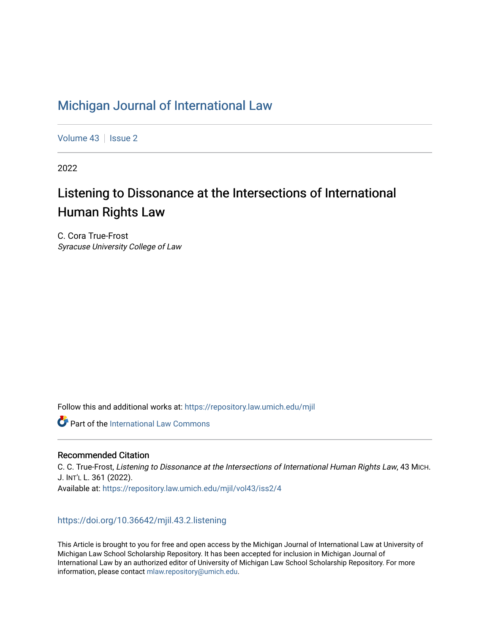## [Michigan Journal of International Law](https://repository.law.umich.edu/mjil)

[Volume 43](https://repository.law.umich.edu/mjil/vol43) | [Issue 2](https://repository.law.umich.edu/mjil/vol43/iss2)

2022

# Listening to Dissonance at the Intersections of International Human Rights Law

C. Cora True-Frost Syracuse University College of Law

Follow this and additional works at: [https://repository.law.umich.edu/mjil](https://repository.law.umich.edu/mjil?utm_source=repository.law.umich.edu%2Fmjil%2Fvol43%2Fiss2%2F4&utm_medium=PDF&utm_campaign=PDFCoverPages) 

**C** Part of the International Law Commons

## Recommended Citation

C. C. True-Frost, Listening to Dissonance at the Intersections of International Human Rights Law, 43 MICH. J. INT'L L. 361 (2022). Available at: [https://repository.law.umich.edu/mjil/vol43/iss2/4](https://repository.law.umich.edu/mjil/vol43/iss2/4?utm_source=repository.law.umich.edu%2Fmjil%2Fvol43%2Fiss2%2F4&utm_medium=PDF&utm_campaign=PDFCoverPages) 

## <https://doi.org/10.36642/mjil.43.2.listening>

This Article is brought to you for free and open access by the Michigan Journal of International Law at University of Michigan Law School Scholarship Repository. It has been accepted for inclusion in Michigan Journal of International Law by an authorized editor of University of Michigan Law School Scholarship Repository. For more information, please contact [mlaw.repository@umich.edu](mailto:mlaw.repository@umich.edu).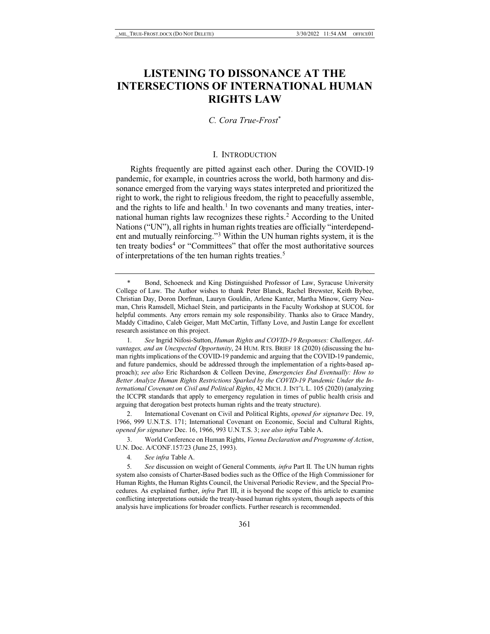## **LISTENING TO DISSONANCE AT THE INTERSECTIONS OF INTERNATIONAL HUMAN RIGHTS LAW**

## *C. Cora True-Frost*[\\*](#page-1-0)

#### <span id="page-1-6"></span>I. INTRODUCTION

Rights frequently are pitted against each other. During the COVID-19 pandemic, for example, in countries across the world, both harmony and dissonance emerged from the varying ways states interpreted and prioritized the right to work, the right to religious freedom, the right to peacefully assemble, and the rights to life and health.<sup>1</sup> In two covenants and many treaties, inter-national human rights law recognizes these rights.<sup>[2](#page-1-2)</sup> According to the United Nations ("UN"), all rights in human rights treaties are officially "interdependent and mutually reinforcing."[3](#page-1-3) Within the UN human rights system, it is the ten treaty bodies<sup>[4](#page-1-4)</sup> or "Committees" that offer the most authoritative sources of interpretations of the ten human rights treaties.<sup>5</sup>

<span id="page-1-0"></span>Bond, Schoeneck and King Distinguished Professor of Law, Syracuse University College of Law. The Author wishes to thank Peter Blanck, Rachel Brewster, Keith Bybee, Christian Day, Doron Dorfman, Lauryn Gouldin, Arlene Kanter, Martha Minow, Gerry Neuman, Chris Ramsdell, Michael Stein, and participants in the Faculty Workshop at SUCOL for helpful comments. Any errors remain my sole responsibility. Thanks also to Grace Mandry, Maddy Cittadino, Caleb Geiger, Matt McCartin, Tiffany Love, and Justin Lange for excellent research assistance on this project.

<span id="page-1-1"></span><sup>1</sup>*. See* Ingrid Nifosi-Sutton, *Human Rights and COVID-19 Responses: Challenges, Advantages, and an Unexpected Opportunity*, 24 HUM. RTS. BRIEF 18 (2020) (discussing the human rights implications of the COVID-19 pandemic and arguing that the COVID-19 pandemic, and future pandemics, should be addressed through the implementation of a rights-based approach); *see also* Eric Richardson & Colleen Devine, *Emergencies End Eventually: How to Better Analyze Human Rights Restrictions Sparked by the COVID-19 Pandemic Under the International Covenant on Civil and Political Rights*, 42 MICH. J. INT'L L. 105 (2020) (analyzing the ICCPR standards that apply to emergency regulation in times of public health crisis and arguing that derogation best protects human rights and the treaty structure).

<span id="page-1-2"></span><sup>2.</sup> International Covenant on Civil and Political Rights, *opened for signature* Dec. 19, 1966, 999 U.N.T.S. 171; International Covenant on Economic, Social and Cultural Rights, *opened for signature* Dec. 16, 1966, 993 U.N.T.S. 3; *see also infra* Table A.

<span id="page-1-3"></span><sup>3.</sup> World Conference on Human Rights, *Vienna Declaration and Programme of Action*, U.N. Doc. A/CONF.157/23 (June 25, 1993).

<sup>4</sup>*. See infra* Table A.

<span id="page-1-5"></span><span id="page-1-4"></span><sup>5</sup>*. See* discussion on weight of General Comments*, infra* Part II*.* The UN human rights system also consists of Charter-Based bodies such as the Office of the High Commissioner for Human Rights, the Human Rights Council, the Universal Periodic Review, and the Special Procedures. As explained further, *infra* Part III, it is beyond the scope of this article to examine conflicting interpretations outside the treaty-based human rights system, though aspects of this analysis have implications for broader conflicts. Further research is recommended.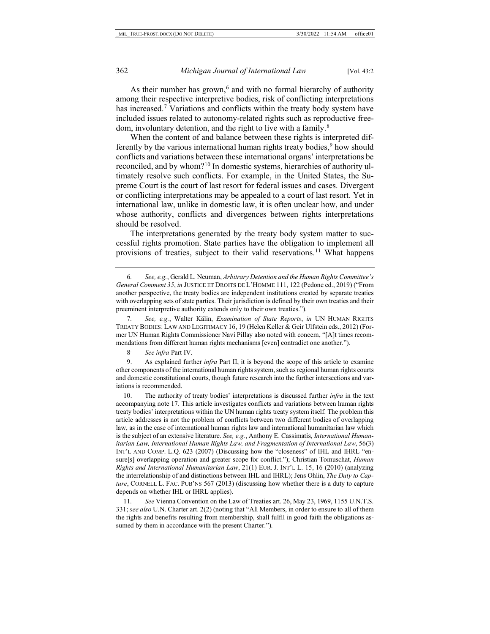<span id="page-2-10"></span><span id="page-2-9"></span>As their number has grown, $6$  and with no formal hierarchy of authority among their respective interpretive bodies, risk of conflicting interpretations has increased.<sup>[7](#page-2-1)</sup> Variations and conflicts within the treaty body system have included issues related to autonomy-related rights such as reproductive free-dom, involuntary detention, and the right to live with a family.<sup>[8](#page-2-2)</sup>

<span id="page-2-7"></span><span id="page-2-6"></span>When the content of and balance between these rights is interpreted differently by the various international human rights treaty bodies, $9$  how should conflicts and variations between these international organs' interpretations be reconciled, and by whom?[10](#page-2-4) In domestic systems, hierarchies of authority ultimately resolve such conflicts. For example, in the United States, the Supreme Court is the court of last resort for federal issues and cases. Divergent or conflicting interpretations may be appealed to a court of last resort. Yet in international law, unlike in domestic law, it is often unclear how, and under whose authority, conflicts and divergences between rights interpretations should be resolved.

<span id="page-2-8"></span>The interpretations generated by the treaty body system matter to successful rights promotion. State parties have the obligation to implement all provisions of treaties, subject to their valid reservations.<sup>[11](#page-2-5)</sup> What happens

8. *See infra* Part IV.

<span id="page-2-3"></span><span id="page-2-2"></span>9. As explained further *infra* Part II, it is beyond the scope of this article to examine other components of the international human rights system, such as regional human rights courts and domestic constitutional courts, though future research into the further intersections and variations is recommended.

<span id="page-2-4"></span>10. The authority of treaty bodies' interpretations is discussed further *infra* in the text accompanying note 17. This article investigates conflicts and variations between human rights treaty bodies' interpretations within the UN human rights treaty system itself. The problem this article addresses is not the problem of conflicts between two different bodies of overlapping law, as in the case of international human rights law and international humanitarian law which is the subject of an extensive literature. *See, e.g.*, Anthony E. Cassimatis, *International Humanitarian Law, International Human Rights Law, and Fragmentation of International Law*, 56(3) INT'L AND COMP. L.Q. 623 (2007) (Discussing how the "closeness" of IHL and IHRL "ensure[s] overlapping operation and greater scope for conflict."); Christian Tomuschat, *Human Rights and International Humanitarian Law*, 21(1) EUR. J. INT'L L. 15, 16 (2010) (analyzing the interrelationship of and distinctions between IHL and IHRL); Jens Ohlin, *The Duty to Capture*, CORNELL L. FAC. PUB'NS 567 (2013) (discussing how whether there is a duty to capture depends on whether IHL or IHRL applies).

<span id="page-2-5"></span>11*. See* Vienna Convention on the Law of Treaties art. 26, May 23, 1969, 1155 U.N.T.S. 331; *see also* U.N. Charter art. 2(2) (noting that "All Members, in order to ensure to all of them the rights and benefits resulting from membership, shall fulfil in good faith the obligations assumed by them in accordance with the present Charter.").

<span id="page-2-0"></span><sup>6</sup>*. See, e.g.*, Gerald L. Neuman, *Arbitrary Detention and the Human Rights Committee's General Comment 35*, *in* JUSTICE ET DROITS DE L'HOMME 111, 122 (Pedone ed., 2019) ("From another perspective, the treaty bodies are independent institutions created by separate treaties with overlapping sets of state parties. Their jurisdiction is defined by their own treaties and their preeminent interpretive authority extends only to their own treaties.").

<span id="page-2-1"></span><sup>7</sup>*. See, e.g.*, Walter Kälin, *Examination of State Reports*, *in* UN HUMAN RIGHTS TREATY BODIES: LAW AND LEGITIMACY 16, 19 (Helen Keller & Geir Ulfstein eds., 2012) (Former UN Human Rights Commissioner Navi Pillay also noted with concern, "[A]t times recommendations from different human rights mechanisms [even] contradict one another.").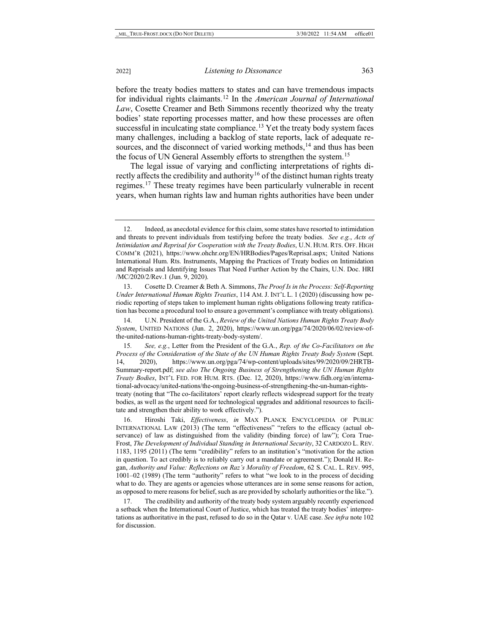before the treaty bodies matters to states and can have tremendous impacts for individual rights claimants.[12](#page-3-0) In the *American Journal of International Law*, Cosette Creamer and Beth Simmons recently theorized why the treaty bodies' state reporting processes matter, and how these processes are often successful in inculcating state compliance.<sup>[13](#page-3-1)</sup> Yet the treaty body system faces many challenges, including a backlog of state reports, lack of adequate re-sources, and the disconnect of varied working methods,<sup>[14](#page-3-2)</sup> and thus has been the focus of UN General Assembly efforts to strengthen the system.<sup>15</sup>

<span id="page-3-6"></span>The legal issue of varying and conflicting interpretations of rights di-rectly affects the credibility and authority<sup>[16](#page-3-4)</sup> of the distinct human rights treaty regimes[.17](#page-3-5) These treaty regimes have been particularly vulnerable in recent years, when human rights law and human rights authorities have been under

<span id="page-3-2"></span>14. U.N. President of the G.A., *Review of the United Nations Human Rights Treaty Body System*, UNITED NATIONS (Jun. 2, 2020), https://www.un.org/pga/74/2020/06/02/review-ofthe-united-nations-human-rights-treaty-body-system/.

<span id="page-3-3"></span>15*. See, e.g.*, Letter from the President of the G.A., *Rep. of the Co-Facilitators on the Process of the Consideration of the State of the UN Human Rights Treaty Body System (Sept.* 14, 2020), https://www.un.org/pga/74/wp-content/uploads/sites/99/2020/09/2HRTB-Summary-report.pdf; *see also The Ongoing Business of Strengthening the UN Human Rights Treaty Bodies*, INT'L FED. FOR HUM. RTS. (Dec. 12, 2020), https://www.fidh.org/en/international-advocacy/united-nations/the-ongoing-business-of-strengthening-the-un-human-rightstreaty (noting that "The co-facilitators' report clearly reflects widespread support for the treaty bodies, as well as the urgent need for technological upgrades and additional resources to facilitate and strengthen their ability to work effectively.").

<span id="page-3-4"></span>16. Hiroshi Taki, *Effectiveness*, *in* MAX PLANCK ENCYCLOPEDIA OF PUBLIC INTERNATIONAL LAW (2013) (The term "effectiveness" "refers to the efficacy (actual observance) of law as distinguished from the validity (binding force) of law"); Cora True-Frost, *The Development of Individual Standing in International Security*, 32 CARDOZO L. REV. 1183, 1195 (2011) (The term "credibility" refers to an institution's "motivation for the action in question. To act credibly is to reliably carry out a mandate or agreement."); Donald H. Regan, *Authority and Value: Reflections on Raz's Morality of Freedom*, 62 S. CAL. L. REV. 995, 1001–02 (1989) (The term "authority" refers to what "we look to in the process of deciding what to do. They are agents or agencies whose utterances are in some sense reasons for action, as opposed to mere reasons for belief, such as are provided by scholarly authorities or the like.").

<span id="page-3-5"></span>17. The credibility and authority of the treaty body system arguably recently experienced a setback when the International Court of Justice, which has treated the treaty bodies' interpretations as authoritative in the past, refused to do so in the Qatar v. UAE case. *See infra* not[e 102](#page-20-0) for discussion.

<span id="page-3-0"></span><sup>12.</sup> Indeed, as anecdotal evidence for this claim, some states have resorted to intimidation and threats to prevent individuals from testifying before the treaty bodies. *See e.g.*, *Acts of Intimidation and Reprisal for Cooperation with the Treaty Bodies*, U.N. HUM. RTS. OFF. HIGH COMM'R (2021), https://www.ohchr.org/EN/HRBodies/Pages/Reprisal.aspx; United Nations International Hum. Rts. Instruments, Mapping the Practices of Treaty bodies on Intimidation and Reprisals and Identifying Issues That Need Further Action by the Chairs, U.N. Doc. HRI /MC/2020/2/Rev.1 (Jun. 9, 2020).

<span id="page-3-1"></span><sup>13.</sup> Cosette D. Creamer & Beth A. Simmons, *The Proof Is in the Process: Self-Reporting Under International Human Rights Treaties*, 114 AM. J. INT'L L. 1 (2020) (discussing how periodic reporting of steps taken to implement human rights obligations following treaty ratification has become a procedural tool to ensure a government's compliance with treaty obligations).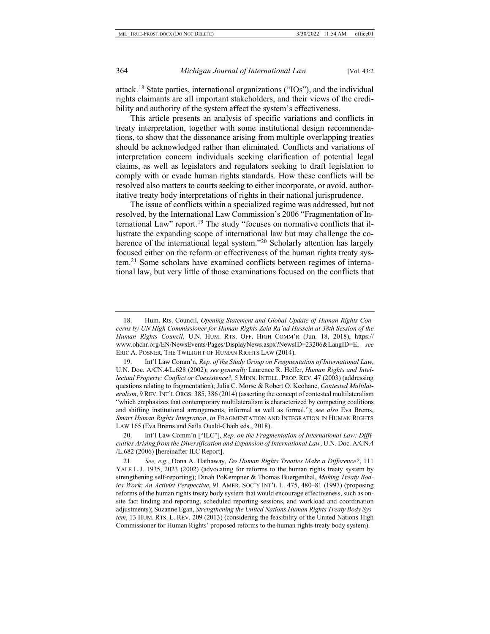<span id="page-4-5"></span>attack.[18](#page-4-0) State parties, international organizations ("IOs"), and the individual rights claimants are all important stakeholders, and their views of the credibility and authority of the system affect the system's effectiveness.

This article presents an analysis of specific variations and conflicts in treaty interpretation, together with some institutional design recommendations, to show that the dissonance arising from multiple overlapping treaties should be acknowledged rather than eliminated. Conflicts and variations of interpretation concern individuals seeking clarification of potential legal claims, as well as legislators and regulators seeking to draft legislation to comply with or evade human rights standards. How these conflicts will be resolved also matters to courts seeking to either incorporate, or avoid, authoritative treaty body interpretations of rights in their national jurisprudence.

<span id="page-4-4"></span>The issue of conflicts within a specialized regime was addressed, but not resolved, by the International Law Commission's 2006 "Fragmentation of In-ternational Law" report.<sup>[19](#page-4-1)</sup> The study "focuses on normative conflicts that illustrate the expanding scope of international law but may challenge the coherence of the international legal system."<sup>20</sup> Scholarly attention has largely focused either on the reform or effectiveness of the human rights treaty system.[21](#page-4-3) Some scholars have examined conflicts between regimes of international law, but very little of those examinations focused on the conflicts that

<span id="page-4-2"></span>20. Int'l Law Comm'n ["ILC"], *Rep. on the Fragmentation of International Law: Difficulties Arising from the Diversification and Expansion of International Law*, U.N. Doc. A/CN.4 /L.682 (2006) [hereinafter ILC Report].

<span id="page-4-0"></span><sup>18.</sup> Hum. Rts. Council, *Opening Statement and Global Update of Human Rights Concerns by UN High Commissioner for Human Rights Zeid Ra'ad Hussein at 38th Session of the Human Rights Council*, U.N. HUM. RTS. OFF. HIGH COMM'R (Jun. 18, 2018), https:// www.ohchr.org/EN/NewsEvents/Pages/DisplayNews.aspx?NewsID=23206&LangID=E; *see*  ERIC A. POSNER, THE TWILIGHT OF HUMAN RIGHTS LAW (2014).

<span id="page-4-1"></span><sup>19.</sup> Int'l Law Comm'n, *Rep. of the Study Group on Fragmentation of International Law*, U.N. Doc. A/CN.4/L.628 (2002); *see generally* Laurence R. Helfer, *Human Rights and Intellectual Property: Conflict or Coexistence?,* 5 MINN. INTELL. PROP. REV. 47 (2003) (addressing questions relating to fragmentation); Julia C. Morse & Robert O. Keohane, *Contested Multilateralism*, 9 REV. INT'L ORGS. 385, 386 (2014) (asserting the concept of contested multilateralism "which emphasizes that contemporary multilateralism is characterized by competing coalitions and shifting institutional arrangements, informal as well as formal."); s*ee also* Eva Brems, *Smart Human Rights Integration*, *in* FRAGMENTATION AND INTEGRATION IN HUMAN RIGHTS LAW 165 (Eva Brems and Saïla Ouald-Chaib eds., 2018).

<span id="page-4-3"></span><sup>21</sup>*. See, e.g.*, Oona A. Hathaway, *Do Human Rights Treaties Make a Difference?*, 111 YALE L.J. 1935, 2023 (2002) (advocating for reforms to the human rights treaty system by strengthening self-reporting); Dinah PoKempner & Thomas Buergenthal, *Making Treaty Bodies Work: An Activist Perspective*, 91 AMER. SOC'Y INT'L L. 475, 480–81 (1997) (proposing reforms of the human rights treaty body system that would encourage effectiveness, such as onsite fact finding and reporting, scheduled reporting sessions, and workload and coordination adjustments); Suzanne Egan, *Strengthening the United Nations Human Rights Treaty Body System*, 13 HUM. RTS. L. REV. 209 (2013) (considering the feasibility of the United Nations High Commissioner for Human Rights' proposed reforms to the human rights treaty body system).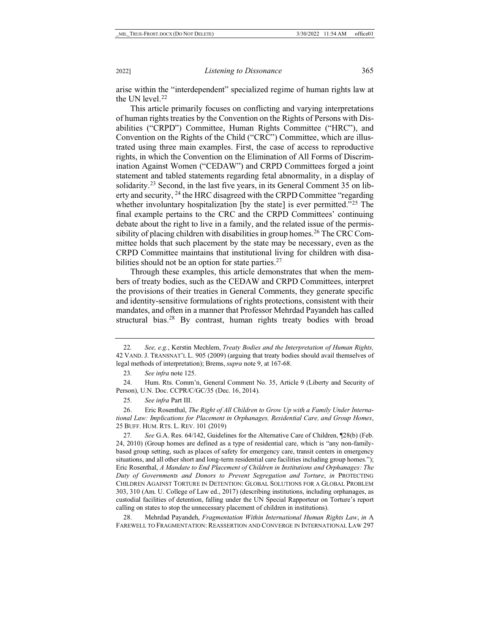<span id="page-5-8"></span>arise within the "interdependent" specialized regime of human rights law at the UN level.<sup>[22](#page-5-0)</sup>

This article primarily focuses on conflicting and varying interpretations of human rights treaties by the Convention on the Rights of Persons with Disabilities ("CRPD") Committee, Human Rights Committee ("HRC"), and Convention on the Rights of the Child ("CRC") Committee, which are illustrated using three main examples. First, the case of access to reproductive rights, in which the Convention on the Elimination of All Forms of Discrimination Against Women ("CEDAW") and CRPD Committees forged a joint statement and tabled statements regarding fetal abnormality, in a display of solidarity.<sup>[23](#page-5-1)</sup> Second, in the last five years, in its General Comment 35 on liberty and security, <sup>24</sup> the HRC disagreed with the CRPD Committee "regarding" whether involuntary hospitalization [by the state] is ever permitted."<sup>[25](#page-5-3)</sup> The final example pertains to the CRC and the CRPD Committees' continuing debate about the right to live in a family, and the related issue of the permissibility of placing children with disabilities in group homes.<sup>26</sup> The CRC Committee holds that such placement by the state may be necessary, even as the CRPD Committee maintains that institutional living for children with disabilities should not be an option for state parties.<sup>27</sup>

<span id="page-5-10"></span><span id="page-5-9"></span>Through these examples, this article demonstrates that when the members of treaty bodies, such as the CEDAW and CRPD Committees, interpret the provisions of their treaties in General Comments, they generate specific and identity-sensitive formulations of rights protections, consistent with their mandates, and often in a manner that Professor Mehrdad Payandeh has called structural bias[.28](#page-5-6) By contrast, human rights treaty bodies with broad

25*. See infra* Part III.

<span id="page-5-7"></span><span id="page-5-0"></span><sup>22</sup>*. See, e.g.*, Kerstin Mechlem, *Treaty Bodies and the Interpretation of Human Rights,* 42 VAND. J. TRANSNAT'L L. 905 (2009) (arguing that treaty bodies should avail themselves of legal methods of interpretation); Brems, *supra* not[e 9,](#page-2-6) at 167-68.

<sup>23</sup>*. See infra* not[e 125.](#page-23-0)

<span id="page-5-2"></span><span id="page-5-1"></span><sup>24.</sup> Hum. Rts. Comm'n, General Comment No. 35, Article 9 (Liberty and Security of Person), U.N. Doc. CCPR/C/GC/35 (Dec. 16, 2014).

<span id="page-5-4"></span><span id="page-5-3"></span><sup>26.</sup> Eric Rosenthal, *The Right of All Children to Grow Up with a Family Under International Law: Implications for Placement in Orphanages, Residential Care, and Group Homes*, 25 BUFF. HUM. RTS. L. REV. 101 (2019)

<span id="page-5-5"></span><sup>27</sup>*. See* G.A. Res. 64/142, Guidelines for the Alternative Care of Children, ¶28(b) (Feb. 24, 2010) (Group homes are defined as a type of residential care, which is "any non-familybased group setting, such as places of safety for emergency care, transit centers in emergency situations, and all other short and long-term residential care facilities including group homes."); Eric Rosenthal, *A Mandate to End Placement of Children in Institutions and Orphanages: The Duty of Governments and Donors to Prevent Segregation and Torture*, *in* PROTECTING CHILDREN AGAINST TORTURE IN DETENTION: GLOBAL SOLUTIONS FOR A GLOBAL PROBLEM 303, 310 (Am. U. College of Law ed., 2017) (describing institutions, including orphanages, as custodial facilities of detention, falling under the UN Special Rapporteur on Torture's report calling on states to stop the unnecessary placement of children in institutions).

<span id="page-5-6"></span><sup>28.</sup> Mehrdad Payandeh, *Fragmentation Within International Human Rights Law*, *in* A FAREWELL TO FRAGMENTATION: REASSERTION AND CONVERGE IN INTERNATIONAL LAW 297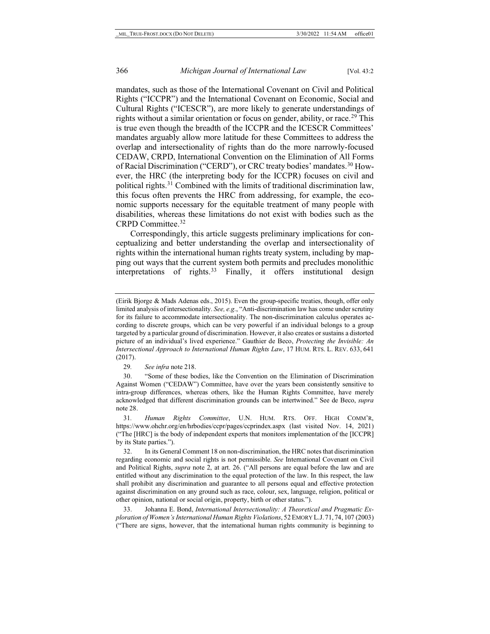mandates, such as those of the International Covenant on Civil and Political Rights ("ICCPR") and the International Covenant on Economic, Social and Cultural Rights ("ICESCR"), are more likely to generate understandings of rights without a similar orientation or focus on gender, ability, or race.<sup>[29](#page-6-0)</sup> This is true even though the breadth of the ICCPR and the ICESCR Committees' mandates arguably allow more latitude for these Committees to address the overlap and intersectionality of rights than do the more narrowly-focused CEDAW, CRPD, International Convention on the Elimination of All Forms of Racial Discrimination ("CERD"), or CRC treaty bodies' mandates.[30](#page-6-1) However, the HRC (the interpreting body for the ICCPR) focuses on civil and political rights.[31](#page-6-2) Combined with the limits of traditional discrimination law, this focus often prevents the HRC from addressing, for example, the economic supports necessary for the equitable treatment of many people with disabilities, whereas these limitations do not exist with bodies such as the CRPD Committee.[32](#page-6-3)

Correspondingly, this article suggests preliminary implications for conceptualizing and better understanding the overlap and intersectionality of rights within the international human rights treaty system, including by mapping out ways that the current system both permits and precludes monolithic interpretations of rights.<sup>[33](#page-6-4)</sup> Finally, it offers institutional design

29*. See infra* not[e 218.](#page-42-0)

<span id="page-6-1"></span><span id="page-6-0"></span>30. "Some of these bodies, like the Convention on the Elimination of Discrimination Against Women ("CEDAW") Committee, have over the years been consistently sensitive to intra-group differences, whereas others, like the Human Rights Committee, have merely acknowledged that different discrimination grounds can be intertwined." See de Beco, *supra* note [28.](#page-5-7) 

<span id="page-6-2"></span>31*. Human Rights Committee*, U.N. HUM. RTS. OFF. HIGH COMM'R, https://www.ohchr.org/en/hrbodies/ccpr/pages/ccprindex.aspx (last visited Nov. 14, 2021) ("The [HRC] is the body of independent experts that monitors implementation of the [ICCPR] by its State parties.").

<span id="page-6-3"></span>32. In its General Comment 18 on non-discrimination, the HRC notes that discrimination regarding economic and social rights is not permissible. *See* International Covenant on Civil and Political Rights, *supra* note [2,](#page-1-6) at art. 26. ("All persons are equal before the law and are entitled without any discrimination to the equal protection of the law. In this respect, the law shall prohibit any discrimination and guarantee to all persons equal and effective protection against discrimination on any ground such as race, colour, sex, language, religion, political or other opinion, national or social origin, property, birth or other status.").

<span id="page-6-4"></span>33. Johanna E. Bond, *International Intersectionality: A Theoretical and Pragmatic Exploration of Women's International Human Rights Violations*, 52EMORY L.J.71, 74, 107 (2003) ("There are signs, however, that the international human rights community is beginning to

<span id="page-6-5"></span><sup>(</sup>Eirik Bjorge & Mads Adenas eds., 2015). Even the group-specific treaties, though, offer only limited analysis of intersectionality. *See, e.g.*, "Anti-discrimination law has come under scrutiny for its failure to accommodate intersectionality. The non-discrimination calculus operates according to discrete groups, which can be very powerful if an individual belongs to a group targeted by a particular ground of discrimination. However, it also creates or sustains a distorted picture of an individual's lived experience." Gauthier de Beco, *Protecting the Invisible: An Intersectional Approach to International Human Rights Law*, 17 HUM. RTS. L. REV. 633, 641 (2017).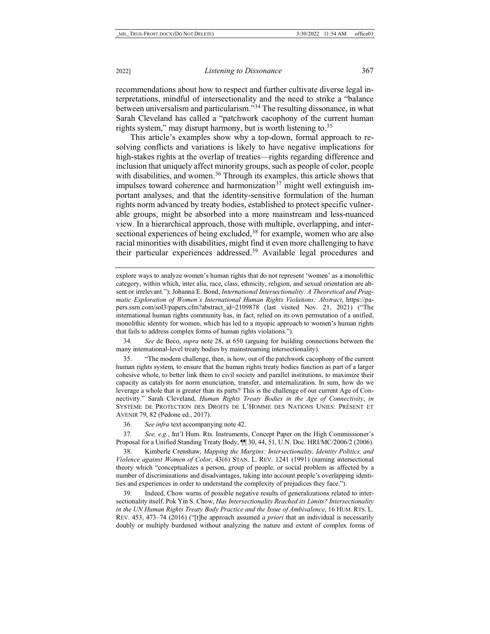recommendations about how to respect and further cultivate diverse legal interpretations, mindful of intersectionality and the need to strike a "balance between universalism and particularism."[34](#page-7-0) The resulting dissonance, in what Sarah Cleveland has called a "patchwork cacophony of the current human rights system," may disrupt harmony, but is worth listening to.<sup>35</sup>

This article's examples show why a top-down, formal approach to resolving conflicts and variations is likely to have negative implications for high-stakes rights at the overlap of treaties—rights regarding difference and inclusion that uniquely affect minority groups, such as people of color, people with disabilities, and women.<sup>[36](#page-7-2)</sup> Through its examples, this article shows that impulses toward coherence and harmonization $37$  might well extinguish important analyses, and that the identity-sensitive formulation of the human rights norm advanced by treaty bodies, established to protect specific vulnerable groups, might be absorbed into a more mainstream and less-nuanced view. In a hierarchical approach, those with multiple, overlapping, and intersectional experiences of being excluded,<sup>38</sup> for example, women who are also racial minorities with disabilities, might find it even more challenging to have their particular experiences addressed[.39](#page-7-5) Available legal procedures and

<span id="page-7-0"></span>34*. See* de Beco, *supra* not[e 28,](#page-5-7) at 650 (arguing for building connections between the many international-level treaty bodies by mainstreaming intersectionality).

<span id="page-7-1"></span>35. "The modern challenge, then, is how, out of the patchwork cacophony of the current human rights system, to ensure that the human rights treaty bodies function as part of a larger cohesive whole, to better link them to civil society and parallel institutions, to maximize their capacity as catalysts for norm enunciation, transfer, and internalization. In sum, how do we leverage a whole that is greater than its parts? This is the challenge of our current Age of Connectivity." Sarah Cleveland, *Human Rights Treaty Bodies in the Age of Connectivity*, *in*  SYSTÈME DE PROTECTION DES DROITS DE L'HOMME DES NATIONS UNIES: PRÉSENT ET AVENIR 79, 82 (Pedone ed., 2017).

36*. See infra* text accompanying note 42.

<span id="page-7-3"></span><span id="page-7-2"></span>37*. See, e.g.*, Int'l Hum. Rts. Instruments, Concept Paper on the High Commissioner's Proposal for a Unified Standing Treaty Body, ¶¶ 30, 44, 51, U.N. Doc. HRI/MC/2006/2 (2006).

<span id="page-7-4"></span>38. Kimberle Crenshaw, *Mapping the Margins: Intersectionality, Identity Politics, and Violence against Women of Color*, 43(6) STAN. L. REV. 1241 (1991) (naming intersectional theory which "conceptualizes a person, group of people, or social problem as affected by a number of discriminations and disadvantages, taking into account people's overlapping identities and experiences in order to understand the complexity of prejudices they face.").

<span id="page-7-5"></span>39. Indeed, Chow warns of possible negative results of generalizations related to intersectionality itself. Pok Yin S. Chow, *Has Intersectionality Reached its Limits? Intersectionality in the UN Human Rights Treaty Body Practice and the Issue of Ambivalence*, 16 HUM. RTS. L. REV. 453, 473–74 (2016) ("[t]he approach assumed *a priori* that an individual is necessarily doubly or multiply burdened without analyzing the nature and extent of complex forms of

<span id="page-7-7"></span><span id="page-7-6"></span>explore ways to analyze women's human rights that do not represent 'women' as a monolithic category, within which, inter alia, race, class, ethnicity, religion, and sexual orientation are absent or irrelevant."); Johanna E. Bond, *International Intersectionality: A Theoretical and Pragmatic Exploration of Women's International Human Rights Violations: Abstract*, https://papers.ssrn.com/sol3/papers.cfm?abstract\_id=2109878 (last visited Nov. 21, 2021) ("The international human rights community has, in fact, relied on its own permutation of a unified, monolithic identity for women, which has led to a myopic approach to women's human rights that fails to address complex forms of human rights violations.").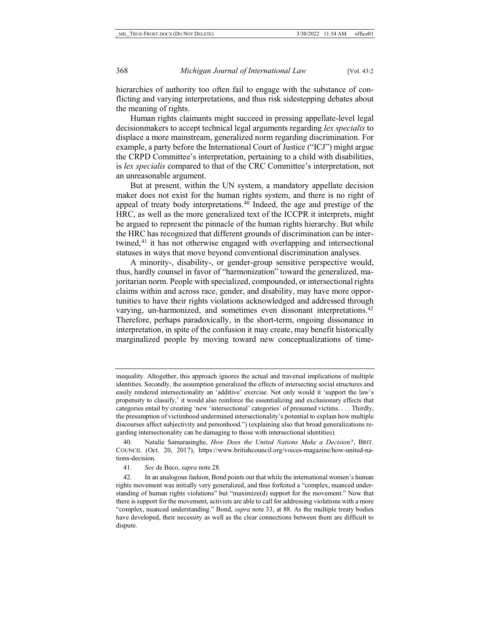hierarchies of authority too often fail to engage with the substance of conflicting and varying interpretations, and thus risk sidestepping debates about the meaning of rights.

Human rights claimants might succeed in pressing appellate-level legal decisionmakers to accept technical legal arguments regarding *lex specialis* to displace a more mainstream, generalized norm regarding discrimination. For example, a party before the International Court of Justice ("ICJ") might argue the CRPD Committee's interpretation, pertaining to a child with disabilities, is *lex specialis* compared to that of the CRC Committee's interpretation, not an unreasonable argument.

But at present, within the UN system, a mandatory appellate decision maker does not exist for the human rights system, and there is no right of appeal of treaty body interpretations.[40](#page-8-0) Indeed, the age and prestige of the HRC, as well as the more generalized text of the ICCPR it interprets, might be argued to represent the pinnacle of the human rights hierarchy. But while the HRC has recognized that different grounds of discrimination can be inter-twined,<sup>[41](#page-8-1)</sup> it has not otherwise engaged with overlapping and intersectional statuses in ways that move beyond conventional discrimination analyses.

A minority-, disability-, or gender-group sensitive perspective would, thus, hardly counsel in favor of "harmonization" toward the generalized, majoritarian norm. People with specialized, compounded, or intersectional rights claims within and across race, gender, and disability, may have more opportunities to have their rights violations acknowledged and addressed through varying, un-harmonized, and sometimes even dissonant interpretations.<sup>[42](#page-8-2)</sup> Therefore, perhaps paradoxically, in the short-term, ongoing dissonance in interpretation, in spite of the confusion it may create, may benefit historically marginalized people by moving toward new conceptualizations of time-

41*. See* de Beco, *supra* not[e 28.](#page-5-7) 

inequality. Altogether, this approach ignores the actual and traversal implications of multiple identities. Secondly, the assumption generalized the effects of intersecting social structures and easily rendered intersectionality an 'additive' exercise. Not only would it 'support the law's propensity to classify,' it would also reinforce the essentializing and exclusionary effects that categories entail by creating 'new 'intersectional' categories' of presumed victims. . . . Thirdly, the presumption of victimhood undermined intersectionality's potential to explain how multiple discourses affect subjectivity and personhood.") (explaining also that broad generalizations regarding intersectionality can be damaging to those with intersectional identities).

<span id="page-8-0"></span><sup>40.</sup> Natalie Samarasinghe, *How Does the United Nations Make a Decision?*, BRIT. COUNCIL (Oct. 20, 2017), https://www.britishcouncil.org/voices-magazine/how-united-nations-decision.

<span id="page-8-2"></span><span id="page-8-1"></span><sup>42.</sup> In an analogous fashion, Bond points out that while the international women's human rights movement was initially very generalized, and thus forfeited a "complex, nuanced understanding of human rights violations" but "maximize(d) support for the movement." Now that there is support for the movement, activists are able to call for addressing violations with a more "complex, nuanced understanding." Bond, *supra* note [33,](#page-6-5) at 88. As the multiple treaty bodies have developed, their necessity as well as the clear connections between them are difficult to dispute.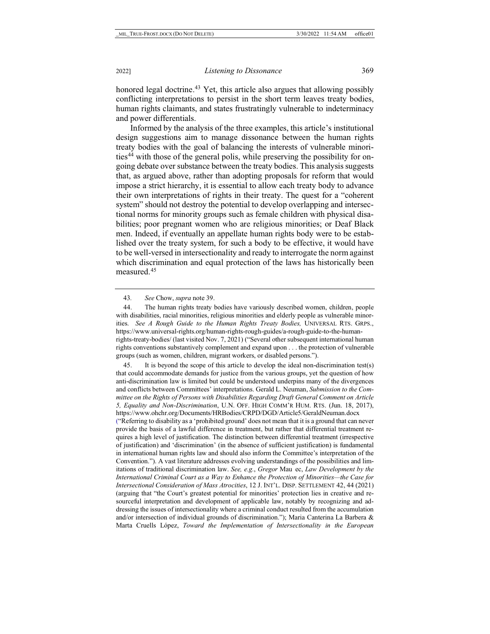honored legal doctrine.<sup>[43](#page-9-0)</sup> Yet, this article also argues that allowing possibly conflicting interpretations to persist in the short term leaves treaty bodies, human rights claimants, and states frustratingly vulnerable to indeterminacy and power differentials.

Informed by the analysis of the three examples, this article's institutional design suggestions aim to manage dissonance between the human rights treaty bodies with the goal of balancing the interests of vulnerable minori-ties<sup>[44](#page-9-1)</sup> with those of the general polis, while preserving the possibility for ongoing debate over substance between the treaty bodies. This analysis suggests that, as argued above, rather than adopting proposals for reform that would impose a strict hierarchy, it is essential to allow each treaty body to advance their own interpretations of rights in their treaty. The quest for a "coherent system" should not destroy the potential to develop overlapping and intersectional norms for minority groups such as female children with physical disabilities; poor pregnant women who are religious minorities; or Deaf Black men. Indeed, if eventually an appellate human rights body were to be established over the treaty system, for such a body to be effective, it would have to be well-versed in intersectionality and ready to interrogate the norm against which discrimination and equal protection of the laws has historically been measured[.45](#page-9-2)

<span id="page-9-1"></span><span id="page-9-0"></span>44. The human rights treaty bodies have variously described women, children, people with disabilities, racial minorities, religious minorities and elderly people as vulnerable minorities. *See A Rough Guide to the Human Rights Treaty Bodies,* UNIVERSAL RTS. GRPS., https://www.universal-rights.org/human-rights-rough-guides/a-rough-guide-to-the-humanrights-treaty-bodies/ (last visited Nov. 7, 2021) ("Several other subsequent international human rights conventions substantively complement and expand upon . . . the protection of vulnerable groups (such as women, children, migrant workers, or disabled persons.").

<span id="page-9-2"></span>45. It is beyond the scope of this article to develop the ideal non-discrimination test(s) that could accommodate demands for justice from the various groups, yet the question of how anti-discrimination law is limited but could be understood underpins many of the divergences and conflicts between Committees' interpretations. Gerald L. Neuman, *Submission to the Committee on the Rights of Persons with Disabilities Regarding Draft General Comment on Article 5, Equality and Non-Discrimination*, U.N. OFF. HIGH COMM'R HUM. RTS. (Jun. 18, 2017), https://www.ohchr.org/Documents/HRBodies/CRPD/DGD/Article5/GeraldNeuman.docx ("Referring to disability as a 'prohibited ground' does not mean that it is a ground that can never provide the basis of a lawful difference in treatment, but rather that differential treatment requires a high level of justification. The distinction between differential treatment (irrespective of justification) and 'discrimination' (in the absence of sufficient justification) is fundamental in international human rights law and should also inform the Committee's interpretation of the Convention."). A vast literature addresses evolving understandings of the possibilities and limitations of traditional discrimination law. *See, e.g.*, *Gregor* Mau� ec, *Law Development by the International Criminal Court as a Way to Enhance the Protection of Minorities—the Case for Intersectional Consideration of Mass Atrocities*, 12 J. INT'L. DISP. SETTLEMENT 42, 44 (2021) (arguing that "the Court's greatest potential for minorities' protection lies in creative and resourceful interpretation and development of applicable law, notably by recognizing and addressing the issues of intersectionality where a criminal conduct resulted from the accumulation and/or intersection of individual grounds of discrimination."); Maria Canterina La Barbera & Marta Cruells López, *Toward the Implementation of Intersectionality in the European* 

<span id="page-9-3"></span><sup>43</sup>*. See* Chow, *supra* not[e 39.](#page-7-6)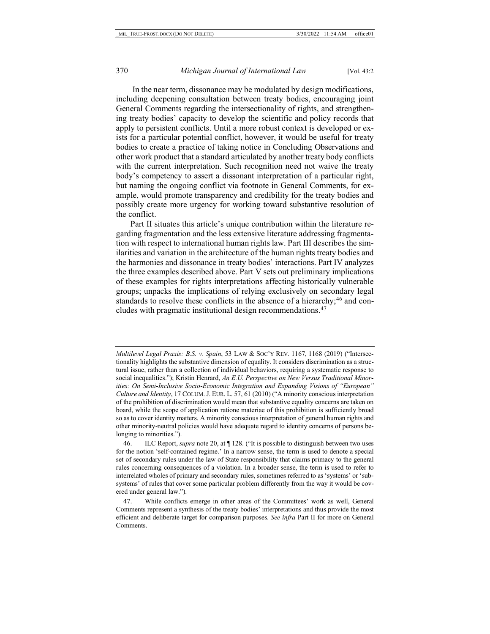In the near term, dissonance may be modulated by design modifications, including deepening consultation between treaty bodies, encouraging joint General Comments regarding the intersectionality of rights, and strengthening treaty bodies' capacity to develop the scientific and policy records that apply to persistent conflicts. Until a more robust context is developed or exists for a particular potential conflict, however, it would be useful for treaty bodies to create a practice of taking notice in Concluding Observations and other work product that a standard articulated by another treaty body conflicts with the current interpretation. Such recognition need not waive the treaty body's competency to assert a dissonant interpretation of a particular right, but naming the ongoing conflict via footnote in General Comments, for example, would promote transparency and credibility for the treaty bodies and possibly create more urgency for working toward substantive resolution of the conflict.

Part II situates this article's unique contribution within the literature regarding fragmentation and the less extensive literature addressing fragmentation with respect to international human rights law. Part III describes the similarities and variation in the architecture of the human rights treaty bodies and the harmonies and dissonance in treaty bodies' interactions. Part IV analyzes the three examples described above. Part V sets out preliminary implications of these examples for rights interpretations affecting historically vulnerable groups; unpacks the implications of relying exclusively on secondary legal standards to resolve these conflicts in the absence of a hierarchy;<sup>46</sup> and concludes with pragmatic institutional design recommendations.[47](#page-10-1)

*Multilevel Legal Praxis: B.S. v. Spain*, 53 LAW & SOC'Y REV. 1167, 1168 (2019) ("Intersectionality highlights the substantive dimension of equality. It considers discrimination as a structural issue, rather than a collection of individual behaviors, requiring a systematic response to social inequalities."); Kristin Henrard, *An E.U. Perspective on New Versus Traditional Minorities: On Semi-Inclusive Socio-Economic Integration and Expanding Visions of "European" Culture and Identity*, 17 COLUM.J. EUR. L. 57, 61 (2010) ("A minority conscious interpretation of the prohibition of discrimination would mean that substantive equality concerns are taken on board, while the scope of application ratione materiae of this prohibition is sufficiently broad so as to cover identity matters. A minority conscious interpretation of general human rights and other minority-neutral policies would have adequate regard to identity concerns of persons belonging to minorities.").

<span id="page-10-0"></span><sup>46.</sup> ILC Report, *supra* not[e 20,](#page-4-4) at ¶ 128. ("It is possible to distinguish between two uses for the notion 'self-contained regime.' In a narrow sense, the term is used to denote a special set of secondary rules under the law of State responsibility that claims primacy to the general rules concerning consequences of a violation. In a broader sense, the term is used to refer to interrelated wholes of primary and secondary rules, sometimes referred to as 'systems' or 'subsystems' of rules that cover some particular problem differently from the way it would be covered under general law.").

<span id="page-10-1"></span><sup>47.</sup> While conflicts emerge in other areas of the Committees' work as well, General Comments represent a synthesis of the treaty bodies' interpretations and thus provide the most efficient and deliberate target for comparison purposes. *See infra* Part II for more on General Comments.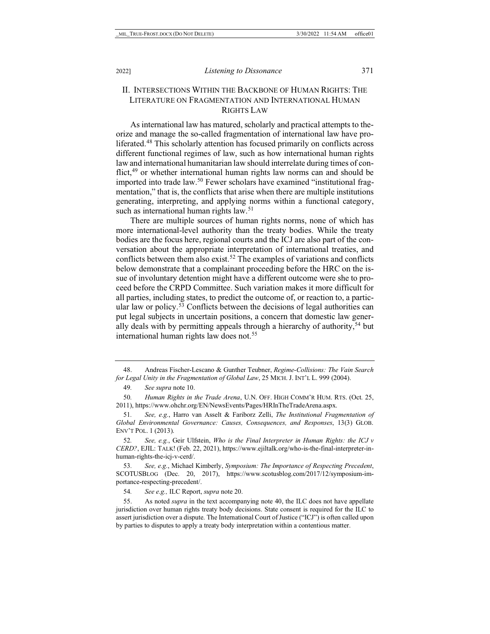## II. INTERSECTIONS WITHIN THE BACKBONE OF HUMAN RIGHTS: THE LITERATURE ON FRAGMENTATION AND INTERNATIONAL HUMAN RIGHTS LAW

As international law has matured, scholarly and practical attempts to theorize and manage the so-called fragmentation of international law have proliferated.[48](#page-11-0) This scholarly attention has focused primarily on conflicts across different functional regimes of law, such as how international human rights law and international humanitarian law should interrelate during times of con-flict,<sup>[49](#page-11-1)</sup> or whether international human rights law norms can and should be imported into trade law.<sup>[50](#page-11-2)</sup> Fewer scholars have examined "institutional fragmentation," that is, the conflicts that arise when there are multiple institutions generating, interpreting, and applying norms within a functional category, such as international human rights law.<sup>[51](#page-11-3)</sup>

There are multiple sources of human rights norms, none of which has more international-level authority than the treaty bodies. While the treaty bodies are the focus here, regional courts and the ICJ are also part of the conversation about the appropriate interpretation of international treaties, and conflicts between them also exist.<sup>[52](#page-11-4)</sup> The examples of variations and conflicts below demonstrate that a complainant proceeding before the HRC on the issue of involuntary detention might have a different outcome were she to proceed before the CRPD Committee. Such variation makes it more difficult for all parties, including states, to predict the outcome of, or reaction to, a particular law or policy.<sup>53</sup> Conflicts between the decisions of legal authorities can put legal subjects in uncertain positions, a concern that domestic law gener-ally deals with by permitting appeals through a hierarchy of authority,<sup>[54](#page-11-6)</sup> but international human rights law does not.<sup>[55](#page-11-7)</sup>

<span id="page-11-4"></span>52*. See, e.g.*, Geir Ulfstein, *Who is the Final Interpreter in Human Rights: the ICJ v CERD?*, EJIL: TALK! (Feb. 22, 2021), https://www.ejiltalk.org/who-is-the-final-interpreter-inhuman-rights-the-icj-v-cerd/.

<span id="page-11-5"></span>53*. See, e.g.*, Michael Kimberly, *Symposium: The Importance of Respecting Precedent*, SCOTUSBLOG (Dec. 20, 2017), https://www.scotusblog.com/2017/12/symposium-importance-respecting-precedent/.

54*. See e.g.,* ILC Report, *supra* not[e 20.](#page-4-4)

<span id="page-11-7"></span><span id="page-11-6"></span>55. As noted *supra* in the text accompanying note 40, the ILC does not have appellate jurisdiction over human rights treaty body decisions. State consent is required for the ILC to assert jurisdiction over a dispute. The International Court of Justice ("ICJ") is often called upon by parties to disputes to apply a treaty body interpretation within a contentious matter.

<span id="page-11-1"></span><span id="page-11-0"></span><sup>48.</sup> Andreas Fischer-Lescano & Gunther Teubner, *Regime-Collisions: The Vain Search for Legal Unity in the Fragmentation of Global Law*, 25 MICH. J. INT'L L. 999 (2004).

<sup>49</sup>*. See supra* not[e 10.](#page-2-7)

<span id="page-11-2"></span><sup>50</sup>*. Human Rights in the Trade Arena*, U.N. OFF. HIGH COMM'R HUM. RTS. (Oct. 25, 2011), https://www.ohchr.org/EN/NewsEvents/Pages/HRInTheTradeArena.aspx.

<span id="page-11-3"></span><sup>51</sup>*. See, e.g.*, Harro van Asselt & Fariborz Zelli, *The Institutional Fragmentation of Global Environmental Governance: Causes, Consequences, and Responses*, 13(3) GLOB. ENV'T POL. 1 (2013).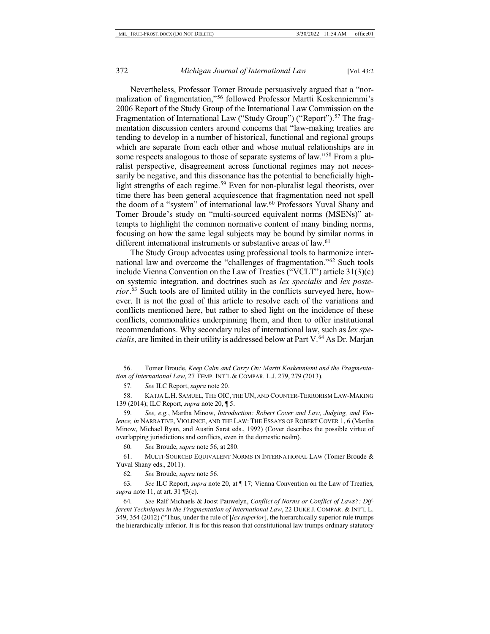<span id="page-12-0"></span>Nevertheless, Professor Tomer Broude persuasively argued that a "normalization of fragmentation,"[56](#page-12-1) followed Professor Martti Koskenniemmi's 2006 Report of the Study Group of the International Law Commission on the Fragmentation of International Law ("Study Group") ("Report").<sup>[57](#page-12-2)</sup> The fragmentation discussion centers around concerns that "law-making treaties are tending to develop in a number of historical, functional and regional groups which are separate from each other and whose mutual relationships are in some respects analogous to those of separate systems of law."[58](#page-12-3) From a pluralist perspective, disagreement across functional regimes may not necessarily be negative, and this dissonance has the potential to beneficially highlight strengths of each regime.[59](#page-12-4) Even for non-pluralist legal theorists, over time there has been general acquiescence that fragmentation need not spell the doom of a "system" of international law.<sup>60</sup> Professors Yuval Shany and Tomer Broude's study on "multi-sourced equivalent norms (MSENs)" attempts to highlight the common normative content of many binding norms, focusing on how the same legal subjects may be bound by similar norms in different international instruments or substantive areas of law.<sup>[61](#page-12-6)</sup>

The Study Group advocates using professional tools to harmonize international law and overcome the "challenges of fragmentation."[62](#page-12-7) Such tools include Vienna Convention on the Law of Treaties ("VCLT") article 31(3)(c) on systemic integration, and doctrines such as *lex specialis* and *lex posterior*. [63](#page-12-8) Such tools are of limited utility in the conflicts surveyed here, however. It is not the goal of this article to resolve each of the variations and conflicts mentioned here, but rather to shed light on the incidence of these conflicts, commonalities underpinning them, and then to offer institutional recommendations. Why secondary rules of international law, such as *lex specialis*, are limited in their utility is addressed below at Part V.<sup>[64](#page-12-9)</sup> As Dr. Marjan

<span id="page-12-4"></span>59*. See, e.g.*, Martha Minow, *Introduction: Robert Cover and Law, Judging, and Violence, in* NARRATIVE, VIOLENCE, AND THE LAW: THE ESSAYS OF ROBERT COVER 1, 6 (Martha Minow, Michael Ryan, and Austin Sarat eds., 1992) (Cover describes the possible virtue of overlapping jurisdictions and conflicts, even in the domestic realm).

60*. See* Broude, *supra* not[e 56,](#page-12-0) at 280.

<span id="page-12-6"></span><span id="page-12-5"></span>61. MULTI-SOURCED EQUIVALENT NORMS IN INTERNATIONAL LAW (Tomer Broude & Yuval Shany eds., 2011).

62*. See* Broude, *supra* not[e 56.](#page-12-0)

<span id="page-12-8"></span><span id="page-12-7"></span>63*. See* ILC Report, *supra* not[e 20,](#page-4-4) at ¶ 17; Vienna Convention on the Law of Treaties, *supra* not[e 11,](#page-2-8) at art. 31 ¶3(c).

<span id="page-12-9"></span>64*. See* Ralf Michaels & Joost Pauwelyn, *Conflict of Norms or Conflict of Laws?: Different Techniques in the Fragmentation of International Law*, 22 DUKE J. COMPAR. & INT'L L. 349, 354 (2012) ("Thus, under the rule of [*lex superior*], the hierarchically superior rule trumps the hierarchically inferior. It is for this reason that constitutional law trumps ordinary statutory

<span id="page-12-1"></span><sup>56.</sup> Tomer Broude, *Keep Calm and Carry On: Martti Koskenniemi and the Fragmentation of International Law*, 27 TEMP. INT'L & COMPAR. L.J. 279, 279 (2013).

<sup>57</sup>*. See* ILC Report, *supra* not[e 20.](#page-4-4)

<span id="page-12-3"></span><span id="page-12-2"></span><sup>58.</sup> KATJA L.H. SAMUEL, THE OIC, THE UN, AND COUNTER-TERRORISM LAW-MAKING 139 (2014); ILC Report, *supra* not[e 20,](#page-4-4) ¶ 5.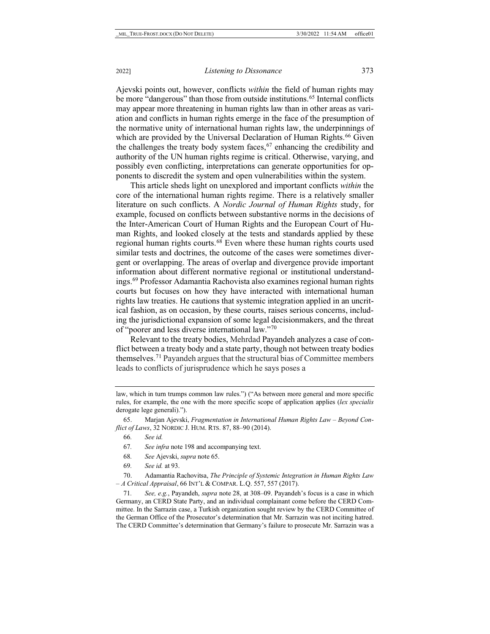<span id="page-13-0"></span>Ajevski points out, however, conflicts *within* the field of human rights may be more "dangerous" than those from outside institutions.<sup>65</sup> Internal conflicts may appear more threatening in human rights law than in other areas as variation and conflicts in human rights emerge in the face of the presumption of the normative unity of international human rights law, the underpinnings of which are provided by the Universal Declaration of Human Rights.<sup>66</sup> Given the challenges the treaty body system faces, $67$  enhancing the credibility and authority of the UN human rights regime is critical. Otherwise, varying, and possibly even conflicting, interpretations can generate opportunities for opponents to discredit the system and open vulnerabilities within the system.

This article sheds light on unexplored and important conflicts *within* the core of the international human rights regime. There is a relatively smaller literature on such conflicts. A *Nordic Journal of Human Rights* study, for example, focused on conflicts between substantive norms in the decisions of the Inter-American Court of Human Rights and the European Court of Human Rights, and looked closely at the tests and standards applied by these regional human rights courts.[68](#page-13-4) Even where these human rights courts used similar tests and doctrines, the outcome of the cases were sometimes divergent or overlapping. The areas of overlap and divergence provide important information about different normative regional or institutional understandings.[69](#page-13-5) Professor Adamantia Rachovista also examines regional human rights courts but focuses on how they have interacted with international human rights law treaties. He cautions that systemic integration applied in an uncritical fashion, as on occasion, by these courts, raises serious concerns, including the jurisdictional expansion of some legal decisionmakers, and the threat of "poorer and less diverse international law."[70](#page-13-6)

Relevant to the treaty bodies, Mehrdad Payandeh analyzes a case of conflict between a treaty body and a state party, though not between treaty bodies themselves.[71](#page-13-7) Payandeh argues that the structural bias of Committee members leads to conflicts of jurisprudence which he says poses a

- 68*. See* Ajevski, *supra* not[e 65.](#page-13-0)
- 69*. See id.* at 93.

<span id="page-13-6"></span><span id="page-13-5"></span><span id="page-13-4"></span>70. Adamantia Rachovitsa, *The Principle of Systemic Integration in Human Rights Law – A Critical Appraisal*, 66 INT'L & COMPAR. L.Q. 557, 557 (2017).

<span id="page-13-7"></span>71*. See, e.g.*, Payandeh, *supra* note [28,](#page-5-7) at 308–09. Payandeh's focus is a case in which Germany, an CERD State Party, and an individual complainant come before the CERD Committee. In the Sarrazin case, a Turkish organization sought review by the CERD Committee of the German Office of the Prosecutor's determination that Mr. Sarrazin was not inciting hatred. The CERD Committee's determination that Germany's failure to prosecute Mr. Sarrazin was a

law, which in turn trumps common law rules.") ("As between more general and more specific rules, for example, the one with the more specific scope of application applies (*lex specialis* derogate lege generali).").

<span id="page-13-3"></span><span id="page-13-2"></span><span id="page-13-1"></span><sup>65.</sup> Marjan Ajevski, *Fragmentation in International Human Rights Law – Beyond Conflict of Laws*, 32 NORDIC J. HUM. RTS. 87, 88–90 (2014).

<sup>66</sup>*. See id.*

<sup>67</sup>*. See infra* note [198](#page-40-0) and accompanying text.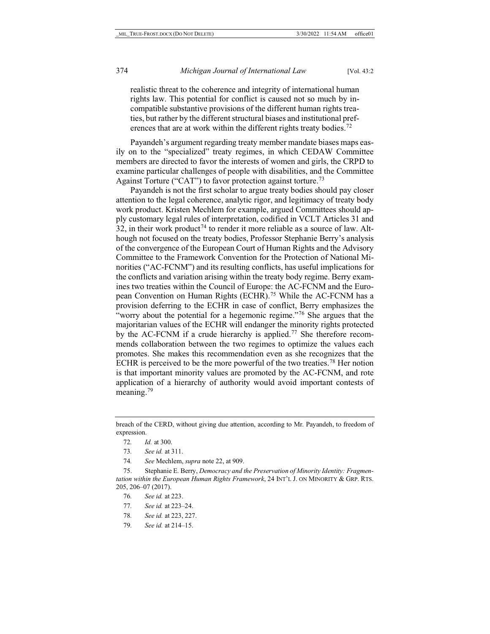realistic threat to the coherence and integrity of international human rights law. This potential for conflict is caused not so much by incompatible substantive provisions of the different human rights treaties, but rather by the different structural biases and institutional pref-erences that are at work within the different rights treaty bodies.<sup>[72](#page-14-0)</sup>

Payandeh's argument regarding treaty member mandate biases maps easily on to the "specialized" treaty regimes, in which CEDAW Committee members are directed to favor the interests of women and girls, the CRPD to examine particular challenges of people with disabilities, and the Committee Against Torture ("CAT") to favor protection against torture.<sup>[73](#page-14-1)</sup>

<span id="page-14-8"></span>Payandeh is not the first scholar to argue treaty bodies should pay closer attention to the legal coherence, analytic rigor, and legitimacy of treaty body work product. Kristen Mechlem for example, argued Committees should apply customary legal rules of interpretation, codified in VCLT Articles 31 and 32, in their work product<sup>[74](#page-14-2)</sup> to render it more reliable as a source of law. Although not focused on the treaty bodies, Professor Stephanie Berry's analysis of the convergence of the European Court of Human Rights and the Advisory Committee to the Framework Convention for the Protection of National Minorities ("AC-FCNM") and its resulting conflicts, has useful implications for the conflicts and variation arising within the treaty body regime. Berry examines two treaties within the Council of Europe: the AC-FCNM and the European Convention on Human Rights (ECHR).[75](#page-14-3) While the AC-FCNM has a provision deferring to the ECHR in case of conflict, Berry emphasizes the "worry about the potential for a hegemonic regime."<sup>[76](#page-14-4)</sup> She argues that the majoritarian values of the ECHR will endanger the minority rights protected by the AC-FCNM if a crude hierarchy is applied.<sup>[77](#page-14-5)</sup> She therefore recommends collaboration between the two regimes to optimize the values each promotes. She makes this recommendation even as she recognizes that the ECHR is perceived to be the more powerful of the two treaties.<sup>[78](#page-14-6)</sup> Her notion is that important minority values are promoted by the AC-FCNM, and rote application of a hierarchy of authority would avoid important contests of meaning.<sup>79</sup>

74*. See* Mechlem, *supra* not[e 22,](#page-5-8) at 909.

<span id="page-14-5"></span><span id="page-14-4"></span><span id="page-14-3"></span><span id="page-14-2"></span><span id="page-14-1"></span>75. Stephanie E. Berry, *Democracy and the Preservation of Minority Identity: Fragmentation within the European Human Rights Framework*, 24 INT'L J. ON MINORITY & GRP. RTS. 205, 206–07 (2017).

- 77*. See id.* at 223–24.
- <span id="page-14-6"></span>78*. See id.* at 223, 227.
- <span id="page-14-7"></span>79*. See id.* at 214–15.

<span id="page-14-0"></span>breach of the CERD, without giving due attention, according to Mr. Payandeh, to freedom of expression.

<sup>72</sup>*. Id.* at 300.

<sup>73</sup>*. See id.* at 311.

<sup>76</sup>*. See id.* at 223.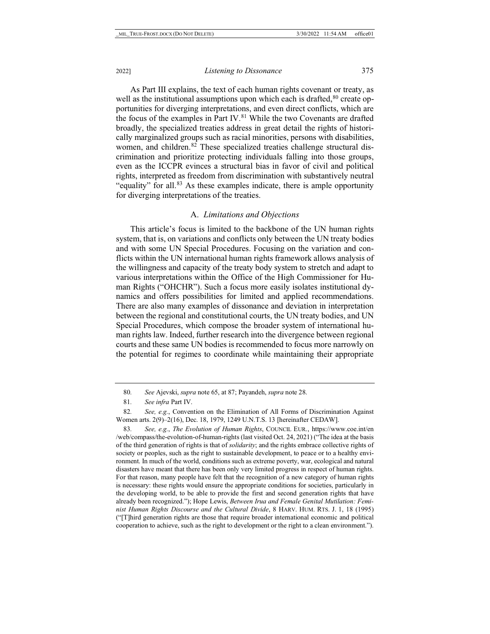As Part III explains, the text of each human rights covenant or treaty, as well as the institutional assumptions upon which each is drafted, $80$  create opportunities for diverging interpretations, and even direct conflicts, which are the focus of the examples in Part IV.<sup>81</sup> While the two Covenants are drafted broadly, the specialized treaties address in great detail the rights of historically marginalized groups such as racial minorities, persons with disabilities, women, and children.<sup>[82](#page-15-2)</sup> These specialized treaties challenge structural discrimination and prioritize protecting individuals falling into those groups, even as the ICCPR evinces a structural bias in favor of civil and political rights, interpreted as freedom from discrimination with substantively neutral "equality" for all.<sup>[83](#page-15-3)</sup> As these examples indicate, there is ample opportunity for diverging interpretations of the treaties.

#### <span id="page-15-4"></span>A. *Limitations and Objections*

This article's focus is limited to the backbone of the UN human rights system, that is, on variations and conflicts only between the UN treaty bodies and with some UN Special Procedures. Focusing on the variation and conflicts within the UN international human rights framework allows analysis of the willingness and capacity of the treaty body system to stretch and adapt to various interpretations within the Office of the High Commissioner for Human Rights ("OHCHR"). Such a focus more easily isolates institutional dynamics and offers possibilities for limited and applied recommendations. There are also many examples of dissonance and deviation in interpretation between the regional and constitutional courts, the UN treaty bodies, and UN Special Procedures, which compose the broader system of international human rights law. Indeed, further research into the divergence between regional courts and these same UN bodies is recommended to focus more narrowly on the potential for regimes to coordinate while maintaining their appropriate

<span id="page-15-3"></span>83*. See, e.g.*, *The Evolution of Human Rights*, COUNCIL EUR., https://www.coe.int/en /web/compass/the-evolution-of-human-rights (last visited Oct. 24, 2021) ("The idea at the basis of the third generation of rights is that of *solidarity*; and the rights embrace collective rights of society or peoples, such as the right to sustainable development, to peace or to a healthy environment. In much of the world, conditions such as extreme poverty, war, ecological and natural disasters have meant that there has been only very limited progress in respect of human rights. For that reason, many people have felt that the recognition of a new category of human rights is necessary: these rights would ensure the appropriate conditions for societies, particularly in the developing world, to be able to provide the first and second generation rights that have already been recognized."); Hope Lewis, *Between Irua and Female Genital Mutilation: Feminist Human Rights Discourse and the Cultural Divide*, 8 HARV. HUM. RTS. J. 1, 18 (1995) ("[T]hird generation rights are those that require broader international economic and political cooperation to achieve, such as the right to development or the right to a clean environment.").

<sup>80</sup>*. See* Ajevski, *supra* not[e 65,](#page-13-0) at 87; Payandeh, *supra* not[e 28.](#page-5-7)

<sup>81</sup>*. See infra* Part IV.

<span id="page-15-2"></span><span id="page-15-1"></span><span id="page-15-0"></span><sup>82</sup>*. See, e.g.*, Convention on the Elimination of All Forms of Discrimination Against Women arts. 2(9)–2(16), Dec. 18, 1979, 1249 U.N.T.S. 13 [hereinafter CEDAW].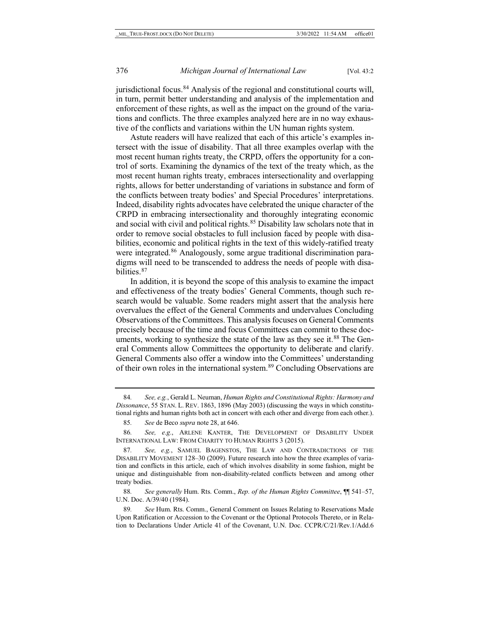jurisdictional focus.<sup>[84](#page-16-0)</sup> Analysis of the regional and constitutional courts will, in turn, permit better understanding and analysis of the implementation and enforcement of these rights, as well as the impact on the ground of the variations and conflicts. The three examples analyzed here are in no way exhaustive of the conflicts and variations within the UN human rights system.

Astute readers will have realized that each of this article's examples intersect with the issue of disability. That all three examples overlap with the most recent human rights treaty, the CRPD, offers the opportunity for a control of sorts. Examining the dynamics of the text of the treaty which, as the most recent human rights treaty, embraces intersectionality and overlapping rights, allows for better understanding of variations in substance and form of the conflicts between treaty bodies' and Special Procedures' interpretations. Indeed, disability rights advocates have celebrated the unique character of the CRPD in embracing intersectionality and thoroughly integrating economic and social with civil and political rights.<sup>[85](#page-16-1)</sup> Disability law scholars note that in order to remove social obstacles to full inclusion faced by people with disabilities, economic and political rights in the text of this widely-ratified treaty were integrated.<sup>[86](#page-16-2)</sup> Analogously, some argue traditional discrimination paradigms will need to be transcended to address the needs of people with disabilities.[87](#page-16-3)

In addition, it is beyond the scope of this analysis to examine the impact and effectiveness of the treaty bodies' General Comments, though such research would be valuable. Some readers might assert that the analysis here overvalues the effect of the General Comments and undervalues Concluding Observations of the Committees. This analysis focuses on General Comments precisely because of the time and focus Committees can commit to these doc-uments, working to synthesize the state of the law as they see it.<sup>[88](#page-16-4)</sup> The General Comments allow Committees the opportunity to deliberate and clarify. General Comments also offer a window into the Committees' understanding of their own roles in the international system.<sup>[89](#page-16-5)</sup> Concluding Observations are

<span id="page-16-6"></span><span id="page-16-0"></span><sup>84</sup>*. See, e.g.*, Gerald L. Neuman, *Human Rights and Constitutional Rights: Harmony and Dissonance*, 55 STAN. L. REV. 1863, 1896 (May 2003) (discussing the ways in which constitutional rights and human rights both act in concert with each other and diverge from each other.).

<sup>85</sup>*. See* de Beco *supra* not[e 28,](#page-5-7) at 646.

<span id="page-16-2"></span><span id="page-16-1"></span><sup>86</sup>*. See, e.g.*, ARLENE KANTER, THE DEVELOPMENT OF DISABILITY UNDER INTERNATIONAL LAW: FROM CHARITY TO HUMAN RIGHTS 3 (2015).

<span id="page-16-3"></span><sup>87</sup>*. See, e.g.*, SAMUEL BAGENSTOS, THE LAW AND CONTRADICTIONS OF THE DISABILITY MOVEMENT 128–30 (2009). Future research into how the three examples of variation and conflicts in this article, each of which involves disability in some fashion, might be unique and distinguishable from non-disability-related conflicts between and among other treaty bodies.

<span id="page-16-4"></span><sup>88</sup>*. See generally* Hum. Rts. Comm., *Rep. of the Human Rights Committee*, ¶¶ 541–57, U.N. Doc. A/39/40 (1984).

<span id="page-16-5"></span><sup>89</sup>*. See* Hum. Rts. Comm., General Comment on Issues Relating to Reservations Made Upon Ratification or Accession to the Covenant or the Optional Protocols Thereto, or in Relation to Declarations Under Article 41 of the Covenant, U.N. Doc. CCPR/C/21/Rev.1/Add.6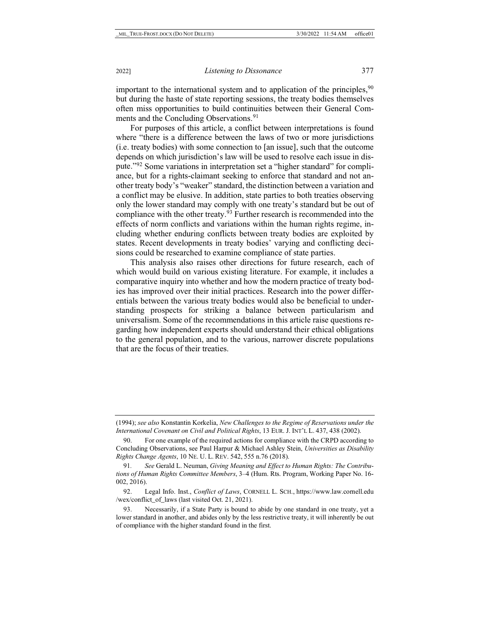important to the international system and to application of the principles,  $90$ but during the haste of state reporting sessions, the treaty bodies themselves often miss opportunities to build continuities between their General Com-ments and the Concluding Observations.<sup>[91](#page-17-1)</sup>

<span id="page-17-5"></span>For purposes of this article, a conflict between interpretations is found where "there is a difference between the laws of two or more jurisdictions (i.e. treaty bodies) with some connection to [an issue], such that the outcome depends on which jurisdiction's law will be used to resolve each issue in dispute."[92](#page-17-2) Some variations in interpretation set a "higher standard" for compliance, but for a rights-claimant seeking to enforce that standard and not another treaty body's "weaker" standard, the distinction between a variation and a conflict may be elusive. In addition, state parties to both treaties observing only the lower standard may comply with one treaty's standard but be out of compliance with the other treaty.<sup>93</sup> Further research is recommended into the effects of norm conflicts and variations within the human rights regime, including whether enduring conflicts between treaty bodies are exploited by states. Recent developments in treaty bodies' varying and conflicting decisions could be researched to examine compliance of state parties.

<span id="page-17-4"></span>This analysis also raises other directions for future research, each of which would build on various existing literature. For example, it includes a comparative inquiry into whether and how the modern practice of treaty bodies has improved over their initial practices. Research into the power differentials between the various treaty bodies would also be beneficial to understanding prospects for striking a balance between particularism and universalism. Some of the recommendations in this article raise questions regarding how independent experts should understand their ethical obligations to the general population, and to the various, narrower discrete populations that are the focus of their treaties.

<sup>(1994);</sup> *see also* Konstantin Korkelia, *New Challenges to the Regime of Reservations under the International Covenant on Civil and Political Rights*, 13 EUR. J. INT'L L. 437, 438 (2002).

<span id="page-17-0"></span><sup>90.</sup> For one example of the required actions for compliance with the CRPD according to Concluding Observations, see Paul Harpur & Michael Ashley Stein, *Universities as Disability Rights Change Agents*, 10 NE. U. L. REV. 542, 555 n.76 (2018).

<span id="page-17-1"></span><sup>91</sup>*. See* Gerald L. Neuman, *Giving Meaning and Effect to Human Rights: The Contributions of Human Rights Committee Members*, 3–4 (Hum. Rts. Program, Working Paper No. 16- 002, 2016).

<span id="page-17-2"></span><sup>92.</sup> Legal Info. Inst., *Conflict of Laws*, CORNELL L. SCH., https://www.law.cornell.edu /wex/conflict\_of\_laws (last visited Oct. 21, 2021).

<span id="page-17-3"></span><sup>93.</sup> Necessarily, if a State Party is bound to abide by one standard in one treaty, yet a lower standard in another, and abides only by the less restrictive treaty, it will inherently be out of compliance with the higher standard found in the first.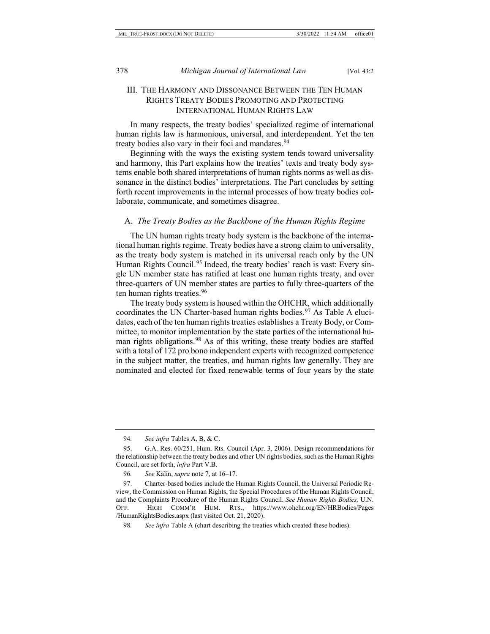## III. THE HARMONY AND DISSONANCE BETWEEN THE TEN HUMAN RIGHTS TREATY BODIES PROMOTING AND PROTECTING INTERNATIONAL HUMAN RIGHTS LAW

In many respects, the treaty bodies' specialized regime of international human rights law is harmonious, universal, and interdependent. Yet the ten treaty bodies also vary in their foci and mandates.<sup>[94](#page-18-0)</sup>

Beginning with the ways the existing system tends toward universality and harmony, this Part explains how the treaties' texts and treaty body systems enable both shared interpretations of human rights norms as well as dissonance in the distinct bodies' interpretations. The Part concludes by setting forth recent improvements in the internal processes of how treaty bodies collaborate, communicate, and sometimes disagree.

#### A. *The Treaty Bodies as the Backbone of the Human Rights Regime*

The UN human rights treaty body system is the backbone of the international human rights regime. Treaty bodies have a strong claim to universality, as the treaty body system is matched in its universal reach only by the UN Human Rights Council.<sup>95</sup> Indeed, the treaty bodies' reach is vast: Every single UN member state has ratified at least one human rights treaty, and over three-quarters of UN member states are parties to fully three-quarters of the ten human rights treaties.[96](#page-18-2)

<span id="page-18-5"></span>The treaty body system is housed within the OHCHR, which additionally coordinates the UN Charter-based human rights bodies.<sup>[97](#page-18-3)</sup> As Table A elucidates, each of the ten human rights treaties establishes a Treaty Body, or Committee, to monitor implementation by the state parties of the international hu-man rights obligations.<sup>[98](#page-18-4)</sup> As of this writing, these treaty bodies are staffed with a total of 172 pro bono independent experts with recognized competence in the subject matter, the treaties, and human rights law generally. They are nominated and elected for fixed renewable terms of four years by the state

<sup>94</sup>*. See infra* Tables A, B, & C.

<span id="page-18-1"></span><span id="page-18-0"></span><sup>95.</sup> G.A. Res. 60/251, Hum. Rts. Council (Apr. 3, 2006). Design recommendations for the relationship between the treaty bodies and other UN rights bodies, such as the Human Rights Council, are set forth, *infra* Part V.B.

<sup>96</sup>*. See* Kälin, *supra* not[e 7,](#page-2-9) at 16–17.

<span id="page-18-3"></span><span id="page-18-2"></span><sup>97.</sup> Charter-based bodies include the Human Rights Council, the Universal Periodic Review, the Commission on Human Rights, the Special Procedures of the Human Rights Council, and the Complaints Procedure of the Human Rights Council. *See Human Rights Bodies,* U.N. OFF. HIGH COMM'R HUM. RTS., https://www.ohchr.org/EN/HRBodies/Pages /HumanRightsBodies.aspx (last visited Oct. 21, 2020).

<span id="page-18-4"></span><sup>98</sup>*. See infra* Table A (chart describing the treaties which created these bodies).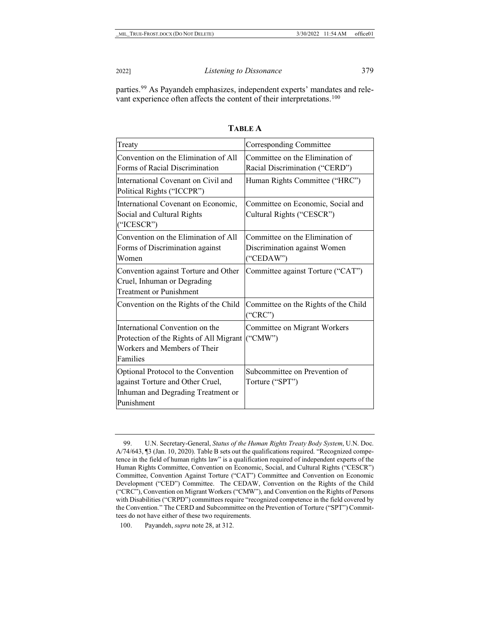<span id="page-19-2"></span>parties.[99](#page-19-0) As Payandeh emphasizes, independent experts' mandates and rele-vant experience often affects the content of their interpretations.<sup>[100](#page-19-1)</sup>

| Treaty                                                                                                                      | Corresponding Committee                                                      |
|-----------------------------------------------------------------------------------------------------------------------------|------------------------------------------------------------------------------|
| Convention on the Elimination of All<br>Forms of Racial Discrimination                                                      | Committee on the Elimination of<br>Racial Discrimination ("CERD")            |
| International Covenant on Civil and<br>Political Rights ("ICCPR")                                                           | Human Rights Committee ("HRC")                                               |
| International Covenant on Economic,<br>Social and Cultural Rights<br>("ICESCR")                                             | Committee on Economic, Social and<br>Cultural Rights ("CESCR")               |
| Convention on the Elimination of All<br>Forms of Discrimination against<br>Women                                            | Committee on the Elimination of<br>Discrimination against Women<br>("CEDAW") |
| Convention against Torture and Other<br>Cruel, Inhuman or Degrading<br><b>Treatment or Punishment</b>                       | Committee against Torture ("CAT")                                            |
| Convention on the Rights of the Child                                                                                       | Committee on the Rights of the Child<br>("CRC")                              |
| International Convention on the<br>Protection of the Rights of All Migrant<br>Workers and Members of Their<br>Families      | Committee on Migrant Workers<br>$(^{\circ}CMW")$                             |
| Optional Protocol to the Convention<br>against Torture and Other Cruel,<br>Inhuman and Degrading Treatment or<br>Punishment | Subcommittee on Prevention of<br>Torture ("SPT")                             |

**TABLE A**

<span id="page-19-0"></span><sup>99.</sup> U.N. Secretary-General, *Status of the Human Rights Treaty Body System*, U.N. Doc. A/74/643, ¶3 (Jan. 10, 2020). Table B sets out the qualifications required. "Recognized competence in the field of human rights law" is a qualification required of independent experts of the Human Rights Committee, Convention on Economic, Social, and Cultural Rights ("CESCR") Committee, Convention Against Torture ("CAT") Committee and Convention on Economic Development ("CED") Committee. The CEDAW, Convention on the Rights of the Child ("CRC"), Convention on Migrant Workers ("CMW"), and Convention on the Rights of Persons with Disabilities ("CRPD") committees require "recognized competence in the field covered by the Convention." The CERD and Subcommittee on the Prevention of Torture ("SPT") Committees do not have either of these two requirements.

<span id="page-19-1"></span><sup>100.</sup> Payandeh, *supra* not[e 28,](#page-5-7) at 312.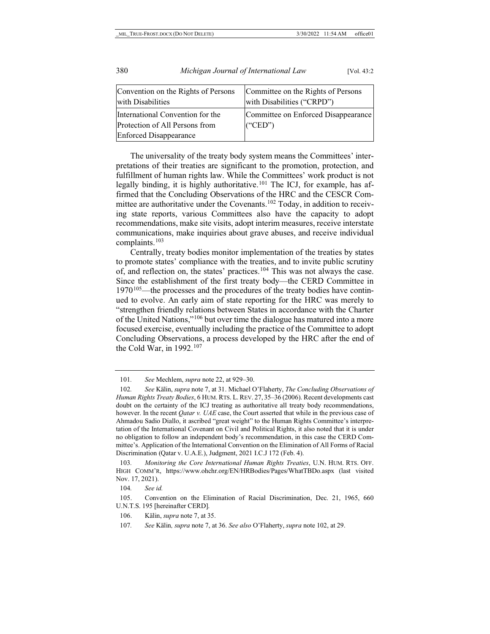| Convention on the Rights of Persons<br>with Disabilities | Committee on the Rights of Persons<br>with Disabilities ("CRPD") |
|----------------------------------------------------------|------------------------------------------------------------------|
| International Convention for the                         | Committee on Enforced Disappearance                              |
| Protection of All Persons from                           | $(\text{``CED''})$                                               |
| <b>Enforced Disappearance</b>                            |                                                                  |

<span id="page-20-0"></span>The universality of the treaty body system means the Committees' interpretations of their treaties are significant to the promotion, protection, and fulfillment of human rights law. While the Committees' work product is not legally binding, it is highly authoritative.<sup>[101](#page-20-1)</sup> The ICJ, for example, has affirmed that the Concluding Observations of the HRC and the CESCR Committee are authoritative under the Covenants.<sup>102</sup> Today, in addition to receiving state reports, various Committees also have the capacity to adopt recommendations, make site visits, adopt interim measures, receive interstate communications, make inquiries about grave abuses, and receive individual complaints.[103](#page-20-3)

<span id="page-20-8"></span>Centrally, treaty bodies monitor implementation of the treaties by states to promote states' compliance with the treaties, and to invite public scrutiny of, and reflection on, the states' practices.[104](#page-20-4) This was not always the case. Since the establishment of the first treaty body—the CERD Committee in  $1970^{105}$  $1970^{105}$  $1970^{105}$ —the processes and the procedures of the treaty bodies have continued to evolve. An early aim of state reporting for the HRC was merely to "strengthen friendly relations between States in accordance with the Charter of the United Nations,"[106](#page-20-6) but over time the dialogue has matured into a more focused exercise, eventually including the practice of the Committee to adopt Concluding Observations, a process developed by the HRC after the end of the Cold War, in  $1992.<sup>107</sup>$  $1992.<sup>107</sup>$  $1992.<sup>107</sup>$ 

<sup>101</sup>*. See* Mechlem, *supra* not[e 22,](#page-5-8) at 929–30.

<span id="page-20-2"></span><span id="page-20-1"></span><sup>102</sup>*. See* Kälin, *supra* not[e 7,](#page-2-9) at 31. Michael O'Flaherty, *The Concluding Observations of Human Rights Treaty Bodies*, 6 HUM. RTS. L. REV. 27, 35–36 (2006). Recent developments cast doubt on the certainty of the ICJ treating as authoritative all treaty body recommendations, however. In the recent *Qatar v. UAE* case, the Court asserted that while in the previous case of Ahmadou Sadio Diallo, it ascribed "great weight" to the Human Rights Committee's interpretation of the International Covenant on Civil and Political Rights, it also noted that it is under no obligation to follow an independent body's recommendation, in this case the CERD Committee's. Application of the International Convention on the Elimination of All Forms of Racial Discrimination (Qatar v. U.A.E.), Judgment, 2021 I.C.J 172 (Feb. 4).

<span id="page-20-3"></span><sup>103</sup>*. Monitoring the Core International Human Rights Treaties*, U.N. HUM. RTS. OFF. HIGH COMM'R, https://www.ohchr.org/EN/HRBodies/Pages/WhatTBDo.aspx (last visited Nov. 17, 2021).

<sup>104</sup>*. See id.*

<span id="page-20-6"></span><span id="page-20-5"></span><span id="page-20-4"></span><sup>105.</sup> Convention on the Elimination of Racial Discrimination, Dec. 21, 1965, 660 U.N.T.S. 195 [hereinafter CERD].

<span id="page-20-7"></span><sup>106.</sup> Kälin, *supra* not[e 7,](#page-2-9) at 35.

<sup>107</sup>*. See* Kälin*, supra* not[e 7,](#page-2-9) at 36. *See also* O'Flaherty, *supra* not[e 102,](#page-20-0) at 29.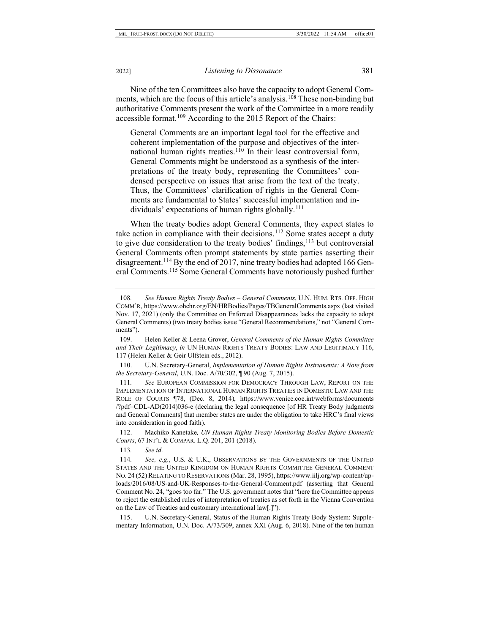Nine of the ten Committees also have the capacity to adopt General Comments, which are the focus of this article's analysis.[108](#page-21-0) These non-binding but authoritative Comments present the work of the Committee in a more readily accessible format.<sup>109</sup> According to the 2015 Report of the Chairs:

<span id="page-21-9"></span>General Comments are an important legal tool for the effective and coherent implementation of the purpose and objectives of the international human rights treaties. $110$  In their least controversial form, General Comments might be understood as a synthesis of the interpretations of the treaty body, representing the Committees' condensed perspective on issues that arise from the text of the treaty. Thus, the Committees' clarification of rights in the General Comments are fundamental to States' successful implementation and in-dividuals' expectations of human rights globally.<sup>[111](#page-21-3)</sup>

When the treaty bodies adopt General Comments, they expect states to take action in compliance with their decisions.<sup>[112](#page-21-4)</sup> Some states accept a duty to give due consideration to the treaty bodies' findings,<sup>[113](#page-21-5)</sup> but controversial General Comments often prompt statements by state parties asserting their disagreement.<sup>[114](#page-21-6)</sup> By the end of 2017, nine treaty bodies had adopted 166 Gen-eral Comments.<sup>[115](#page-21-7)</sup> Some General Comments have notoriously pushed further

<span id="page-21-2"></span>110. U.N. Secretary-General, *Implementation of Human Rights Instruments: A Note from the Secretary-General*, U.N. Doc. A/70/302, ¶ 90 (Aug. 7, 2015).

<span id="page-21-3"></span>111*. See* EUROPEAN COMMISSION FOR DEMOCRACY THROUGH LAW, REPORT ON THE IMPLEMENTATION OF INTERNATIONAL HUMAN RIGHTS TREATIES IN DOMESTIC LAW AND THE ROLE OF COURTS ¶78, (Dec. 8, 2014), https://www.venice.coe.int/webforms/documents /?pdf=CDL-AD(2014)036-e (declaring the legal consequence [of HR Treaty Body judgments and General Comments] that member states are under the obligation to take HRC's final views into consideration in good faith).

<span id="page-21-4"></span>112. Machiko Kanetake*, UN Human Rights Treaty Monitoring Bodies Before Domestic Courts*, 67 INT'L & COMPAR. L.Q. 201, 201 (2018).

113*. See id*.

<span id="page-21-8"></span><span id="page-21-0"></span><sup>108</sup>*. See Human Rights Treaty Bodies – General Comments*, U.N. HUM. RTS. OFF. HIGH COMM'R, https://www.ohchr.org/EN/HRBodies/Pages/TBGeneralComments.aspx (last visited Nov. 17, 2021) (only the Committee on Enforced Disappearances lacks the capacity to adopt General Comments) (two treaty bodies issue "General Recommendations," not "General Comments").

<span id="page-21-1"></span><sup>109.</sup> Helen Keller & Leena Grover, *General Comments of the Human Rights Committee and Their Legitimacy*, *in* UN HUMAN RIGHTS TREATY BODIES: LAW AND LEGITIMACY 116, 117 (Helen Keller & Geir Ulfstein eds., 2012).

<span id="page-21-6"></span><span id="page-21-5"></span><sup>114</sup>*. See, e.g.*, U.S. & U.K., OBSERVATIONS BY THE GOVERNMENTS OF THE UNITED STATES AND THE UNITED KINGDOM ON HUMAN RIGHTS COMMITTEE GENERAL COMMENT NO. 24 (52) RELATING TO RESERVATIONS (Mar. 28, 1995), https://www.iilj.org/wp-content/uploads/2016/08/US-and-UK-Responses-to-the-General-Comment.pdf (asserting that General Comment No. 24, "goes too far." The U.S. government notes that "here the Committee appears to reject the established rules of interpretation of treaties as set forth in the Vienna Convention on the Law of Treaties and customary international law[.]").

<span id="page-21-7"></span><sup>115.</sup> U.N. Secretary-General, Status of the Human Rights Treaty Body System: Supplementary Information, U.N. Doc. A/73/309, annex XXI (Aug. 6, 2018). Nine of the ten human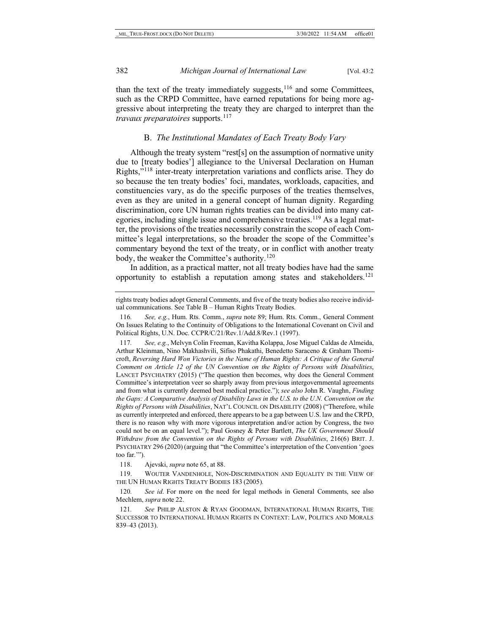than the text of the treaty immediately suggests,  $116$  and some Committees, such as the CRPD Committee, have earned reputations for being more aggressive about interpreting the treaty they are charged to interpret than the *travaux preparatoires* supports.<sup>[117](#page-22-1)</sup>

#### <span id="page-22-6"></span>B. *The Institutional Mandates of Each Treaty Body Vary*

Although the treaty system "rest[s] on the assumption of normative unity due to [treaty bodies'] allegiance to the Universal Declaration on Human Rights,"[118](#page-22-2) inter-treaty interpretation variations and conflicts arise. They do so because the ten treaty bodies' foci, mandates, workloads, capacities, and constituencies vary, as do the specific purposes of the treaties themselves, even as they are united in a general concept of human dignity. Regarding discrimination, core UN human rights treaties can be divided into many cat-egories, including single issue and comprehensive treaties.<sup>[119](#page-22-3)</sup> As a legal matter, the provisions of the treaties necessarily constrain the scope of each Committee's legal interpretations, so the broader the scope of the Committee's commentary beyond the text of the treaty, or in conflict with another treaty body, the weaker the Committee's authority.<sup>[120](#page-22-4)</sup>

In addition, as a practical matter, not all treaty bodies have had the same opportunity to establish a reputation among states and stakeholders.<sup>121</sup>

118. Ajevski, *supra* not[e 65,](#page-13-0) at 88.

<span id="page-22-3"></span><span id="page-22-2"></span>119. WOUTER VANDENHOLE, NON-DISCRIMINATION AND EQUALITY IN THE VIEW OF THE UN HUMAN RIGHTS TREATY BODIES 183 (2005).

<span id="page-22-4"></span>120*. See id*. For more on the need for legal methods in General Comments, see also Mechlem, *supra* not[e 22.](#page-5-8)

<span id="page-22-5"></span>121*. See* PHILIP ALSTON & RYAN GOODMAN, INTERNATIONAL HUMAN RIGHTS, THE SUCCESSOR TO INTERNATIONAL HUMAN RIGHTS IN CONTEXT: LAW, POLITICS AND MORALS 839–43 (2013).

rights treaty bodies adopt General Comments, and five of the treaty bodies also receive individual communications. See Table B – Human Rights Treaty Bodies.

<span id="page-22-0"></span><sup>116</sup>*. See, e.g.*, Hum. Rts. Comm., *supra* note [89;](#page-16-6) Hum. Rts. Comm., General Comment On Issues Relating to the Continuity of Obligations to the International Covenant on Civil and Political Rights, U.N. Doc. CCPR/C/21/Rev.1/Add.8/Rev.1 (1997).

<span id="page-22-1"></span><sup>117</sup>*. See, e.g.*, Melvyn Colin Freeman, Kavitha Kolappa, Jose Miguel Caldas de Almeida, Arthur Kleinman, Nino Makhashvili, Sifiso Phakathi, Benedetto Saraceno & Graham Thornicroft, *Reversing Hard Won Victories in the Name of Human Rights: A Critique of the General Comment on Article 12 of the UN Convention on the Rights of Persons with Disabilities*, LANCET PSYCHIATRY (2015) ("The question then becomes, why does the General Comment Committee's interpretation veer so sharply away from previous intergovernmental agreements and from what is currently deemed best medical practice."); *see also* John R. Vaughn, *Finding the Gaps: A Comparative Analysis of Disability Laws in the U.S. to the U.N. Convention on the Rights of Persons with Disabilities*, NAT'L COUNCIL ON DISABILITY (2008) ("Therefore, while as currently interpreted and enforced, there appears to be a gap between U.S. law and the CRPD, there is no reason why with more vigorous interpretation and/or action by Congress, the two could not be on an equal level."); Paul Gosney & Peter Bartlett, *The UK Government Should Withdraw from the Convention on the Rights of Persons with Disabilities*, 216(6) BRIT. J. PSYCHIATRY 296 (2020) (arguing that "the Committee's interpretation of the Convention 'goes too far.'").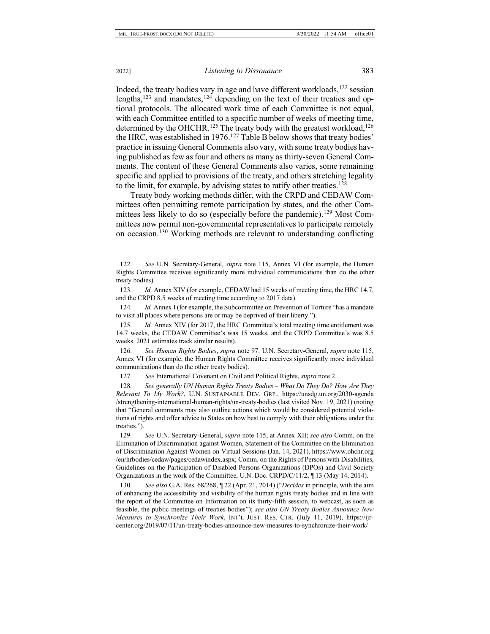<span id="page-23-0"></span>Indeed, the treaty bodies vary in age and have different workloads, $122$  session lengths, $123$  and mandates,  $124$  depending on the text of their treaties and optional protocols. The allocated work time of each Committee is not equal, with each Committee entitled to a specific number of weeks of meeting time, determined by the OHCHR.<sup>[125](#page-23-4)</sup> The treaty body with the greatest workload,<sup>126</sup> the HRC, was established in 1976.<sup>[127](#page-23-6)</sup> Table B below shows that treaty bodies' practice in issuing General Comments also vary, with some treaty bodies having published as few as four and others as many as thirty-seven General Comments. The content of these General Comments also varies, some remaining specific and applied to provisions of the treaty, and others stretching legality to the limit, for example, by advising states to ratify other treaties.<sup>[128](#page-23-7)</sup>

Treaty body working methods differ, with the CRPD and CEDAW Committees often permitting remote participation by states, and the other Com-mittees less likely to do so (especially before the pandemic).<sup>[129](#page-23-8)</sup> Most Committees now permit non-governmental representatives to participate remotely on occasion.[130](#page-23-9) Working methods are relevant to understanding conflicting

<span id="page-23-5"></span>126*. See Human Rights Bodies*, *supra* note [97.](#page-18-5) U.N. Secretary-General, *supra* note [115,](#page-21-8) Annex VI (for example, the Human Rights Committee receives significantly more individual communications than do the other treaty bodies).

127*. See* International Covenant on Civil and Political Rights, *supra* not[e 2.](#page-1-6) 

<span id="page-23-7"></span><span id="page-23-6"></span>128*. See generally UN Human Rights Treaty Bodies – What Do They Do? How Are They Relevant To My Work?*, U.N. SUSTAINABLE DEV. GRP., https://unsdg.un.org/2030-agenda /strengthening-international-human-rights/un-treaty-bodies (last visited Nov. 19, 2021) (noting that "General comments may also outline actions which would be considered potential violations of rights and offer advice to States on how best to comply with their obligations under the treaties.").

<span id="page-23-8"></span>129*. See* U.N. Secretary-General, *supra* note [115,](#page-21-8) at Annex XII; *see also* Comm. on the Elimination of Discrimination against Women, Statement of the Committee on the Elimination of Discrimination Against Women on Virtual Sessions (Jan. 14, 2021), https://www.ohchr.org /en/hrbodies/cedaw/pages/cedawindex.aspx; Comm. on the Rights of Persons with Disabilities, Guidelines on the Participation of Disabled Persons Organizations (DPOs) and Civil Society Organizations in the work of the Committee, U.N. Doc. CRPD/C/11/2, ¶ 13 (May 14, 2014).

<span id="page-23-9"></span>130*. See also* G.A. Res. 68/268, ¶ 22 (Apr. 21, 2014) ("*Decides* in principle, with the aim of enhancing the accessibility and visibility of the human rights treaty bodies and in line with the report of the Committee on Information on its thirty-fifth session, to webcast, as soon as feasible, the public meetings of treaties bodies"); *see also UN Treaty Bodies Announce New Measures to Synchronize Their Work*, INT'L JUST. RES. CTR. (July 11, 2019), https://ijrcenter.org/2019/07/11/un-treaty-bodies-announce-new-measures-to-synchronize-their-work/

<span id="page-23-10"></span><span id="page-23-1"></span><sup>122</sup>*. See* U.N. Secretary-General, *supra* note [115,](#page-21-8) Annex VI (for example, the Human Rights Committee receives significantly more individual communications than do the other treaty bodies).

<span id="page-23-2"></span><sup>123</sup>*. Id.* Annex XIV (for example, CEDAW had 15 weeks of meeting time, the HRC 14.7, and the CRPD 8.5 weeks of meeting time according to 2017 data).

<span id="page-23-3"></span><sup>124</sup>*. Id.* Annex I (for example, the Subcommittee on Prevention of Torture "has a mandate to visit all places where persons are or may be deprived of their liberty.").

<span id="page-23-4"></span><sup>125</sup>*. Id.* Annex XIV (for 2017, the HRC Committee's total meeting time entitlement was 14.7 weeks, the CEDAW Committee's was 15 weeks, and the CRPD Committee's was 8.5 weeks. 2021 estimates track similar results).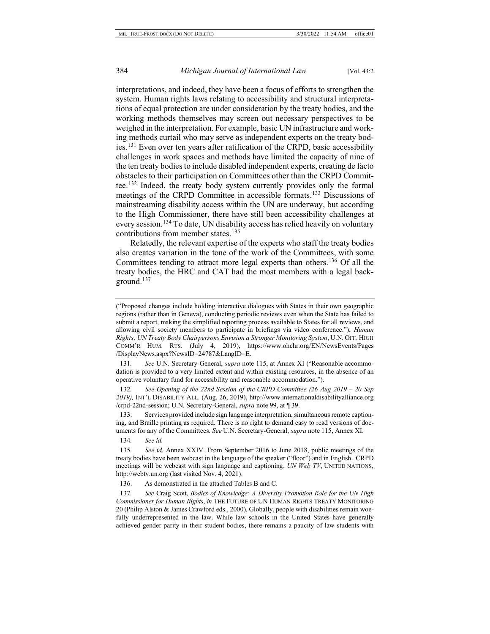interpretations, and indeed, they have been a focus of efforts to strengthen the system. Human rights laws relating to accessibility and structural interpretations of equal protection are under consideration by the treaty bodies, and the working methods themselves may screen out necessary perspectives to be weighed in the interpretation. For example, basic UN infrastructure and working methods curtail who may serve as independent experts on the treaty bodies.[131](#page-24-0) Even over ten years after ratification of the CRPD, basic accessibility challenges in work spaces and methods have limited the capacity of nine of the ten treaty bodies to include disabled independent experts, creating de facto obstacles to their participation on Committees other than the CRPD Committee[.132](#page-24-1) Indeed, the treaty body system currently provides only the formal meetings of the CRPD Committee in accessible formats.[133](#page-24-2) Discussions of mainstreaming disability access within the UN are underway, but according to the High Commissioner, there have still been accessibility challenges at every session.<sup>[134](#page-24-3)</sup> To date, UN disability access has relied heavily on voluntary contributions from member states.<sup>[135](#page-24-4)</sup>

Relatedly, the relevant expertise of the experts who staff the treaty bodies also creates variation in the tone of the work of the Committees, with some Committees tending to attract more legal experts than others.[136](#page-24-5) Of all the treaty bodies, the HRC and CAT had the most members with a legal background.[137](#page-24-6)

<span id="page-24-0"></span>131*. See* U.N. Secretary-General, *supra* note [115,](#page-21-8) at Annex XI ("Reasonable accommodation is provided to a very limited extent and within existing resources, in the absence of an operative voluntary fund for accessibility and reasonable accommodation.").

<span id="page-24-1"></span>132*. See Opening of the 22nd Session of the CRPD Committee (26 Aug 2019 – 20 Sep 2019),* INT'L DISABILITY ALL. (Aug. 26, 2019), http://www.internationaldisabilityalliance.org /crpd-22nd-session; U.N. Secretary-General, *supra* not[e 99,](#page-19-2) at ¶ 39.

<span id="page-24-2"></span>133. Services provided include sign language interpretation, simultaneous remote captioning, and Braille printing as required. There is no right to demand easy to read versions of documents for any of the Committees. *See* U.N. Secretary-General, *supra* not[e 115,](#page-21-8) Annex XI.

134*. See id.*

<span id="page-24-4"></span><span id="page-24-3"></span>135*. See id.* Annex XXIV. From September 2016 to June 2018, public meetings of the treaty bodies have been webcast in the language of the speaker ("floor") and in English. CRPD meetings will be webcast with sign language and captioning. *UN Web TV*, UNITED NATIONS, http://webtv.un.org (last visited Nov. 4, 2021).

136. As demonstrated in the attached Tables B and C.

<span id="page-24-6"></span><span id="page-24-5"></span>137*. See* Craig Scott, *Bodies of Knowledge: A Diversity Promotion Role for the UN High Commissioner for Human Rights*, *in* THE FUTURE OF UN HUMAN RIGHTS TREATY MONITORING 20 (Philip Alston & James Crawford eds., 2000). Globally, people with disabilities remain woefully underrepresented in the law. While law schools in the United States have generally achieved gender parity in their student bodies, there remains a paucity of law students with

<sup>(&</sup>quot;Proposed changes include holding interactive dialogues with States in their own geographic regions (rather than in Geneva), conducting periodic reviews even when the State has failed to submit a report, making the simplified reporting process available to States for all reviews, and allowing civil society members to participate in briefings via video conference."); *Human Rights: UN Treaty Body Chairpersons Envision a Stronger Monitoring System*, U.N. OFF. HIGH COMM'R HUM. RTS. (July 4, 2019), https://www.ohchr.org/EN/NewsEvents/Pages /DisplayNews.aspx?NewsID=24787&LangID=E.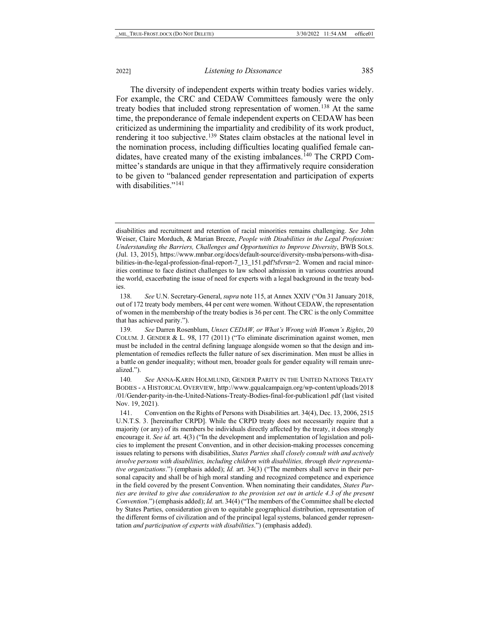The diversity of independent experts within treaty bodies varies widely. For example, the CRC and CEDAW Committees famously were the only treaty bodies that included strong representation of women.[138](#page-25-0) At the same time, the preponderance of female independent experts on CEDAW has been criticized as undermining the impartiality and credibility of its work product, rendering it too subjective.<sup>[139](#page-25-1)</sup> States claim obstacles at the national level in the nomination process, including difficulties locating qualified female candidates, have created many of the existing imbalances.[140](#page-25-2) The CRPD Committee's standards are unique in that they affirmatively require consideration to be given to "balanced gender representation and participation of experts with disabilities."<sup>[141](#page-25-3)</sup>

<span id="page-25-4"></span>disabilities and recruitment and retention of racial minorities remains challenging. *See* John Weiser, Claire Morduch, & Marian Breeze, *People with Disabilities in the Legal Profession: Understanding the Barriers, Challenges and Opportunities to Improve Diversity*, BWB SOLS. (Jul. 13, 2015), https://www.mnbar.org/docs/default-source/diversity-msba/persons-with-disabilities-in-the-legal-profession-final-report-7\_13\_151.pdf?sfvrsn=2. Women and racial minorities continue to face distinct challenges to law school admission in various countries around the world, exacerbating the issue of need for experts with a legal background in the treaty bodies.

<span id="page-25-0"></span><sup>138</sup>*. See* U.N. Secretary-General, *supra* not[e 115,](#page-21-8) at Annex XXIV ("On 31 January 2018, out of 172 treaty body members, 44 per cent were women. Without CEDAW, the representation of women in the membership of the treaty bodies is 36 per cent. The CRC is the only Committee that has achieved parity.").

<span id="page-25-1"></span><sup>139</sup>*. See* Darren Rosenblum, *Unsex CEDAW, or What's Wrong with Women's Rights*, 20 COLUM. J. GENDER & L. 98, 177 (2011) ("To eliminate discrimination against women, men must be included in the central defining language alongside women so that the design and implementation of remedies reflects the fuller nature of sex discrimination. Men must be allies in a battle on gender inequality; without men, broader goals for gender equality will remain unrealized.").

<span id="page-25-2"></span><sup>140</sup>*. See* ANNA-KARIN HOLMLUND, GENDER PARITY IN THE UNITED NATIONS TREATY BODIES - A HISTORICAL OVERVIEW, http://www.gqualcampaign.org/wp-content/uploads/2018 /01/Gender-parity-in-the-United-Nations-Treaty-Bodies-final-for-publication1.pdf (last visited Nov. 19, 2021).

<span id="page-25-3"></span><sup>141.</sup> Convention on the Rights of Persons with Disabilities art. 34(4), Dec. 13, 2006, 2515 U.N.T.S. 3. [hereinafter CRPD]. While the CRPD treaty does not necessarily require that a majority (or any) of its members be individuals directly affected by the treaty, it does strongly encourage it. *See id.* art. 4(3) ("In the development and implementation of legislation and policies to implement the present Convention, and in other decision-making processes concerning issues relating to persons with disabilities, *States Parties shall closely consult with and actively involve persons with disabilities, including children with disabilities, through their representative organizations*.") (emphasis added); *Id.* art. 34(3) ("The members shall serve in their personal capacity and shall be of high moral standing and recognized competence and experience in the field covered by the present Convention. When nominating their candidates, *States Parties are invited to give due consideration to the provision set out in article 4.3 of the present Convention*.") (emphasis added); *Id.* art. 34(4) ("The members of the Committee shall be elected by States Parties, consideration given to equitable geographical distribution, representation of the different forms of civilization and of the principal legal systems, balanced gender representation *and participation of experts with disabilities*.") (emphasis added).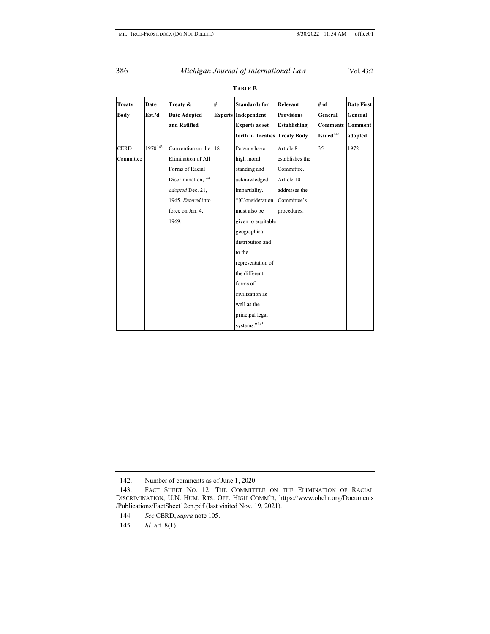| Treaty<br>Body | Date<br>Est.'d      | Treaty &<br><b>Date Adopted</b> | #  | <b>Standards for</b><br><b>Experts Independent</b> | Relevant<br><b>Provisions</b> | # of<br>General       | <b>Date First</b><br>General |
|----------------|---------------------|---------------------------------|----|----------------------------------------------------|-------------------------------|-----------------------|------------------------------|
|                |                     | and Ratified                    |    | <b>Experts as set</b>                              | <b>Establishing</b>           | <b>Comments</b>       | Comment                      |
|                |                     |                                 |    | forth in Treaties                                  | <b>Treaty Body</b>            | Issued <sup>142</sup> | adopted                      |
| <b>CERD</b>    | 1970 <sup>143</sup> | Convention on the               | 18 | Persons have                                       | Article 8                     | 35                    | 1972                         |
| Committee      |                     | Elimination of All              |    | high moral                                         | establishes the               |                       |                              |
|                |                     | Forms of Racial                 |    | standing and                                       | Committee.                    |                       |                              |
|                |                     | Discrimination, 144             |    | acknowledged                                       | Article 10                    |                       |                              |
|                |                     | adopted Dec. 21,                |    | impartiality.                                      | addresses the                 |                       |                              |
|                |                     | 1965. Entered into              |    | "[C]onsideration                                   | Committee's                   |                       |                              |
|                |                     | force on Jan. 4,                |    | must also be                                       | procedures.                   |                       |                              |
|                |                     | 1969.                           |    | given to equitable                                 |                               |                       |                              |
|                |                     |                                 |    | geographical                                       |                               |                       |                              |
|                |                     |                                 |    | distribution and                                   |                               |                       |                              |
|                |                     |                                 |    | to the                                             |                               |                       |                              |
|                |                     |                                 |    | representation of                                  |                               |                       |                              |
|                |                     |                                 |    | the different                                      |                               |                       |                              |
|                |                     |                                 |    | forms of                                           |                               |                       |                              |
|                |                     |                                 |    | civilization as                                    |                               |                       |                              |
|                |                     |                                 |    | well as the                                        |                               |                       |                              |
|                |                     |                                 |    | principal legal                                    |                               |                       |                              |
|                |                     |                                 |    | systems." <sup>145</sup>                           |                               |                       |                              |

**TABLE B**

<sup>142.</sup> Number of comments as of June 1, 2020.

<span id="page-26-2"></span><span id="page-26-1"></span><span id="page-26-0"></span><sup>143.</sup> FACT SHEET NO. 12: THE COMMITTEE ON THE ELIMINATION OF RACIAL DISCRIMINATION, U.N. HUM. RTS. OFF. HIGH COMM'R, https://www.ohchr.org/Documents /Publications/FactSheet12en.pdf (last visited Nov. 19, 2021).

<span id="page-26-3"></span><sup>144</sup>*. See* CERD, *supra* not[e 105.](#page-20-8)

<sup>145</sup>*. Id.* art. 8(1).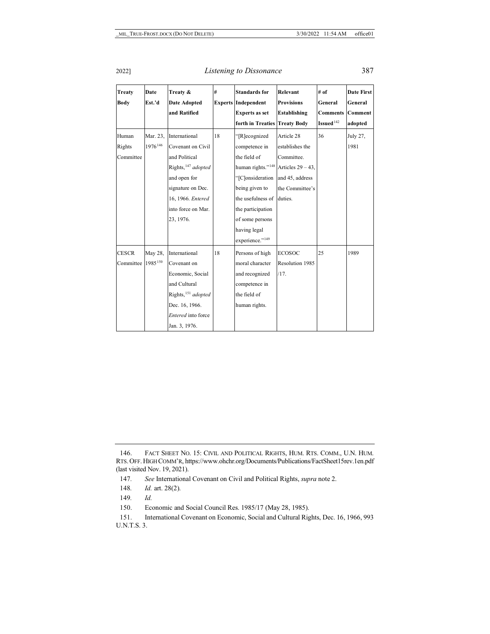<span id="page-27-6"></span>

| Treaty<br><b>Body</b> | Date<br>Est.'d      | Treaty &<br><b>Date Adopted</b> | #  | <b>Standards for</b><br><b>Experts Independent</b> | Relevant<br><b>Provisions</b> | # of<br>General | <b>Date First</b><br>General |
|-----------------------|---------------------|---------------------------------|----|----------------------------------------------------|-------------------------------|-----------------|------------------------------|
|                       |                     | and Ratified                    |    | <b>Experts as set</b>                              | <b>Establishing</b>           | <b>Comments</b> | <b>Comment</b>               |
|                       |                     |                                 |    | forth in Treaties                                  | <b>Treaty Body</b>            | Issued $142$    | adopted                      |
| Human                 | Mar. 23,            | International                   | 18 | "[R]ecognized                                      | Article 28                    | 36              | July 27,                     |
| Rights                | 1976 <sup>146</sup> | Covenant on Civil               |    | competence in                                      | establishes the               |                 | 1981                         |
| Committee             |                     | and Political                   |    | the field of                                       | Committee.                    |                 |                              |
|                       |                     | Rights, <sup>147</sup> adopted  |    | human rights." <sup>148</sup>                      | Articles $29 - 43$ ,          |                 |                              |
|                       |                     | and open for                    |    | "[C]onsideration                                   | and 45, address               |                 |                              |
|                       |                     | signature on Dec.               |    | being given to                                     | the Committee's               |                 |                              |
|                       |                     | 16, 1966. Entered               |    | the usefulness of                                  | duties.                       |                 |                              |
|                       |                     | into force on Mar.              |    | the participation                                  |                               |                 |                              |
|                       |                     | 23, 1976.                       |    | of some persons                                    |                               |                 |                              |
|                       |                     |                                 |    | having legal                                       |                               |                 |                              |
|                       |                     |                                 |    | experience." <sup>149</sup>                        |                               |                 |                              |
| <b>CESCR</b>          | May 28,             | International                   | 18 | Persons of high                                    | <b>ECOSOC</b>                 | 25              | 1989                         |
| Committee             | 1985150             | Covenant on                     |    | moral character                                    | Resolution 1985               |                 |                              |
|                       |                     | Economic, Social                |    | and recognized                                     | /17.                          |                 |                              |
|                       |                     | and Cultural                    |    | competence in                                      |                               |                 |                              |
|                       |                     | Rights, <sup>151</sup> adopted  |    | the field of                                       |                               |                 |                              |
|                       |                     | Dec. 16, 1966.                  |    | human rights.                                      |                               |                 |                              |
|                       |                     | Entered into force              |    |                                                    |                               |                 |                              |
|                       |                     | Jan. 3, 1976.                   |    |                                                    |                               |                 |                              |

<span id="page-27-1"></span><span id="page-27-0"></span><sup>146.</sup> FACT SHEET NO. 15: CIVIL AND POLITICAL RIGHTS, HUM. RTS. COMM., U.N. HUM. RTS. OFF. HIGH COMM'R, https://www.ohchr.org/Documents/Publications/FactSheet15rev.1en.pdf (last visited Nov. 19, 2021).

<span id="page-27-2"></span><sup>147</sup>*. See* International Covenant on Civil and Political Rights, *supra* not[e 2.](#page-1-6)

<sup>148</sup>*. Id.* art. 28(2).

<sup>149</sup>*. Id.*

<sup>150.</sup> Economic and Social Council Res. 1985/17 (May 28, 1985).

<span id="page-27-5"></span><span id="page-27-4"></span><span id="page-27-3"></span><sup>151.</sup> International Covenant on Economic, Social and Cultural Rights, Dec. 16, 1966, 993 U.N.T.S. 3.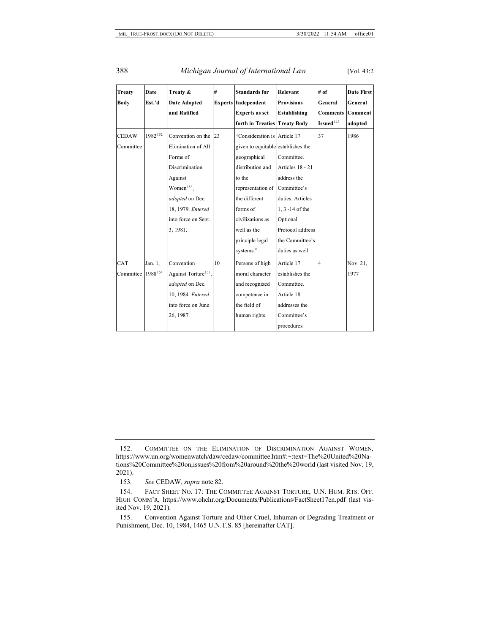#### 388 *Michigan Journal of International Law* [Vol. 43:2

<span id="page-28-4"></span>

| <b>Treaty</b> | Date    | Treaty &                         | #  | <b>Standards for</b>               | Relevant            | # of            | Date First     |
|---------------|---------|----------------------------------|----|------------------------------------|---------------------|-----------------|----------------|
| <b>Body</b>   | Est.'d  | <b>Date Adopted</b>              |    | <b>Experts Independent</b>         | <b>Provisions</b>   | General         | General        |
|               |         | and Ratified                     |    | <b>Experts as set</b>              | <b>Establishing</b> | <b>Comments</b> | <b>Comment</b> |
|               |         |                                  |    | forth in Treaties Treaty Body      |                     | Issued $142$    | adopted        |
| <b>CEDAW</b>  | 1982152 | Convention on the 23             |    | "Consideration is Article 17       |                     | 37              | 1986           |
| Committee     |         | Elimination of All               |    | given to equitable establishes the |                     |                 |                |
|               |         | Forms of                         |    | geographical                       | Committee.          |                 |                |
|               |         | <b>Discrimination</b>            |    | distribution and                   | Articles 18 - 21    |                 |                |
|               |         | Against                          |    | to the                             | address the         |                 |                |
|               |         | Women $153$ ,                    |    | representation of                  | Committee's         |                 |                |
|               |         | adopted on Dec.                  |    | the different                      | duties. Articles    |                 |                |
|               |         | 18, 1979. Entered                |    | forms of                           | 1, 3 -14 of the     |                 |                |
|               |         | into force on Sept.              |    | civilizations as                   | Optional            |                 |                |
|               |         | 3, 1981.                         |    | well as the                        | Protocol address    |                 |                |
|               |         |                                  |    | principle legal                    | the Committee's     |                 |                |
|               |         |                                  |    | systems."                          | duties as well.     |                 |                |
| CAT           | Jan. 1, | Convention                       | 10 | Persons of high                    | Article 17          | $\overline{4}$  | Nov. 21,       |
| Committee     | 1988154 | Against Torture <sup>155</sup> , |    | moral character                    | establishes the     |                 | 1977           |
|               |         | adopted on Dec.                  |    | and recognized                     | Committee.          |                 |                |
|               |         | 10, 1984. Entered                |    | competence in                      | Article 18          |                 |                |
|               |         | into force on June               |    | the field of                       | addresses the       |                 |                |
|               |         | 26, 1987.                        |    | human rights.                      | Committee's         |                 |                |
|               |         |                                  |    |                                    | procedures.         |                 |                |

153*. See* CEDAW, *supra* not[e 82.](#page-15-4)

<span id="page-28-0"></span><sup>152.</sup> COMMITTEE ON THE ELIMINATION OF DISCRIMINATION AGAINST WOMEN, https://www.un.org/womenwatch/daw/cedaw/committee.htm#:~:text=The%20United%20Nations%20Committee%20on,issues%20from%20around%20the%20world (last visited Nov. 19, 2021).

<span id="page-28-2"></span><span id="page-28-1"></span><sup>154.</sup> FACT SHEET NO. 17: THE COMMITTEE AGAINST TORTURE, U.N. HUM. RTS. OFF. HIGH COMM'R, https://www.ohchr.org/Documents/Publications/FactSheet17en.pdf (last visited Nov. 19, 2021).

<span id="page-28-3"></span><sup>155.</sup> Convention Against Torture and Other Cruel, Inhuman or Degrading Treatment or Punishment, Dec. 10, 1984, 1465 U.N.T.S. 85 [hereinafter CAT].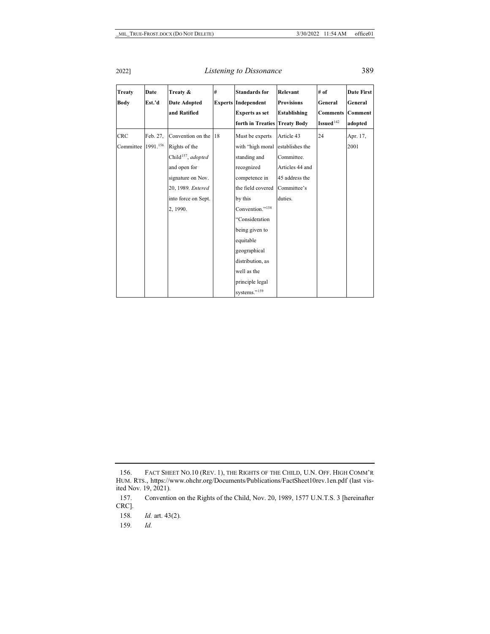<span id="page-29-4"></span>

| <b>Treaty</b> | Date     | Treaty &                            | # | <b>Standards for</b>                                | Relevant                          | # of                       | <b>Date First</b>  |
|---------------|----------|-------------------------------------|---|-----------------------------------------------------|-----------------------------------|----------------------------|--------------------|
| Body          | Est.'d   | <b>Date Adopted</b><br>and Ratified |   | <b>Experts Independent</b><br><b>Experts as set</b> | <b>Provisions</b><br>Establishing | General<br><b>Comments</b> | General<br>Comment |
|               |          |                                     |   | forth in Treaties                                   | <b>Treaty Body</b>                | Issued <sup>142</sup>      | adopted            |
| <b>CRC</b>    | Feb. 27, | Convention on the 18                |   | Must be experts                                     | Article 43                        | 24                         | Apr. 17,           |
| Committee     | 1991.156 | Rights of the                       |   | with "high moral                                    | establishes the                   |                            | 2001               |
|               |          | Child <sup>157</sup> , adopted      |   | standing and                                        | Committee.                        |                            |                    |
|               |          | and open for                        |   | recognized                                          | Articles 44 and                   |                            |                    |
|               |          | signature on Nov.                   |   | competence in                                       | 45 address the                    |                            |                    |
|               |          | 20, 1989. Entered                   |   | the field covered                                   | Committee's                       |                            |                    |
|               |          | into force on Sept.                 |   | by this                                             | duties.                           |                            |                    |
|               |          | 2, 1990.                            |   | Convention." <sup>158</sup>                         |                                   |                            |                    |
|               |          |                                     |   | "Consideration                                      |                                   |                            |                    |
|               |          |                                     |   | being given to                                      |                                   |                            |                    |
|               |          |                                     |   | equitable                                           |                                   |                            |                    |
|               |          |                                     |   | geographical                                        |                                   |                            |                    |
|               |          |                                     |   | distribution, as                                    |                                   |                            |                    |
|               |          |                                     |   | well as the                                         |                                   |                            |                    |
|               |          |                                     |   | principle legal                                     |                                   |                            |                    |
|               |          |                                     |   | systems." <sup>159</sup>                            |                                   |                            |                    |

159*. Id.* 

<span id="page-29-0"></span><sup>156.</sup> FACT SHEET NO.10 (REV. 1), THE RIGHTS OF THE CHILD, U.N. OFF. HIGH COMM'R HUM. RTS., https://www.ohchr.org/Documents/Publications/FactSheet10rev.1en.pdf (last visited Nov. 19, 2021).

<span id="page-29-2"></span><span id="page-29-1"></span><sup>157.</sup> Convention on the Rights of the Child, Nov. 20, 1989, 1577 U.N.T.S. 3 [hereinafter CRC].

<span id="page-29-3"></span><sup>158</sup>*. Id.* art. 43(2).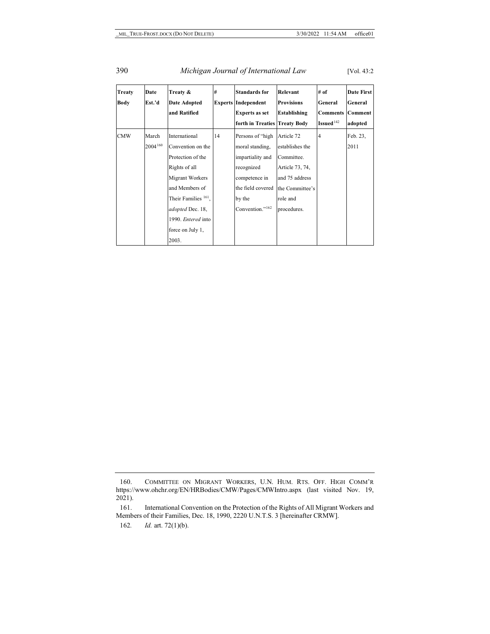### 390 *Michigan Journal of International Law* [Vol. 43:2

<span id="page-30-3"></span>

| Treaty      | Date    | Treaty &                        | #  | <b>Standards for</b>          | Relevant          | # of            | Date First |
|-------------|---------|---------------------------------|----|-------------------------------|-------------------|-----------------|------------|
| <b>Body</b> | Est.'d  | Date Adopted                    |    | <b>Experts Independent</b>    | <b>Provisions</b> | General         | General    |
|             |         | and Ratified                    |    | <b>Experts as set</b>         | Establishing      | <b>Comments</b> | Comment    |
|             |         |                                 |    | forth in Treaties Treaty Body |                   | Issued $142$    | adopted    |
| <b>CMW</b>  | March   | International                   | 14 | Persons of "high              | Article 72        | 4               | Feb. 23,   |
|             | 2004160 | Convention on the               |    | moral standing,               | establishes the   |                 | 2011       |
|             |         | Protection of the               |    | impartiality and              | Committee.        |                 |            |
|             |         | Rights of all                   |    | recognized                    | Article 73, 74,   |                 |            |
|             |         | Migrant Workers                 |    | competence in                 | and 75 address    |                 |            |
|             |         | and Members of                  |    | the field covered             | the Committee's   |                 |            |
|             |         | Their Families <sup>161</sup> , |    | by the                        | role and          |                 |            |
|             |         | adopted Dec. 18,                |    | Convention." <sup>162</sup>   | procedures.       |                 |            |
|             |         | 1990. Entered into              |    |                               |                   |                 |            |
|             |         | force on July 1,                |    |                               |                   |                 |            |
|             |         | 2003.                           |    |                               |                   |                 |            |

<span id="page-30-0"></span><sup>160.</sup> COMMITTEE ON MIGRANT WORKERS, U.N. HUM. RTS. OFF. HIGH COMM'R https://www.ohchr.org/EN/HRBodies/CMW/Pages/CMWIntro.aspx (last visited Nov. 19, 2021).

<span id="page-30-2"></span><span id="page-30-1"></span><sup>161.</sup> International Convention on the Protection of the Rights of All Migrant Workers and Members of their Families, Dec. 18, 1990, 2220 U.N.T.S. 3 [hereinafter CRMW].

<sup>162</sup>*. Id.* art. 72(1)(b).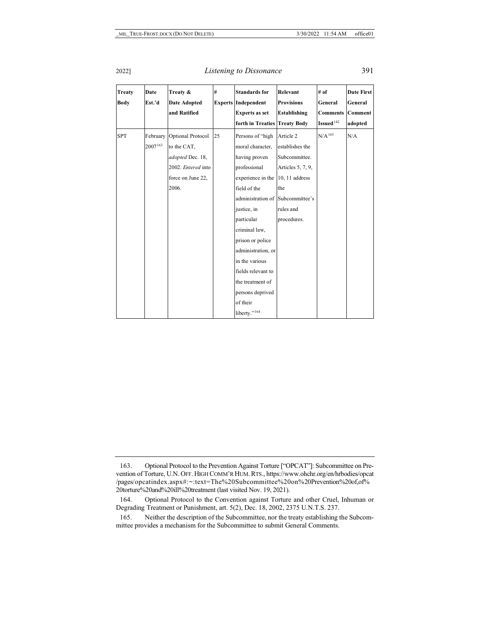#### 2022] *Listening to Dissonance* 391

| <b>Treaty</b><br><b>Body</b> | Date<br>Est.'d      | Treaty &<br>Date Adopted<br>and Ratified                                                                 | #  | <b>Standards for</b><br><b>Experts Independent</b><br><b>Experts as set</b><br>forth in Treaties                                                                                                                                                                                                   | Relevant<br><b>Provisions</b><br><b>Establishing</b><br><b>Treaty Body</b>                                              | # of<br>General<br><b>Comments</b><br>Issued <sup>142</sup> | Date First<br>General<br>Comment<br>adopted |
|------------------------------|---------------------|----------------------------------------------------------------------------------------------------------|----|----------------------------------------------------------------------------------------------------------------------------------------------------------------------------------------------------------------------------------------------------------------------------------------------------|-------------------------------------------------------------------------------------------------------------------------|-------------------------------------------------------------|---------------------------------------------|
| <b>SPT</b>                   | February<br>2007163 | Optional Protocol<br>to the CAT,<br>adopted Dec. 18,<br>2002. Entered into<br>force on June 22,<br>2006. | 25 | Persons of "high<br>moral character,<br>having proven<br>professional<br>experience in the<br>field of the<br>administration of Subcommittee's<br>justice, in<br>particular<br>criminal law,<br>prison or police<br>administration, or<br>in the various<br>fields relevant to<br>the treatment of | Article 2<br>establishes the<br>Subcommittee.<br>Articles 5, 7, 9,<br>10, 11 address<br>the<br>rules and<br>procedures. | N/A <sup>165</sup>                                          | N/A                                         |
|                              |                     |                                                                                                          |    | persons deprived<br>of their<br>liberty." <sup>164</sup>                                                                                                                                                                                                                                           |                                                                                                                         |                                                             |                                             |

<span id="page-31-0"></span><sup>163.</sup> Optional Protocol to the Prevention Against Torture ["OPCAT"]: Subcommittee on Prevention of Torture, U.N. OFF. HIGH COMM'R HUM. RTS., https://www.ohchr.org/en/hrbodies/opcat /pages/opcatindex.aspx#:~:text=The%20Subcommittee%20on%20Prevention%20of,of% 20torture%20and%20ill%20treatment (last visited Nov. 19, 2021).

<span id="page-31-1"></span><sup>164.</sup> Optional Protocol to the Convention against Torture and other Cruel, Inhuman or Degrading Treatment or Punishment, art. 5(2), Dec. 18, 2002, 2375 U.N.T.S. 237.

<span id="page-31-2"></span><sup>165.</sup> Neither the description of the Subcommittee, nor the treaty establishing the Subcommittee provides a mechanism for the Subcommittee to submit General Comments.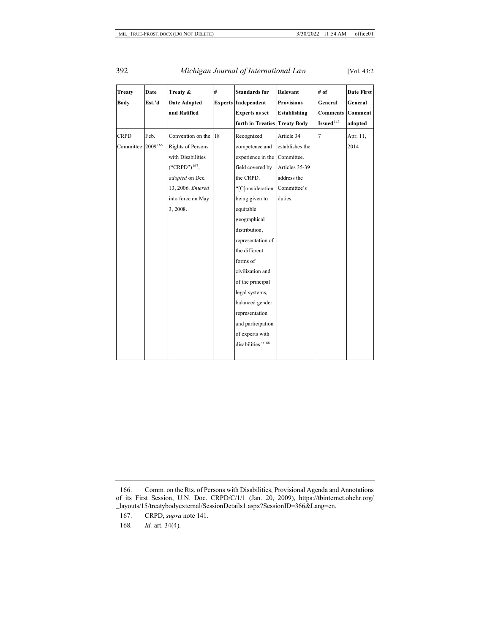### 392 *Michigan Journal of International Law* [Vol. 43:2

<span id="page-32-3"></span>

| <b>Treaty</b> | <b>Date</b> | Treaty &                 | #  | <b>Standards for</b>          | Relevant            | # of                  | Date First |
|---------------|-------------|--------------------------|----|-------------------------------|---------------------|-----------------------|------------|
| <b>Body</b>   | Est.'d      | <b>Date Adopted</b>      |    | <b>Experts Independent</b>    | <b>Provisions</b>   | General               | General    |
|               |             | and Ratified             |    | <b>Experts as set</b>         | <b>Establishing</b> | <b>Comments</b>       | Comment    |
|               |             |                          |    | forth in Treaties             | <b>Treaty Body</b>  | Issued <sup>142</sup> | adopted    |
| <b>CRPD</b>   | Feb.        | Convention on the        | 18 | Recognized                    | Article 34          | 7                     | Apr. 11,   |
| Committee     | 2009166     | <b>Rights of Persons</b> |    | competence and                | establishes the     |                       | 2014       |
|               |             | with Disabilities        |    | experience in the             | Committee.          |                       |            |
|               |             | $("CRPD")^{167}$ ,       |    | field covered by              | Articles 35-39      |                       |            |
|               |             | adopted on Dec.          |    | the CRPD.                     | address the         |                       |            |
|               |             | 13, 2006. Entered        |    | "[C]onsideration              | Committee's         |                       |            |
|               |             | into force on May        |    | being given to                | duties.             |                       |            |
|               |             | 3, 2008.                 |    | equitable                     |                     |                       |            |
|               |             |                          |    | geographical                  |                     |                       |            |
|               |             |                          |    | distribution,                 |                     |                       |            |
|               |             |                          |    | representation of             |                     |                       |            |
|               |             |                          |    | the different                 |                     |                       |            |
|               |             |                          |    | forms of                      |                     |                       |            |
|               |             |                          |    | civilization and              |                     |                       |            |
|               |             |                          |    | of the principal              |                     |                       |            |
|               |             |                          |    | legal systems,                |                     |                       |            |
|               |             |                          |    | balanced gender               |                     |                       |            |
|               |             |                          |    | representation                |                     |                       |            |
|               |             |                          |    | and participation             |                     |                       |            |
|               |             |                          |    | of experts with               |                     |                       |            |
|               |             |                          |    | disabilities." <sup>168</sup> |                     |                       |            |
|               |             |                          |    |                               |                     |                       |            |

<span id="page-32-1"></span><span id="page-32-0"></span><sup>166.</sup> Comm. on the Rts. of Persons with Disabilities, Provisional Agenda and Annotations of its First Session, U.N. Doc. CRPD/C/1/1 (Jan. 20, 2009), https://tbinternet.ohchr.org/ \_layouts/15/treatybodyexternal/SessionDetails1.aspx?SessionID=366&Lang=en.

<span id="page-32-2"></span><sup>167.</sup> CRPD, *supra* not[e 141.](#page-25-4) 

<sup>168</sup>*. Id.* art. 34(4).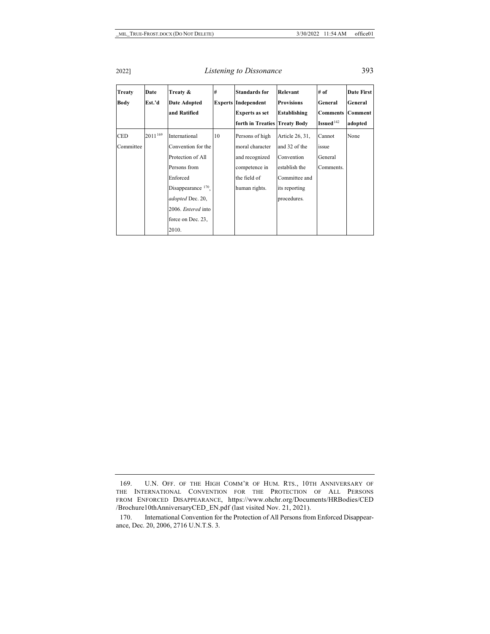<span id="page-33-2"></span>

| <b>Treaty</b><br><b>Body</b> | Date<br>Est.'d | Treaty &<br>Date Adopted<br>and Ratified                                                          | #  | <b>Standards for</b><br><b>Experts Independent</b><br><b>Experts as set</b>           | Relevant<br><b>Provisions</b><br><b>Establishing</b>                             | # of<br>General<br>Comments             | Date First<br>General<br>Comment |
|------------------------------|----------------|---------------------------------------------------------------------------------------------------|----|---------------------------------------------------------------------------------------|----------------------------------------------------------------------------------|-----------------------------------------|----------------------------------|
|                              |                |                                                                                                   |    | forth in Treaties Treaty Body                                                         |                                                                                  | Issued <sup>142</sup>                   | adopted                          |
| <b>CED</b><br>Committee      | 2011169        | International<br>Convention for the<br>Protection of All<br>Persons from<br>Enforced              | 10 | Persons of high<br>moral character<br>and recognized<br>competence in<br>the field of | Article 26, 31,<br>and 32 of the<br>Convention<br>establish the<br>Committee and | Cannot<br>issue<br>General<br>Comments. | None                             |
|                              |                | Disappearance 170,<br>adopted Dec. 20,<br>2006. <i>Entered</i> into<br>force on Dec. 23,<br>2010. |    | human rights.                                                                         | its reporting<br>procedures.                                                     |                                         |                                  |

<span id="page-33-0"></span><sup>169.</sup> U.N. OFF. OF THE HIGH COMM'R OF HUM. RTS., 10TH ANNIVERSARY OF THE INTERNATIONAL CONVENTION FOR THE PROTECTION OF ALL PERSONS FROM ENFORCED DISAPPEARANCE, https://www.ohchr.org/Documents/HRBodies/CED /Brochure10thAnniversaryCED\_EN.pdf (last visited Nov. 21, 2021).

<span id="page-33-1"></span><sup>170.</sup> International Convention for the Protection of All Persons from Enforced Disappearance, Dec. 20, 2006, 2716 U.N.T.S. 3.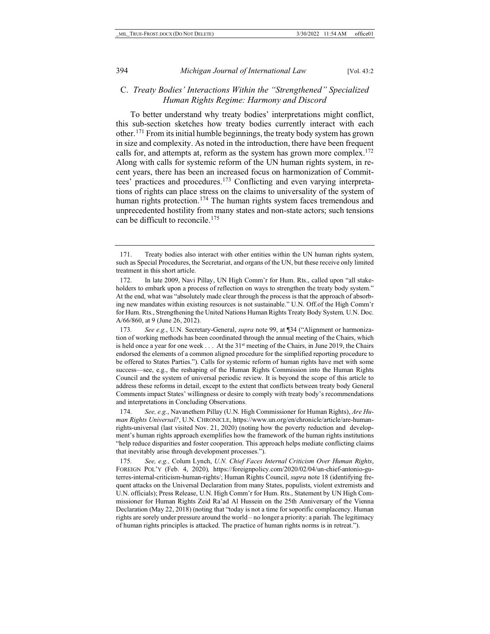## C. *Treaty Bodies' Interactions Within the "Strengthened" Specialized Human Rights Regime: Harmony and Discord*

To better understand why treaty bodies' interpretations might conflict, this sub-section sketches how treaty bodies currently interact with each other.[171](#page-34-0) From its initial humble beginnings, the treaty body system has grown in size and complexity. As noted in the introduction, there have been frequent calls for, and attempts at, reform as the system has grown more complex.<sup>172</sup> Along with calls for systemic reform of the UN human rights system, in recent years, there has been an increased focus on harmonization of Committees' practices and procedures[.173](#page-34-2) Conflicting and even varying interpretations of rights can place stress on the claims to universality of the system of human rights protection.<sup>[174](#page-34-3)</sup> The human rights system faces tremendous and unprecedented hostility from many states and non-state actors; such tensions can be difficult to reconcile.[175](#page-34-4)

<span id="page-34-2"></span>173*. See e.g.*, U.N. Secretary-General, *supra* not[e 99,](#page-19-2) at ¶34 ("Alignment or harmonization of working methods has been coordinated through the annual meeting of the Chairs, which is held once a year for one week  $\dots$  At the 31<sup>st</sup> meeting of the Chairs, in June 2019, the Chairs endorsed the elements of a common aligned procedure for the simplified reporting procedure to be offered to States Parties."). Calls for systemic reform of human rights have met with some success—see, e.g., the reshaping of the Human Rights Commission into the Human Rights Council and the system of universal periodic review. It is beyond the scope of this article to address these reforms in detail, except to the extent that conflicts between treaty body General Comments impact States' willingness or desire to comply with treaty body's recommendations and interpretations in Concluding Observations.

<span id="page-34-3"></span>174*. See, e.g.*, Navanethem Pillay (U.N. High Commissioner for Human Rights), *Are Human Rights Universal?*, U.N. CHRONICLE, https://www.un.org/en/chronicle/article/are-humanrights-universal (last visited Nov. 21, 2020) (noting how the poverty reduction and development's human rights approach exemplifies how the framework of the human rights institutions "help reduce disparities and foster cooperation. This approach helps mediate conflicting claims that inevitably arise through development processes.").

<span id="page-34-4"></span>175*. See, e.g.,* Colum Lynch, *U.N. Chief Faces Internal Criticism Over Human Rights*, FOREIGN POL'Y (Feb. 4, 2020)*,* https://foreignpolicy.com/2020/02/04/un-chief-antonio-guterres-internal-criticism-human-rights/; Human Rights Council, *supra* not[e 18](#page-4-5) (identifying frequent attacks on the Universal Declaration from many States, populists, violent extremists and U.N. officials); Press Release, U.N. High Comm'r for Hum. Rts., Statement by UN High Commissioner for Human Rights Zeid Ra'ad Al Hussein on the 25th Anniversary of the Vienna Declaration (May 22, 2018) (noting that "today is not a time for soporific complacency. Human rights are sorely under pressure around the world – no longer a priority: a pariah. The legitimacy of human rights principles is attacked. The practice of human rights norms is in retreat.").

<span id="page-34-0"></span><sup>171.</sup> Treaty bodies also interact with other entities within the UN human rights system, such as Special Procedures, the Secretariat, and organs of the UN, but these receive only limited treatment in this short article.

<span id="page-34-1"></span><sup>172.</sup> In late 2009, Navi Pillay, UN High Comm'r for Hum. Rts., called upon "all stakeholders to embark upon a process of reflection on ways to strengthen the treaty body system." At the end, what was "absolutely made clear through the process is that the approach of absorbing new mandates within existing resources is not sustainable." U.N. Off.of the High Comm'r for Hum. Rts., Strengthening the United Nations Human Rights Treaty Body System*,* U.N. Doc. A/66/860, at 9 (June 26, 2012).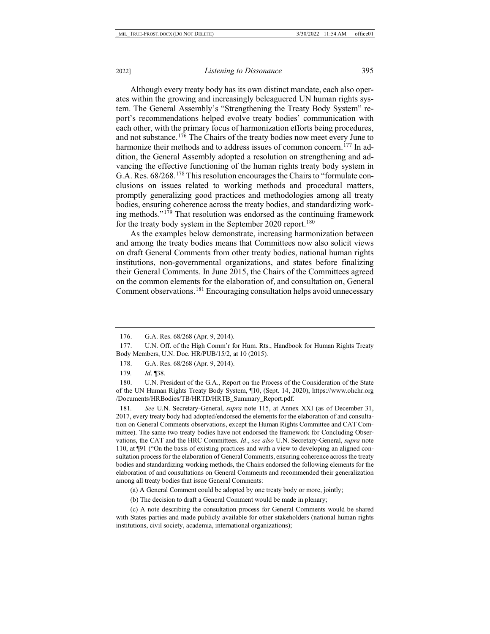Although every treaty body has its own distinct mandate, each also operates within the growing and increasingly beleaguered UN human rights system. The General Assembly's "Strengthening the Treaty Body System" report's recommendations helped evolve treaty bodies' communication with each other, with the primary focus of harmonization efforts being procedures, and not substance.[176](#page-35-0) The Chairs of the treaty bodies now meet every June to harmonize their methods and to address issues of common concern.<sup>[177](#page-35-1)</sup> In addition, the General Assembly adopted a resolution on strengthening and advancing the effective functioning of the human rights treaty body system in G.A. Res. 68/268.[178](#page-35-2) This resolution encourages the Chairs to "formulate conclusions on issues related to working methods and procedural matters, promptly generalizing good practices and methodologies among all treaty bodies, ensuring coherence across the treaty bodies, and standardizing working methods."[179](#page-35-3) That resolution was endorsed as the continuing framework for the treaty body system in the September 2020 report.<sup>[180](#page-35-4)</sup>

<span id="page-35-6"></span>As the examples below demonstrate, increasing harmonization between and among the treaty bodies means that Committees now also solicit views on draft General Comments from other treaty bodies, national human rights institutions, non-governmental organizations, and states before finalizing their General Comments. In June 2015, the Chairs of the Committees agreed on the common elements for the elaboration of, and consultation on, General Comment observations.[181](#page-35-5) Encouraging consultation helps avoid unnecessary

<span id="page-35-5"></span>181*. See* U.N. Secretary-General, *supra* note [115,](#page-21-8) at Annex XXI (as of December 31, 2017, every treaty body had adopted/endorsed the elements for the elaboration of and consultation on General Comments observations, except the Human Rights Committee and CAT Committee). The same two treaty bodies have not endorsed the framework for Concluding Observations, the CAT and the HRC Committees. *Id*., *see also* U.N. Secretary-General, *supra* note [110,](#page-21-9) at ¶91 ("On the basis of existing practices and with a view to developing an aligned consultation process for the elaboration of General Comments, ensuring coherence across the treaty bodies and standardizing working methods, the Chairs endorsed the following elements for the elaboration of and consultations on General Comments and recommended their generalization among all treaty bodies that issue General Comments:

(a) A General Comment could be adopted by one treaty body or more, jointly;

(b) The decision to draft a General Comment would be made in plenary;

(c) A note describing the consultation process for General Comments would be shared with States parties and made publicly available for other stakeholders (national human rights institutions, civil society, academia, international organizations);

<sup>176.</sup> G.A. Res. 68/268 (Apr. 9, 2014).

<span id="page-35-1"></span><span id="page-35-0"></span><sup>177.</sup> U.N. Off. of the High Comm'r for Hum. Rts., Handbook for Human Rights Treaty Body Members, U.N. Doc. HR/PUB/15/2, at 10 (2015).

<sup>178.</sup> G.A. Res. 68/268 (Apr. 9, 2014).

<sup>179</sup>*. Id*. ¶38.

<span id="page-35-4"></span><span id="page-35-3"></span><span id="page-35-2"></span><sup>180.</sup> U.N. President of the G.A., Report on the Process of the Consideration of the State of the UN Human Rights Treaty Body System, ¶10, (Sept. 14, 2020), https://www.ohchr.org /Documents/HRBodies/TB/HRTD/HRTB\_Summary\_Report.pdf.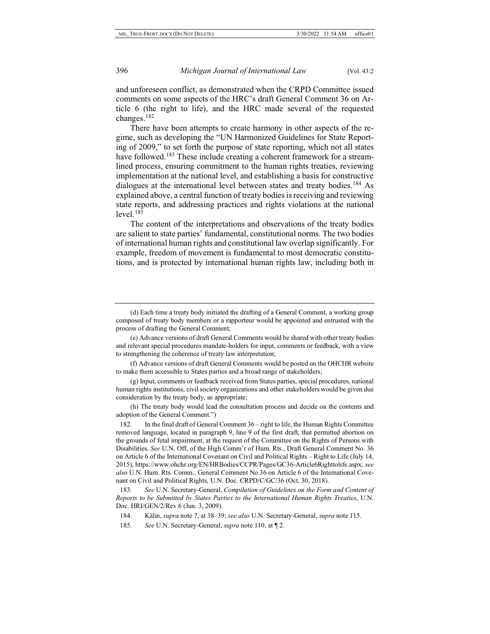and unforeseen conflict, as demonstrated when the CRPD Committee issued comments on some aspects of the HRC's draft General Comment 36 on Article 6 (the right to life), and the HRC made several of the requested changes.[182](#page-36-0)

<span id="page-36-4"></span>There have been attempts to create harmony in other aspects of the regime, such as developing the "UN Harmonized Guidelines for State Reporting of 2009," to set forth the purpose of state reporting, which not all states have followed.<sup>[183](#page-36-1)</sup> These include creating a coherent framework for a streamlined process, ensuring commitment to the human rights treaties, reviewing implementation at the national level, and establishing a basis for constructive dialogues at the international level between states and treaty bodies.<sup>[184](#page-36-2)</sup> As explained above, a central function of treaty bodies is receiving and reviewing state reports, and addressing practices and rights violations at the national  $level.<sup>185</sup>$  $level.<sup>185</sup>$  $level.<sup>185</sup>$ 

The content of the interpretations and observations of the treaty bodies are salient to state parties' fundamental, constitutional norms. The two bodies of international human rights and constitutional law overlap significantly. For example, freedom of movement is fundamental to most democratic constitutions, and is protected by international human rights law, including both in

(h) The treaty body would lead the consultation process and decide on the contents and adoption of the General Comment.")

<span id="page-36-0"></span>182. In the final draft of General Comment 36 – right to life, the Human Rights Committee removed language, located in paragraph 9, line 9 of the first draft, that permitted abortion on the grounds of fetal impairment, at the request of the Committee on the Rights of Persons with Disabilities. *See* U.N. Off, of the High Comm'r of Hum. Rts., Draft General Comment No. 36 on Article 6 of the International Covenant on Civil and Political Rights – Right to Life (July 14, 2015), https://www.ohchr.org/EN/HRBodies/CCPR/Pages/GC36-Article6Righttolife.aspx; *see also* U.N. Hum. Rts. Comm., General Comment No 36 on Article 6 of the International Covenant on Civil and Political Rights, U.N. Doc. CRPD/C/GC/36 (Oct. 30, 2018).

<span id="page-36-2"></span><span id="page-36-1"></span>183*. See* U.N. Secretary-General, *Compilation of Guidelines on the Form and Content of Reports to be Submitted by States Parties to the International Human Rights Treaties*, U.N. Doc. HRI/GEN/2/Rev.6 (Jun. 3, 2009).

185*. See* U.N. Secretary-General, *supra* not[e 110,](#page-21-9) at ¶ 2.

<sup>(</sup>d) Each time a treaty body initiated the drafting of a General Comment, a working group composed of treaty body members or a rapporteur would be appointed and entrusted with the process of drafting the General Comment;

<sup>(</sup>e) Advance versions of draft General Comments would be shared with other treaty bodies and relevant special procedures mandate-holders for input, comments or feedback, with a view to strengthening the coherence of treaty law interpretation;

<sup>(</sup>f) Advance versions of draft General Comments would be posted on the OHCHR website to make them accessible to States parties and a broad range of stakeholders;

<sup>(</sup>g) Input, comments or feedback received from States parties, special procedures, national human rights institutions, civil society organizations and other stakeholders would be given due consideration by the treaty body, as appropriate;

<span id="page-36-3"></span><sup>184.</sup> Kälin, *supra* not[e 7,](#page-2-9) at 38–39; *see also* U.N. Secretary-General, *supra* not[e 115.](#page-21-8)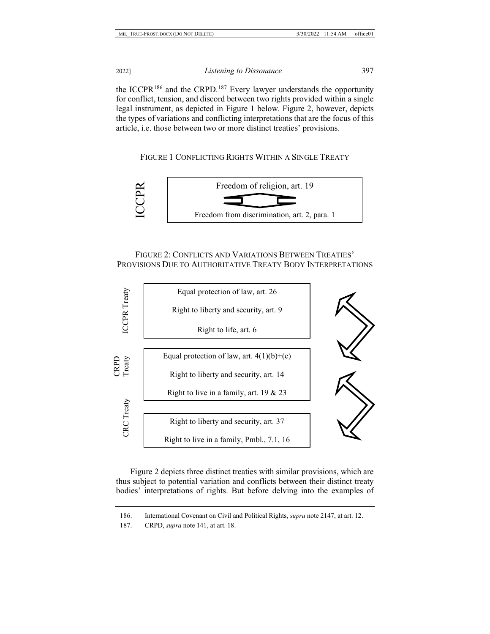the ICCPR<sup>186</sup> and the CRPD.<sup>[187](#page-37-1)</sup> Every lawyer understands the opportunity for conflict, tension, and discord between two rights provided within a single legal instrument, as depicted in Figure 1 below. Figure 2, however, depicts the types of variations and conflicting interpretations that are the focus of this article, i.e. those between two or more distinct treaties' provisions.

FIGURE 1 CONFLICTING RIGHTS WITHIN A SINGLE TREATY



## FIGURE 2: CONFLICTS AND VARIATIONS BETWEEN TREATIES' PROVISIONS DUE TO AUTHORITATIVE TREATY BODY INTERPRETATIONS



Figure 2 depicts three distinct treaties with similar provisions, which are thus subject to potential variation and conflicts between their distinct treaty bodies' interpretations of rights. But before delving into the examples of

<sup>186.</sup> International Covenant on Civil and Political Rights, *supra* not[e 2](#page-1-6)[147,](#page-27-6) at art. 12.

<span id="page-37-1"></span><span id="page-37-0"></span><sup>187.</sup> CRPD, *supra* not[e 141,](#page-25-4) at art. 18.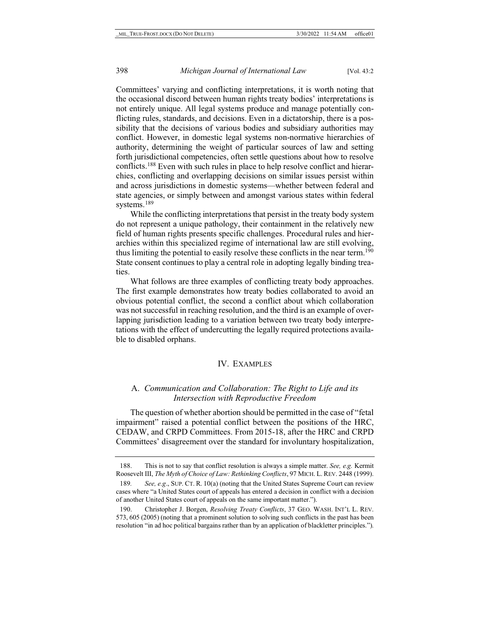Committees' varying and conflicting interpretations, it is worth noting that the occasional discord between human rights treaty bodies' interpretations is not entirely unique. All legal systems produce and manage potentially conflicting rules, standards, and decisions. Even in a dictatorship, there is a possibility that the decisions of various bodies and subsidiary authorities may conflict. However, in domestic legal systems non-normative hierarchies of authority, determining the weight of particular sources of law and setting forth jurisdictional competencies, often settle questions about how to resolve conflicts[.188](#page-38-0) Even with such rules in place to help resolve conflict and hierarchies, conflicting and overlapping decisions on similar issues persist within and across jurisdictions in domestic systems—whether between federal and state agencies, or simply between and amongst various states within federal systems.<sup>189</sup>

While the conflicting interpretations that persist in the treaty body system do not represent a unique pathology, their containment in the relatively new field of human rights presents specific challenges. Procedural rules and hierarchies within this specialized regime of international law are still evolving, thus limiting the potential to easily resolve these conflicts in the near term[.190](#page-38-2) State consent continues to play a central role in adopting legally binding treaties.

What follows are three examples of conflicting treaty body approaches. The first example demonstrates how treaty bodies collaborated to avoid an obvious potential conflict, the second a conflict about which collaboration was not successful in reaching resolution, and the third is an example of overlapping jurisdiction leading to a variation between two treaty body interpretations with the effect of undercutting the legally required protections available to disabled orphans.

#### IV. EXAMPLES

## A. *Communication and Collaboration: The Right to Life and its Intersection with Reproductive Freedom*

The question of whether abortion should be permitted in the case of "fetal impairment" raised a potential conflict between the positions of the HRC, CEDAW, and CRPD Committees. From 2015-18, after the HRC and CRPD Committees' disagreement over the standard for involuntary hospitalization,

<span id="page-38-0"></span><sup>188.</sup> This is not to say that conflict resolution is always a simple matter. *See, e.g.* Kermit Roosevelt III, *The Myth of Choice of Law: Rethinking Conflicts*, 97 MICH. L. REV. 2448 (1999).

<span id="page-38-1"></span><sup>189</sup>*. See, e.g*., SUP. CT. R. 10(a) (noting that the United States Supreme Court can review cases where "a United States court of appeals has entered a decision in conflict with a decision of another United States court of appeals on the same important matter.").

<span id="page-38-2"></span><sup>190.</sup> Christopher J. Borgen, *Resolving Treaty Conflicts*, 37 GEO. WASH. INT'L L. REV. 573, 605 (2005) (noting that a prominent solution to solving such conflicts in the past has been resolution "in ad hoc political bargains rather than by an application of blackletter principles.").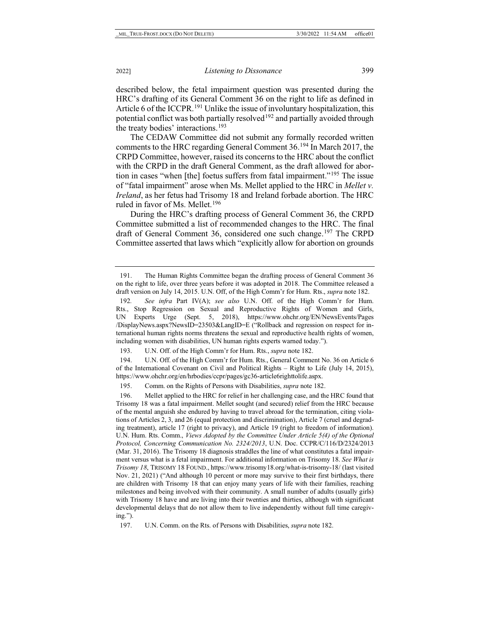described below, the fetal impairment question was presented during the HRC's drafting of its General Comment 36 on the right to life as defined in Article 6 of the ICCPR.<sup>[191](#page-39-0)</sup> Unlike the issue of involuntary hospitalization, this potential conflict was both partially resolved<sup>[192](#page-39-1)</sup> and partially avoided through the treaty bodies' interactions.[193](#page-39-2)

<span id="page-39-7"></span>The CEDAW Committee did not submit any formally recorded written comments to the HRC regarding General Comment 36.[194](#page-39-3) In March 2017, the CRPD Committee, however, raised its concerns to the HRC about the conflict with the CRPD in the draft General Comment, as the draft allowed for abortion in cases "when [the] foetus suffers from fatal impairment."[195](#page-39-4) The issue of "fatal impairment" arose when Ms. Mellet applied to the HRC in *Mellet v. Ireland*, as her fetus had Trisomy 18 and Ireland forbade abortion. The HRC ruled in favor of Ms. Mellet.<sup>196</sup>

During the HRC's drafting process of General Comment 36, the CRPD Committee submitted a list of recommended changes to the HRC. The final draft of General Comment 36, considered one such change. [197](#page-39-6) The CRPD Committee asserted that laws which "explicitly allow for abortion on grounds

193. U.N. Off. of the High Comm'r for Hum. Rts., *supra* not[e 182.](#page-36-4)

<span id="page-39-3"></span><span id="page-39-2"></span>194. U.N. Off. of the High Comm'r for Hum. Rts., General Comment No. 36 on Article 6 of the International Covenant on Civil and Political Rights – Right to Life (July 14, 2015), https://www.ohchr.org/en/hrbodies/ccpr/pages/gc36-article6righttolife.aspx.

195. Comm. on the Rights of Persons with Disabilities, *supra* not[e 182.](#page-36-4)

<span id="page-39-5"></span><span id="page-39-4"></span>196. Mellet applied to the HRC for relief in her challenging case, and the HRC found that Trisomy 18 was a fatal impairment. Mellet sought (and secured) relief from the HRC because of the mental anguish she endured by having to travel abroad for the termination, citing violations of Articles 2, 3, and 26 (equal protection and discrimination), Article 7 (cruel and degrading treatment), article 17 (right to privacy), and Article 19 (right to freedom of information). U.N. Hum. Rts. Comm., *Views Adopted by the Committee Under Article 5(4) of the Optional Protocol, Concerning Communication No. 2324/2013*, U.N. Doc. CCPR/C/116/D/2324/2013 (Mar. 31, 2016). The Trisomy 18 diagnosis straddles the line of what constitutes a fatal impairment versus what is a fetal impairment. For additional information on Trisomy 18. *See What is Trisomy 18*, TRISOMY 18 FOUND., https://www.trisomy18.org/what-is-trisomy-18/ (last visited Nov. 21, 2021) ("And although 10 percent or more may survive to their first birthdays, there are children with Trisomy 18 that can enjoy many years of life with their families, reaching milestones and being involved with their community. A small number of adults (usually girls) with Trisomy 18 have and are living into their twenties and thirties, although with significant developmental delays that do not allow them to live independently without full time caregiving.").

<span id="page-39-6"></span>197. U.N. Comm. on the Rts. of Persons with Disabilities, *supra* not[e 182.](#page-36-4)

<span id="page-39-0"></span><sup>191.</sup> The Human Rights Committee began the drafting process of General Comment 36 on the right to life, over three years before it was adopted in 2018. The Committee released a draft version on July 14, 2015. U.N. Off, of the High Comm'r for Hum. Rts., *supra* not[e 182.](#page-36-4)

<span id="page-39-1"></span><sup>192</sup>*. See infra* Part IV(A); *see also* U.N. Off. of the High Comm'r for Hum. Rts., Stop Regression on Sexual and Reproductive Rights of Women and Girls, UN Experts Urge (Sept. 5, 2018), https://www.ohchr.org/EN/NewsEvents/Pages /DisplayNews.aspx?NewsID=23503&LangID=E ("Rollback and regression on respect for international human rights norms threatens the sexual and reproductive health rights of women, including women with disabilities, UN human rights experts warned today.").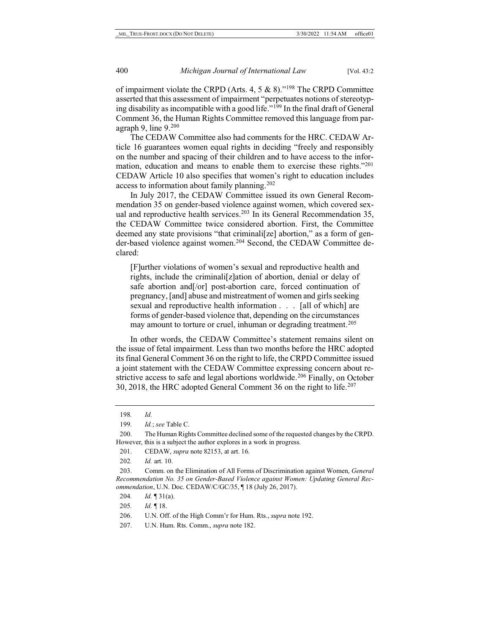<span id="page-40-0"></span>of impairment violate the CRPD (Arts. 4, 5  $\&$  8)."<sup>[198](#page-40-1)</sup> The CRPD Committee asserted that this assessment of impairment "perpetuates notions of stereotyping disability as incompatible with a good life."[199](#page-40-2) In the final draft of General Comment 36, the Human Rights Committee removed this language from paragraph 9, line  $9<sup>200</sup>$ 

The CEDAW Committee also had comments for the HRC. CEDAW Article 16 guarantees women equal rights in deciding "freely and responsibly on the number and spacing of their children and to have access to the information, education and means to enable them to exercise these rights."<sup>201</sup> CEDAW Article 10 also specifies that women's right to education includes access to information about family planning[.202](#page-40-5)

In July 2017, the CEDAW Committee issued its own General Recommendation 35 on gender-based violence against women, which covered sexual and reproductive health services.<sup>203</sup> In its General Recommendation 35, the CEDAW Committee twice considered abortion. First, the Committee deemed any state provisions "that criminali[ze] abortion," as a form of gender-based violence against women.[204](#page-40-7) Second, the CEDAW Committee declared:

<span id="page-40-11"></span>[F]urther violations of women's sexual and reproductive health and rights, include the criminali[z]ation of abortion, denial or delay of safe abortion and[/or] post-abortion care, forced continuation of pregnancy, [and] abuse and mistreatment of women and girls seeking sexual and reproductive health information . . . [all of which] are forms of gender-based violence that, depending on the circumstances may amount to torture or cruel, inhuman or degrading treatment.<sup>[205](#page-40-8)</sup>

In other words, the CEDAW Committee's statement remains silent on the issue of fetal impairment. Less than two months before the HRC adopted its final General Comment 36 on the right to life, the CRPD Committee issued a joint statement with the CEDAW Committee expressing concern about re-strictive access to safe and legal abortions worldwide.<sup>[206](#page-40-9)</sup> Finally, on October 30, 2018, the HRC adopted General Comment 36 on the right to life.<sup>[207](#page-40-10)</sup>

<sup>198</sup>*. Id.* 

<sup>199</sup>*. Id.*; *see* Table C.

<span id="page-40-4"></span><span id="page-40-3"></span><span id="page-40-2"></span><span id="page-40-1"></span><sup>200.</sup> The Human Rights Committee declined some of the requested changes by the CRPD. However, this is a subject the author explores in a work in progress.

<sup>201.</sup> CEDAW, *supra* not[e 82](#page-15-4)[153,](#page-28-4) at art. 16.

<sup>202</sup>*. Id.* art. 10.

<span id="page-40-7"></span><span id="page-40-6"></span><span id="page-40-5"></span><sup>203.</sup> Comm. on the Elimination of All Forms of Discrimination against Women, *General Recommendation No. 35 on Gender-Based Violence against Women: Updating General Recommendation*, U.N. Doc. CEDAW/C/GC/35, ¶ 18 (July 26, 2017).

<span id="page-40-8"></span><sup>204</sup>*. Id.* ¶ 31(a).

<sup>205</sup>*. Id.* ¶ 18.

<span id="page-40-9"></span><sup>206.</sup> U.N. Off. of the High Comm'r for Hum. Rts., *supra* not[e 192.](#page-39-7) 

<span id="page-40-10"></span><sup>207.</sup> U.N. Hum. Rts. Comm., *supra* not[e 182.](#page-36-4)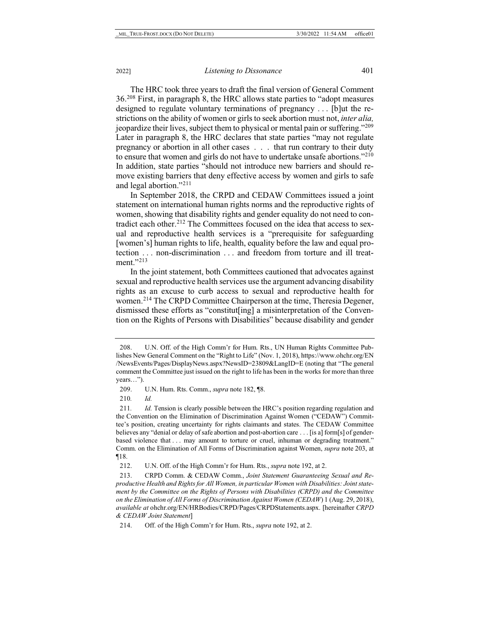The HRC took three years to draft the final version of General Comment 36.[208](#page-41-0) First, in paragraph 8, the HRC allows state parties to "adopt measures designed to regulate voluntary terminations of pregnancy . . . [b]ut the restrictions on the ability of women or girls to seek abortion must not, *inter alia,* jeopardize their lives, subject them to physical or mental pain or suffering.["209](#page-41-1) Later in paragraph 8, the HRC declares that state parties "may not regulate pregnancy or abortion in all other cases . . . that run contrary to their duty to ensure that women and girls do not have to undertake unsafe abortions.["210](#page-41-2) In addition, state parties "should not introduce new barriers and should remove existing barriers that deny effective access by women and girls to safe and legal abortion."[211](#page-41-3)

In September 2018, the CRPD and CEDAW Committees issued a joint statement on international human rights norms and the reproductive rights of women, showing that disability rights and gender equality do not need to con-tradict each other.<sup>[212](#page-41-4)</sup> The Committees focused on the idea that access to sexual and reproductive health services is a "prerequisite for safeguarding [women's] human rights to life, health, equality before the law and equal protection . . . non-discrimination . . . and freedom from torture and ill treatment."[213](#page-41-5)

<span id="page-41-7"></span>In the joint statement, both Committees cautioned that advocates against sexual and reproductive health services use the argument advancing disability rights as an excuse to curb access to sexual and reproductive health for women.[214](#page-41-6) The CRPD Committee Chairperson at the time, Theresia Degener, dismissed these efforts as "constitut[ing] a misinterpretation of the Convention on the Rights of Persons with Disabilities" because disability and gender

210*. Id.*

<span id="page-41-0"></span><sup>208.</sup> U.N. Off. of the High Comm'r for Hum. Rts., UN Human Rights Committee Publishes New General Comment on the "Right to Life" (Nov. 1, 2018), https://www.ohchr.org/EN /NewsEvents/Pages/DisplayNews.aspx?NewsID=23809&LangID=E (noting that "The general comment the Committee just issued on the right to life has been in the works for more than three years…").

<sup>209.</sup> U.N. Hum. Rts. Comm., *supra* not[e 182,](#page-36-4) ¶8.

<span id="page-41-3"></span><span id="page-41-2"></span><span id="page-41-1"></span><sup>211</sup>*. Id.* Tension is clearly possible between the HRC's position regarding regulation and the Convention on the Elimination of Discrimination Against Women ("CEDAW") Committee's position, creating uncertainty for rights claimants and states. The CEDAW Committee believes any "denial or delay of safe abortion and post-abortion care . . . [is a] form[s] of genderbased violence that . . . may amount to torture or cruel, inhuman or degrading treatment." Comm. on the Elimination of All Forms of Discrimination against Women, *supra* not[e 203,](#page-40-11) at ¶18.

<sup>212.</sup> U.N. Off. of the High Comm'r for Hum. Rts., *supra* not[e 192,](#page-39-7) at 2.

<span id="page-41-5"></span><span id="page-41-4"></span><sup>213.</sup> CRPD Comm. & CEDAW Comm., *Joint Statement Guaranteeing Sexual and Reproductive Health and Rights for All Women, in particular Women with Disabilities: Joint statement by the Committee on the Rights of Persons with Disabilities (CRPD) and the Committee on the Elimination of All Forms of Discrimination Against Women (CEDAW*) 1 (Aug. 29, 2018), *available at* ohchr.org/EN/HRBodies/CRPD/Pages/CRPDStatements.aspx. [hereinafter *CRPD & CEDAW Joint Statement*]

<span id="page-41-6"></span><sup>214.</sup> Off. of the High Comm'r for Hum. Rts., *supra* note 192, at 2.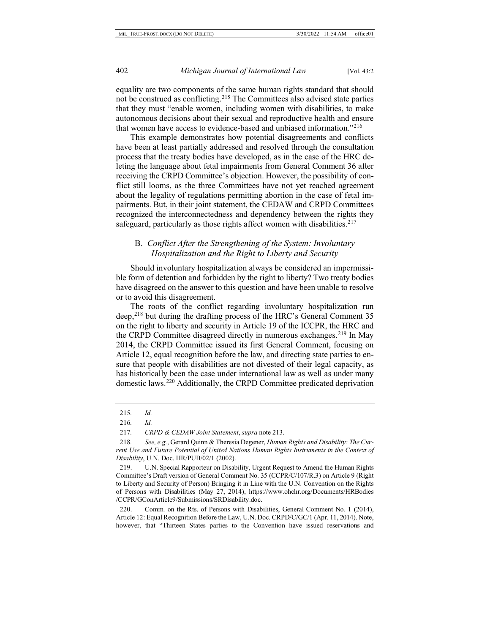equality are two components of the same human rights standard that should not be construed as conflicting.[215](#page-42-1) The Committees also advised state parties that they must "enable women, including women with disabilities, to make autonomous decisions about their sexual and reproductive health and ensure that women have access to evidence-based and unbiased information."[216](#page-42-2)

This example demonstrates how potential disagreements and conflicts have been at least partially addressed and resolved through the consultation process that the treaty bodies have developed, as in the case of the HRC deleting the language about fetal impairments from General Comment 36 after receiving the CRPD Committee's objection. However, the possibility of conflict still looms, as the three Committees have not yet reached agreement about the legality of regulations permitting abortion in the case of fetal impairments. But, in their joint statement, the CEDAW and CRPD Committees recognized the interconnectedness and dependency between the rights they safeguard, particularly as those rights affect women with disabilities.<sup>[217](#page-42-3)</sup>

## <span id="page-42-7"></span>B. *Conflict After the Strengthening of the System: Involuntary Hospitalization and the Right to Liberty and Security*

Should involuntary hospitalization always be considered an impermissible form of detention and forbidden by the right to liberty? Two treaty bodies have disagreed on the answer to this question and have been unable to resolve or to avoid this disagreement.

<span id="page-42-0"></span>The roots of the conflict regarding involuntary hospitalization run deep,<sup>[218](#page-42-4)</sup> but during the drafting process of the HRC's General Comment 35 on the right to liberty and security in Article 19 of the ICCPR, the HRC and the CRPD Committee disagreed directly in numerous exchanges[.219](#page-42-5) In May 2014, the CRPD Committee issued its first General Comment, focusing on Article 12, equal recognition before the law, and directing state parties to ensure that people with disabilities are not divested of their legal capacity, as has historically been the case under international law as well as under many domestic laws.[220](#page-42-6) Additionally, the CRPD Committee predicated deprivation

<span id="page-42-5"></span>219. U.N. Special Rapporteur on Disability, Urgent Request to Amend the Human Rights Committee's Draft version of General Comment No. 35 (CCPR/C/107/R.3) on Article 9 (Right to Liberty and Security of Person) Bringing it in Line with the U.N. Convention on the Rights of Persons with Disabilities (May 27, 2014), https://www.ohchr.org/Documents/HRBodies /CCPR/GConArticle9/Submissions/SRDisability.doc.

<span id="page-42-6"></span>220. Comm. on the Rts. of Persons with Disabilities, General Comment No. 1 (2014), Article 12: Equal Recognition Before the Law, U.N. Doc. CRPD/C/GC/1 (Apr. 11, 2014). Note, however, that "Thirteen States parties to the Convention have issued reservations and

<span id="page-42-8"></span><sup>215</sup>*. Id.*

<span id="page-42-1"></span><sup>216</sup>*. Id.*

<sup>217</sup>*. CRPD & CEDAW Joint Statement*, *supra* not[e 213.](#page-41-7)

<span id="page-42-4"></span><span id="page-42-3"></span><span id="page-42-2"></span><sup>218</sup>*. See, e.g.*, Gerard Quinn & Theresia Degener, *Human Rights and Disability: The Current Use and Future Potential of United Nations Human Rights Instruments in the Context of Disability*, U.N. Doc. HR/PUB/02/1 (2002).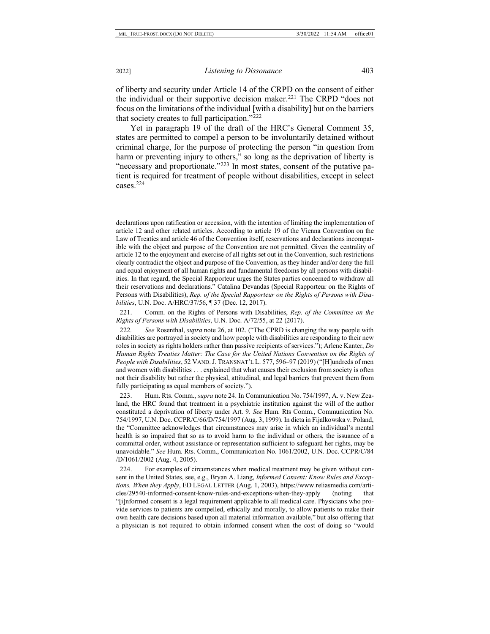of liberty and security under Article 14 of the CRPD on the consent of either the individual or their supportive decision maker.<sup>[221](#page-43-0)</sup> The CRPD "does not focus on the limitations of the individual [with a disability] but on the barriers that society creates to full participation."[222](#page-43-1)

<span id="page-43-4"></span>Yet in paragraph 19 of the draft of the HRC's General Comment 35, states are permitted to compel a person to be involuntarily detained without criminal charge, for the purpose of protecting the person "in question from harm or preventing injury to others," so long as the deprivation of liberty is "necessary and proportionate."[223](#page-43-2) In most states, consent of the putative patient is required for treatment of people without disabilities, except in select cases[.224](#page-43-3)

<span id="page-43-0"></span>221. Comm. on the Rights of Persons with Disabilities, *Rep. of the Committee on the Rights of Persons with Disabilities*, U.N. Doc. A/72/55, at 22 (2017).

<span id="page-43-1"></span>222*. See* Rosenthal, *supra* note [26,](#page-5-9) at 102. ("The CPRD is changing the way people with disabilities are portrayed in society and how people with disabilities are responding to their new roles in society as rights holders rather than passive recipients of services."); Arlene Kanter, *Do Human Rights Treaties Matter: The Case for the United Nations Convention on the Rights of People with Disabilities*, 52 VAND.J. TRANSNAT'L L. 577, 596–97 (2019) ("[H]undreds of men and women with disabilities . . . explained that what causes their exclusion from society is often not their disability but rather the physical, attitudinal, and legal barriers that prevent them from fully participating as equal members of society.").

<span id="page-43-2"></span>223. Hum. Rts. Comm., *supra* not[e 24.](#page-5-10) In Communication No. 754/1997, A. v. New Zealand, the HRC found that treatment in a psychiatric institution against the will of the author constituted a deprivation of liberty under Art. 9. *See* Hum. Rts Comm., Communication No. 754/1997, U.N. Doc. CCPR/C/66/D/754/1997 (Aug. 3, 1999). In dicta in Fijalkowska v. Poland, the "Committee acknowledges that circumstances may arise in which an individual's mental health is so impaired that so as to avoid harm to the individual or others, the issuance of a committal order, without assistance or representation sufficient to safeguard her rights, may be unavoidable." *See* Hum. Rts. Comm., Communication No. 1061/2002, U.N. Doc. CCPR/C/84 /D/1061/2002 (Aug. 4, 2005).

<span id="page-43-3"></span>224. For examples of circumstances when medical treatment may be given without consent in the United States, see, e.g., Bryan A. Liang, *Informed Consent: Know Rules and Exceptions, When they Apply*, ED LEGAL LETTER (Aug. 1, 2003), https://www.reliasmedia.com/articles/29540-informed-consent-know-rules-and-exceptions-when-they-apply (noting that "[i]nformed consent is a legal requirement applicable to all medical care. Physicians who provide services to patients are compelled, ethically and morally, to allow patients to make their own health care decisions based upon all material information available," but also offering that a physician is not required to obtain informed consent when the cost of doing so "would

declarations upon ratification or accession, with the intention of limiting the implementation of article 12 and other related articles. According to article 19 of the Vienna Convention on the Law of Treaties and article 46 of the Convention itself, reservations and declarations incompatible with the object and purpose of the Convention are not permitted. Given the centrality of article 12 to the enjoyment and exercise of all rights set out in the Convention, such restrictions clearly contradict the object and purpose of the Convention, as they hinder and/or deny the full and equal enjoyment of all human rights and fundamental freedoms by all persons with disabilities. In that regard, the Special Rapporteur urges the States parties concerned to withdraw all their reservations and declarations." Catalina Devandas (Special Rapporteur on the Rights of Persons with Disabilities), *Rep. of the Special Rapporteur on the Rights of Persons with Disabilities*, U.N. Doc. A/HRC/37/56, ¶ 37 (Dec. 12, 2017).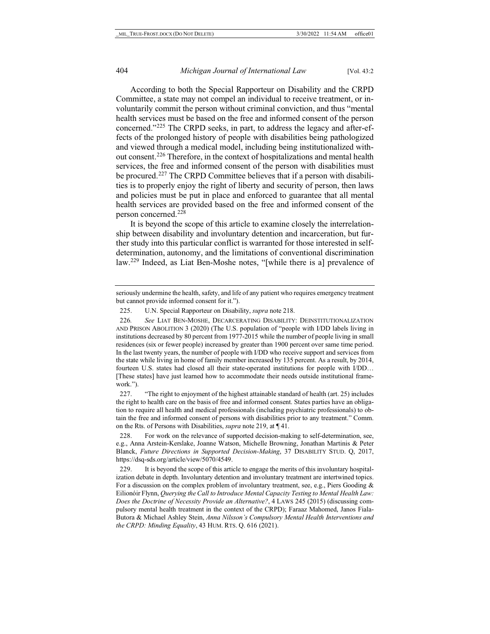<span id="page-44-5"></span>According to both the Special Rapporteur on Disability and the CRPD Committee, a state may not compel an individual to receive treatment, or involuntarily commit the person without criminal conviction, and thus "mental health services must be based on the free and informed consent of the person concerned."[225](#page-44-0) The CRPD seeks, in part, to address the legacy and after-effects of the prolonged history of people with disabilities being pathologized and viewed through a medical model, including being institutionalized without consent.[226](#page-44-1) Therefore, in the context of hospitalizations and mental health services, the free and informed consent of the person with disabilities must be procured.<sup>[227](#page-44-2)</sup> The CRPD Committee believes that if a person with disabilities is to properly enjoy the right of liberty and security of person, then laws and policies must be put in place and enforced to guarantee that all mental health services are provided based on the free and informed consent of the person concerned.[228](#page-44-3)

It is beyond the scope of this article to examine closely the interrelationship between disability and involuntary detention and incarceration, but further study into this particular conflict is warranted for those interested in selfdetermination, autonomy, and the limitations of conventional discrimination law[.229](#page-44-4) Indeed, as Liat Ben-Moshe notes, "[while there is a] prevalence of

<span id="page-44-2"></span>227. "The right to enjoyment of the highest attainable standard of health (art. 25) includes the right to health care on the basis of free and informed consent. States parties have an obligation to require all health and medical professionals (including psychiatric professionals) to obtain the free and informed consent of persons with disabilities prior to any treatment." Comm. on the Rts. of Persons with Disabilities, *supra* not[e 219,](#page-42-7) at ¶ 41.

<span id="page-44-3"></span>228. For work on the relevance of supported decision-making to self-determination, see, e.g., Anna Arstein-Kerslake, Joanne Watson, Michelle Browning, Jonathan Martinis & Peter Blanck, *Future Directions in Supported Decision-Making*, 37 DISABILITY STUD. Q, 2017, https://dsq-sds.org/article/view/5070/4549.

<span id="page-44-4"></span>229. It is beyond the scope of this article to engage the merits of this involuntary hospitalization debate in depth. Involuntary detention and involuntary treatment are intertwined topics. For a discussion on the complex problem of involuntary treatment, see, e.g., Piers Gooding & Eilionóir Flynn, *Querying the Call to Introduce Mental Capacity Testing to Mental Health Law: Does the Doctrine of Necessity Provide an Alternative?*, 4 LAWS 245 (2015) (discussing compulsory mental health treatment in the context of the CRPD); Faraaz Mahomed, Janos Fiala-Butora & Michael Ashley Stein, *Anna Nilsson's Compulsory Mental Health Interventions and the CRPD: Minding Equality*, 43 HUM. RTS. Q. 616 (2021).

seriously undermine the health, safety, and life of any patient who requires emergency treatment but cannot provide informed consent for it.").

<sup>225.</sup> U.N. Special Rapporteur on Disability, *supra* note [218.](#page-42-0)

<span id="page-44-1"></span><span id="page-44-0"></span><sup>226</sup>*. See* LIAT BEN-MOSHE, DECARCERATING DISABILITY: DEINSTITUTIONALIZATION AND PRISON ABOLITION 3 (2020) (The U.S. population of "people with I/DD labels living in institutions decreased by 80 percent from 1977-2015 while the number of people living in small residences (six or fewer people) increased by greater than 1900 percent over same time period. In the last twenty years, the number of people with I/DD who receive support and services from the state while living in home of family member increased by 135 percent. As a result, by 2014, fourteen U.S. states had closed all their state-operated institutions for people with I/DD… [These states] have just learned how to accommodate their needs outside institutional framework.").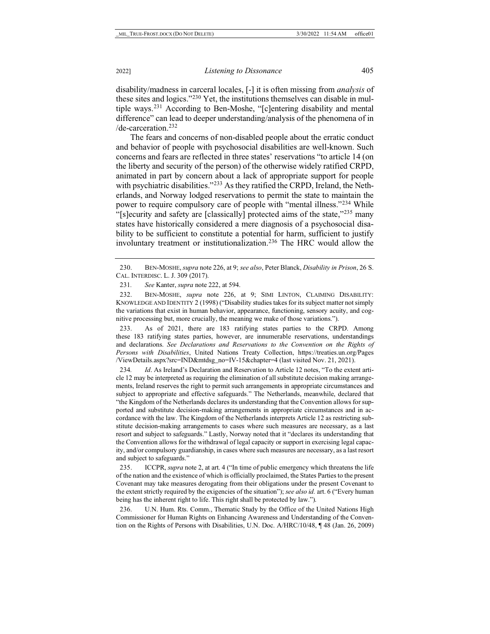disability/madness in carceral locales, [-] it is often missing from *analysis* of these sites and logics."[230](#page-45-0) Yet, the institutions themselves can disable in multiple ways.[231](#page-45-1) According to Ben-Moshe, "[c]entering disability and mental difference" can lead to deeper understanding/analysis of the phenomena of in /de-carceration.[232](#page-45-2)

The fears and concerns of non-disabled people about the erratic conduct and behavior of people with psychosocial disabilities are well-known. Such concerns and fears are reflected in three states' reservations "to article 14 (on the liberty and security of the person) of the otherwise widely ratified CRPD, animated in part by concern about a lack of appropriate support for people with psychiatric disabilities."<sup>[233](#page-45-3)</sup> As they ratified the CRPD, Ireland, the Netherlands, and Norway lodged reservations to permit the state to maintain the power to require compulsory care of people with "mental illness."[234](#page-45-4) While "[s]ecurity and safety are [classically] protected aims of the state,"[235](#page-45-5) many states have historically considered a mere diagnosis of a psychosocial disability to be sufficient to constitute a potential for harm, sufficient to justify involuntary treatment or institutionalization.[236](#page-45-6) The HRC would allow the

<span id="page-45-2"></span><span id="page-45-1"></span>232. BEN-MOSHE, *supra* note [226,](#page-44-5) at 9; SIMI LINTON, CLAIMING DISABILITY: KNOWLEDGE AND IDENTITY 2 (1998) ("Disability studies takes for its subject matter not simply the variations that exist in human behavior, appearance, functioning, sensory acuity, and cognitive processing but, more crucially, the meaning we make of those variations.").

<span id="page-45-3"></span>233. As of 2021, there are 183 ratifying states parties to the CRPD. Among these 183 ratifying states parties, however, are innumerable reservations, understandings and declarations. *See Declarations and Reservations to the Convention on the Rights of Persons with Disabilities*, United Nations Treaty Collection, https://treaties.un.org/Pages /ViewDetails.aspx?src=IND&mtdsg\_no=IV-15&chapter=4 (last visited Nov. 21, 2021).

<span id="page-45-4"></span>234*. Id*. As Ireland's Declaration and Reservation to Article 12 notes, "To the extent article 12 may be interpreted as requiring the elimination of all substitute decision making arrangements, Ireland reserves the right to permit such arrangements in appropriate circumstances and subject to appropriate and effective safeguards." The Netherlands, meanwhile, declared that "the Kingdom of the Netherlands declares its understanding that the Convention allows for supported and substitute decision-making arrangements in appropriate circumstances and in accordance with the law. The Kingdom of the Netherlands interprets Article 12 as restricting substitute decision-making arrangements to cases where such measures are necessary, as a last resort and subject to safeguards." Lastly, Norway noted that it "declares its understanding that the Convention allows for the withdrawal of legal capacity or support in exercising legal capacity, and/or compulsory guardianship, in cases where such measures are necessary, as a last resort and subject to safeguards."

<span id="page-45-5"></span>235. ICCPR, *supra* not[e 2,](#page-1-6) at art. 4 ("In time of public emergency which threatens the life of the nation and the existence of which is officially proclaimed, the States Parties to the present Covenant may take measures derogating from their obligations under the present Covenant to the extent strictly required by the exigencies of the situation"); *see also id.* art. 6 ("Every human being has the inherent right to life. This right shall be protected by law.").

<span id="page-45-6"></span>236. U.N. Hum. Rts. Comm., Thematic Study by the Office of the United Nations High Commissioner for Human Rights on Enhancing Awareness and Understanding of the Convention on the Rights of Persons with Disabilities, U.N. Doc. A/HRC/10/48, ¶ 48 (Jan. 26, 2009)

<span id="page-45-0"></span><sup>230.</sup> BEN-MOSHE,*supra* not[e 226,](#page-44-5) at 9; *see also*, Peter Blanck, *Disability in Prison*, 26 S. CAL. INTERDISC. L. J. 309 (2017).

<sup>231</sup>*. See* Kanter, *supra* not[e 222,](#page-43-4) at 594.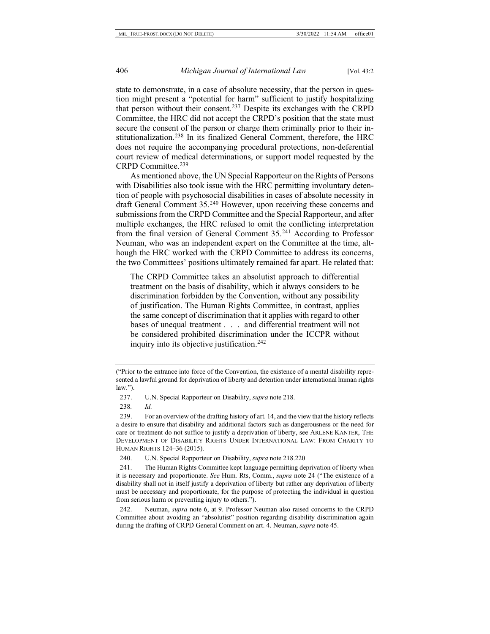state to demonstrate, in a case of absolute necessity, that the person in question might present a "potential for harm" sufficient to justify hospitalizing that person without their consent.[237](#page-46-0) Despite its exchanges with the CRPD Committee, the HRC did not accept the CRPD's position that the state must secure the consent of the person or charge them criminally prior to their institutionalization.[238](#page-46-1) In its finalized General Comment, therefore, the HRC does not require the accompanying procedural protections, non-deferential court review of medical determinations, or support model requested by the CRPD Committee.[239](#page-46-2)

As mentioned above, the UN Special Rapporteur on the Rights of Persons with Disabilities also took issue with the HRC permitting involuntary detention of people with psychosocial disabilities in cases of absolute necessity in draft General Comment 35[.240](#page-46-3) However, upon receiving these concerns and submissions from the CRPD Committee and the Special Rapporteur, and after multiple exchanges, the HRC refused to omit the conflicting interpretation from the final version of General Comment 35.[241](#page-46-4) According to Professor Neuman, who was an independent expert on the Committee at the time, although the HRC worked with the CRPD Committee to address its concerns, the two Committees' positions ultimately remained far apart. He related that:

The CRPD Committee takes an absolutist approach to differential treatment on the basis of disability, which it always considers to be discrimination forbidden by the Convention, without any possibility of justification. The Human Rights Committee, in contrast, applies the same concept of discrimination that it applies with regard to other bases of unequal treatment . . . and differential treatment will not be considered prohibited discrimination under the ICCPR without inquiry into its objective justification.[242](#page-46-5)

238*. Id.*

240. U.N. Special Rapporteur on Disability, *supra* note [218.](#page-42-0)[220](#page-42-8)

<span id="page-46-4"></span><span id="page-46-3"></span>241. The Human Rights Committee kept language permitting deprivation of liberty when it is necessary and proportionate. *See* Hum. Rts, Comm., *supra* note [24](#page-5-10) ("The existence of a disability shall not in itself justify a deprivation of liberty but rather any deprivation of liberty must be necessary and proportionate, for the purpose of protecting the individual in question from serious harm or preventing injury to others.").

<span id="page-46-5"></span>242. Neuman, *supra* note [6,](#page-2-10) at 9. Professor Neuman also raised concerns to the CRPD Committee about avoiding an "absolutist" position regarding disability discrimination again during the drafting of CRPD General Comment on art. 4. Neuman, *supra* not[e 45.](#page-9-3)

<sup>(&</sup>quot;Prior to the entrance into force of the Convention, the existence of a mental disability represented a lawful ground for deprivation of liberty and detention under international human rights  $law$ ").

<sup>237.</sup> U.N. Special Rapporteur on Disability, *supra* note [218.](#page-42-0)

<span id="page-46-2"></span><span id="page-46-1"></span><span id="page-46-0"></span><sup>239.</sup> For an overview of the drafting history of art. 14, and the view that the history reflects a desire to ensure that disability and additional factors such as dangerousness or the need for care or treatment do not suffice to justify a deprivation of liberty, see ARLENE KANTER, THE DEVELOPMENT OF DISABILITY RIGHTS UNDER INTERNATIONAL LAW: FROM CHARITY TO HUMAN RIGHTS 124–36 (2015).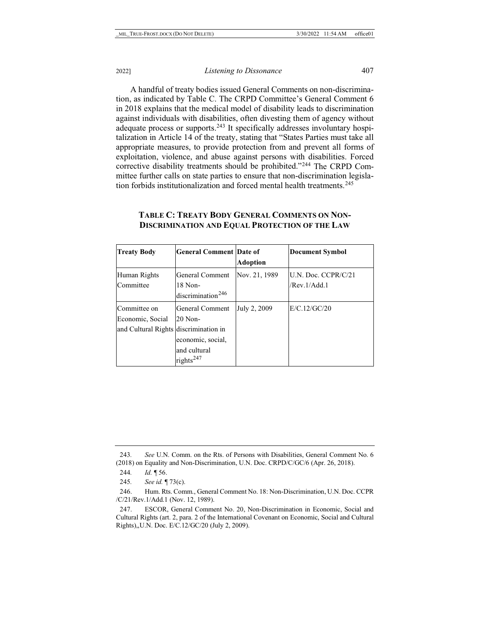A handful of treaty bodies issued General Comments on non-discrimination, as indicated by Table C. The CRPD Committee's General Comment 6 in 2018 explains that the medical model of disability leads to discrimination against individuals with disabilities, often divesting them of agency without adequate process or supports.<sup>[243](#page-47-0)</sup> It specifically addresses involuntary hospitalization in Article 14 of the treaty, stating that "States Parties must take all appropriate measures, to provide protection from and prevent all forms of exploitation, violence, and abuse against persons with disabilities. Forced corrective disability treatments should be prohibited."[244](#page-47-1) The CRPD Committee further calls on state parties to ensure that non-discrimination legisla-tion forbids institutionalization and forced mental health treatments.<sup>[245](#page-47-2)</sup>

| <b>Treaty Body</b>                    | <b>General Comment Date of</b> |                 | <b>Document Symbol</b> |
|---------------------------------------|--------------------------------|-----------------|------------------------|
|                                       |                                | <b>Adoption</b> |                        |
| Human Rights                          | General Comment                | Nov. 21, 1989   | IU.N. Doc. CCPR/C/21   |
| Committee                             | 18 Non-                        |                 | /Rev.1/Add.1           |
|                                       | discrimination <sup>246</sup>  |                 |                        |
| Committee on                          | General Comment                | July 2, 2009    | E/C.12/GC/20           |
| Economic, Social                      | $20$ Non-                      |                 |                        |
| and Cultural Rights discrimination in |                                |                 |                        |
|                                       | economic, social,              |                 |                        |
|                                       | and cultural                   |                 |                        |
|                                       | rights <sup>247</sup>          |                 |                        |

#### **TABLE C: TREATY BODY GENERAL COMMENTS ON NON-DISCRIMINATION AND EQUAL PROTECTION OF THE LAW**

<span id="page-47-0"></span>243*. See* U.N. Comm. on the Rts. of Persons with Disabilities, General Comment No. 6 (2018) on Equality and Non-Discrimination, U.N. Doc. CRPD/C/GC/6 (Apr. 26, 2018).

<sup>244</sup>*. Id.* ¶ 56.

<sup>245</sup>*. See id.* ¶ 73(c).

<span id="page-47-3"></span><span id="page-47-2"></span><span id="page-47-1"></span><sup>246.</sup> Hum. Rts. Comm., General Comment No. 18: Non-Discrimination, U.N. Doc. CCPR /C/21/Rev.1/Add.1 (Nov. 12, 1989).

<span id="page-47-4"></span><sup>247.</sup> ESCOR, General Comment No. 20, Non-Discrimination in Economic, Social and Cultural Rights (art. 2, para. 2 of the International Covenant on Economic, Social and Cultural Rights),,U.N. Doc. E/C.12/GC/20 (July 2, 2009).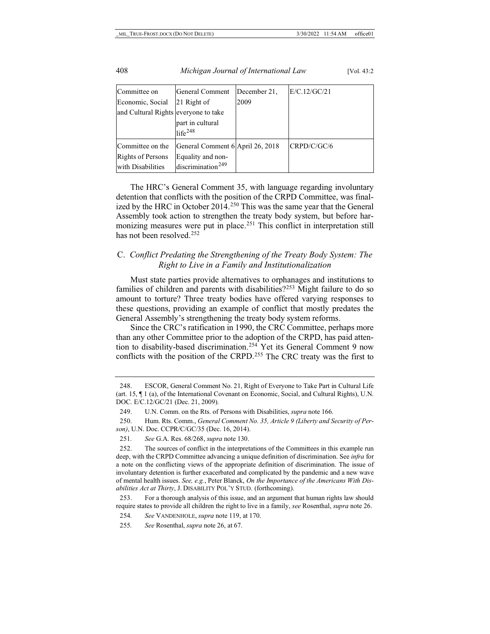| Committee on                         | General Comment                         | December 21. | E/C.12/GC/21 |
|--------------------------------------|-----------------------------------------|--------------|--------------|
| Economic, Social                     | 21 Right of                             | 2009         |              |
| and Cultural Rights everyone to take |                                         |              |              |
|                                      | part in cultural<br>life <sup>248</sup> |              |              |
| Committee on the                     | General Comment 6 April 26, 2018        |              | CRPD/C/GC/6  |
| <b>Rights of Persons</b>             | Equality and non-                       |              |              |
| with Disabilities                    | discription <sup>249</sup>              |              |              |

The HRC's General Comment 35, with language regarding involuntary detention that conflicts with the position of the CRPD Committee, was final-ized by the HRC in October 2014.<sup>[250](#page-48-2)</sup> This was the same year that the General Assembly took action to strengthen the treaty body system, but before har-monizing measures were put in place.<sup>[251](#page-48-3)</sup> This conflict in interpretation still has not been resolved.<sup>[252](#page-48-4)</sup>

## C. *Conflict Predating the Strengthening of the Treaty Body System: The Right to Live in a Family and Institutionalization*

Must state parties provide alternatives to orphanages and institutions to families of children and parents with disabilities?<sup>[253](#page-48-5)</sup> Might failure to do so amount to torture? Three treaty bodies have offered varying responses to these questions, providing an example of conflict that mostly predates the General Assembly's strengthening the treaty body system reforms.

Since the CRC's ratification in 1990, the CRC Committee, perhaps more than any other Committee prior to the adoption of the CRPD, has paid atten-tion to disability-based discrimination.<sup>[254](#page-48-6)</sup> Yet its General Comment 9 now conflicts with the position of the CRPD.<sup>[255](#page-48-7)</sup> The CRC treaty was the first to

254*. See* VANDENHOLE, *supra* not[e 119,](#page-22-6) at 170.

<span id="page-48-0"></span><sup>248.</sup> ESCOR, General Comment No. 21, Right of Everyone to Take Part in Cultural Life (art. 15, ¶ 1 (a), of the International Covenant on Economic, Social, and Cultural Rights), U.N. DOC. E/C.12/GC/21 (Dec. 21, 2009).

<sup>249.</sup> U.N. Comm. on the Rts. of Persons with Disabilities, *supra* not[e 166.](#page-32-3)

<span id="page-48-2"></span><span id="page-48-1"></span><sup>250.</sup> Hum. Rts. Comm., *General Comment No. 35, Article 9 (Liberty and Security of Person)*, U.N. Doc. CCPR/C/GC/35 (Dec. 16, 2014).

<sup>251</sup>*. See* G.A. Res. 68/268, *supra* not[e 130.](#page-23-10)

<span id="page-48-4"></span><span id="page-48-3"></span><sup>252.</sup> The sources of conflict in the interpretations of the Committees in this example run deep, with the CRPD Committee advancing a unique definition of discrimination. See *infra* for a note on the conflicting views of the appropriate definition of discrimination. The issue of involuntary detention is further exacerbated and complicated by the pandemic and a new wave of mental health issues. *See, e.g.*, Peter Blanck, *On the Importance of the Americans With Disabilities Act at Thirty*, J. DISABILITY POL'Y STUD. (forthcoming).

<span id="page-48-6"></span><span id="page-48-5"></span><sup>253.</sup> For a thorough analysis of this issue, and an argument that human rights law should require states to provide all children the right to live in a family, *see* Rosenthal, *supra* not[e 26.](#page-5-9)

<span id="page-48-7"></span><sup>255</sup>*. See* Rosenthal, *supra* not[e 26,](#page-5-9) at 67.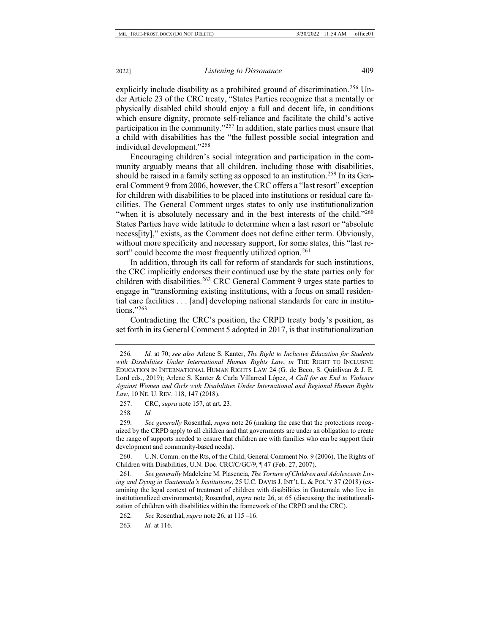explicitly include disability as a prohibited ground of discrimination.<sup>[256](#page-49-0)</sup> Under Article 23 of the CRC treaty, "States Parties recognize that a mentally or physically disabled child should enjoy a full and decent life, in conditions which ensure dignity, promote self-reliance and facilitate the child's active participation in the community."[257](#page-49-1) In addition, state parties must ensure that a child with disabilities has the "the fullest possible social integration and individual development."[258](#page-49-2)

Encouraging children's social integration and participation in the community arguably means that all children, including those with disabilities, should be raised in a family setting as opposed to an institution.<sup>[259](#page-49-3)</sup> In its General Comment 9 from 2006, however, the CRC offers a "last resort" exception for children with disabilities to be placed into institutions or residual care facilities. The General Comment urges states to only use institutionalization "when it is absolutely necessary and in the best interests of the child."<sup>260</sup> States Parties have wide latitude to determine when a last resort or "absolute necess[ity]," exists, as the Comment does not define either term. Obviously, without more specificity and necessary support, for some states, this "last re-sort" could become the most frequently utilized option.<sup>[261](#page-49-5)</sup>

In addition, through its call for reform of standards for such institutions, the CRC implicitly endorses their continued use by the state parties only for children with disabilities.[262](#page-49-6) CRC General Comment 9 urges state parties to engage in "transforming existing institutions, with a focus on small residential care facilities . . . [and] developing national standards for care in institutions." $263$ 

Contradicting the CRC's position, the CRPD treaty body's position, as set forth in its General Comment 5 adopted in 2017, is that institutionalization

<span id="page-49-4"></span>260. U.N. Comm. on the Rts, of the Child, General Comment No. 9 (2006), The Rights of Children with Disabilities, U.N. Doc. CRC/C/GC/9, ¶ 47 (Feb. 27, 2007).

<span id="page-49-5"></span>261*. See generally* Madeleine M. Plasencia, *The Torture of Children and Adolescents Living and Dying in Guatemala's Institutions*, 25 U.C. DAVIS J. INT'L L. & POL'Y 37 (2018) (examining the legal context of treatment of children with disabilities in Guatemala who live in institutionalized environments); Rosenthal, *supra* not[e 26,](#page-5-9) at 65 (discussing the institutionalization of children with disabilities within the framework of the CRPD and the CRC).

<span id="page-49-7"></span><span id="page-49-6"></span>262*. See* Rosenthal, *supra* not[e 26,](#page-5-9) at 115 –16.

263*. Id.* at 116.

<span id="page-49-0"></span><sup>256</sup>*. Id.* at 70; *see also* Arlene S. Kanter, *The Right to Inclusive Education for Students with Disabilities Under International Human Rights Law*, *in* THE RIGHT TO INCLUSIVE EDUCATION IN INTERNATIONAL HUMAN RIGHTS LAW 24 (G. de Beco, S. Quinlivan & J. E. Lord eds., 2019); Arlene S. Kanter & Carla Villarreal López, *A Call for an End to Violence Against Women and Girls with Disabilities Under International and Regional Human Rights Law*, 10 NE. U. REV. 118, 147 (2018).

<sup>257.</sup> CRC, *supra* not[e 157,](#page-29-4) at art. 23.

<sup>258</sup>*. Id.*

<span id="page-49-3"></span><span id="page-49-2"></span><span id="page-49-1"></span><sup>259</sup>*. See generally* Rosenthal, *supra* not[e 26](#page-5-9) (making the case that the protections recognized by the CRPD apply to all children and that governments are under an obligation to create the range of supports needed to ensure that children are with families who can be support their development and community-based needs).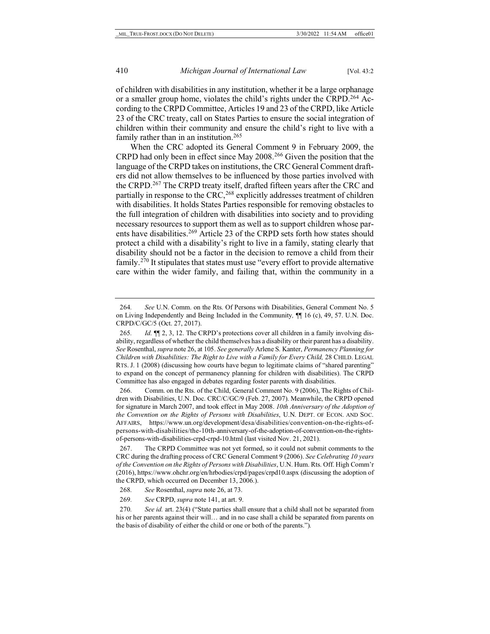of children with disabilities in any institution, whether it be a large orphanage or a smaller group home, violates the child's rights under the CRPD.<sup>[264](#page-50-0)</sup> According to the CRPD Committee, Articles 19 and 23 of the CRPD, like Article 23 of the CRC treaty, call on States Parties to ensure the social integration of children within their community and ensure the child's right to live with a family rather than in an institution.<sup>[265](#page-50-1)</sup>

When the CRC adopted its General Comment 9 in February 2009, the CRPD had only been in effect since May 2008.[266](#page-50-2) Given the position that the language of the CRPD takes on institutions, the CRC General Comment drafters did not allow themselves to be influenced by those parties involved with the CRPD.[267](#page-50-3) The CRPD treaty itself, drafted fifteen years after the CRC and partially in response to the CRC,<sup>[268](#page-50-4)</sup> explicitly addresses treatment of children with disabilities. It holds States Parties responsible for removing obstacles to the full integration of children with disabilities into society and to providing necessary resources to support them as well as to support children whose par-ents have disabilities.<sup>[269](#page-50-5)</sup> Article 23 of the CRPD sets forth how states should protect a child with a disability's right to live in a family, stating clearly that disability should not be a factor in the decision to remove a child from their family.[270](#page-50-6) It stipulates that states must use "every effort to provide alternative care within the wider family, and failing that, within the community in a

<span id="page-50-2"></span>266. Comm. on the Rts. of the Child, General Comment No. 9 (2006), The Rights of Children with Disabilities, U.N. Doc. CRC/C/GC/9 (Feb. 27, 2007). Meanwhile, the CRPD opened for signature in March 2007, and took effect in May 2008. *10th Anniversary of the Adoption of the Convention on the Rights of Persons with Disabilities*, U.N. DEPT. OF ECON. AND SOC. AFFAIRS, https://www.un.org/development/desa/disabilities/convention-on-the-rights-ofpersons-with-disabilities/the-10th-anniversary-of-the-adoption-of-convention-on-the-rightsof-persons-with-disabilities-crpd-crpd-10.html (last visited Nov. 21, 2021).

<span id="page-50-3"></span>267. The CRPD Committee was not yet formed, so it could not submit comments to the CRC during the drafting process of CRC General Comment 9 (2006). *See Celebrating 10 years of the Convention on the Rights of Persons with Disabilities*, U.N. Hum. Rts. Off. High Comm'r (2016), https://www.ohchr.org/en/hrbodies/crpd/pages/crpd10.aspx (discussing the adoption of the CRPD, which occurred on December 13, 2006.).

268*. See* Rosenthal, *supra* not[e 26,](#page-5-9) at 73.

269*. See* CRPD, *supra* not[e 141,](#page-25-4) at art. 9.

<span id="page-50-6"></span><span id="page-50-5"></span><span id="page-50-4"></span>270*. See id.* art. 23(4) ("State parties shall ensure that a child shall not be separated from his or her parents against their will... and in no case shall a child be separated from parents on the basis of disability of either the child or one or both of the parents.").

<span id="page-50-0"></span><sup>264</sup>*. See* U.N. Comm. on the Rts. Of Persons with Disabilities, General Comment No. 5 on Living Independently and Being Included in the Community*,* ¶¶ 16 (c), 49, 57. U.N. Doc. CRPD/C/GC/5 (Oct. 27, 2017).

<span id="page-50-1"></span><sup>265</sup>*. Id.* ¶¶ 2, 3, 12. The CRPD's protections cover all children in a family involving disability, regardless of whether the child themselves has a disability or their parent has a disability. *See* Rosenthal, *supra* not[e 26,](#page-5-9) at 105. *See generally* Arlene S. Kanter, *Permanency Planning for Children with Disabilities: The Right to Live with a Family for Every Child,* 28 CHILD. LEGAL RTS. J. 1 (2008) (discussing how courts have begun to legitimate claims of "shared parenting" to expand on the concept of permanency planning for children with disabilities). The CRPD Committee has also engaged in debates regarding foster parents with disabilities.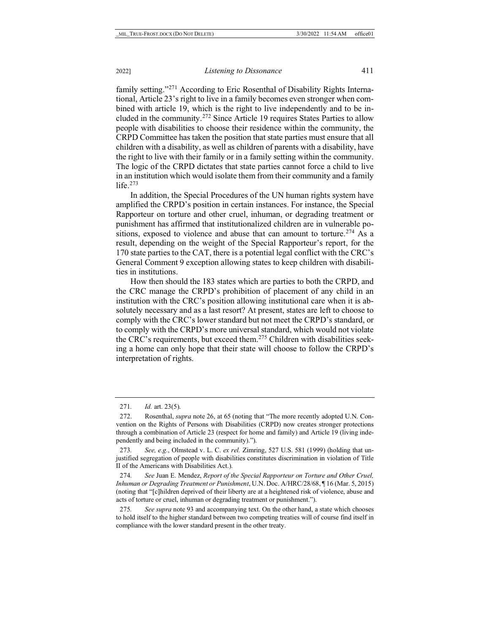family setting."[271](#page-51-0) According to Eric Rosenthal of Disability Rights International, Article 23's right to live in a family becomes even stronger when combined with article 19, which is the right to live independently and to be included in the community.[272](#page-51-1) Since Article 19 requires States Parties to allow people with disabilities to choose their residence within the community, the CRPD Committee has taken the position that state parties must ensure that all children with a disability, as well as children of parents with a disability, have the right to live with their family or in a family setting within the community. The logic of the CRPD dictates that state parties cannot force a child to live in an institution which would isolate them from their community and a family life. $273$ 

In addition, the Special Procedures of the UN human rights system have amplified the CRPD's position in certain instances. For instance, the Special Rapporteur on torture and other cruel, inhuman, or degrading treatment or punishment has affirmed that institutionalized children are in vulnerable positions, exposed to violence and abuse that can amount to torture.<sup>274</sup> As a result, depending on the weight of the Special Rapporteur's report, for the 170 state parties to the CAT, there is a potential legal conflict with the CRC's General Comment 9 exception allowing states to keep children with disabilities in institutions.

How then should the 183 states which are parties to both the CRPD, and the CRC manage the CRPD's prohibition of placement of any child in an institution with the CRC's position allowing institutional care when it is absolutely necessary and as a last resort? At present, states are left to choose to comply with the CRC's lower standard but not meet the CRPD's standard, or to comply with the CRPD's more universal standard, which would not violate the CRC's requirements, but exceed them[.275](#page-51-4) Children with disabilities seeking a home can only hope that their state will choose to follow the CRPD's interpretation of rights.

<sup>271</sup>*. Id.* art. 23(5).

<span id="page-51-1"></span><span id="page-51-0"></span><sup>272.</sup> Rosenthal, *supra* not[e 26,](#page-5-9) at 65 (noting that "The more recently adopted U.N. Convention on the Rights of Persons with Disabilities (CRPD) now creates stronger protections through a combination of Article 23 (respect for home and family) and Article 19 (living independently and being included in the community).").

<span id="page-51-2"></span><sup>273</sup>*. See, e.g.*, Olmstead v. L. C. *ex rel.* Zimring, 527 U.S. 581 (1999) (holding that unjustified segregation of people with disabilities constitutes discrimination in violation of Title II of the Americans with Disabilities Act.).

<span id="page-51-3"></span><sup>274</sup>*. See* Juan E. Mendez, *Report of the Special Rapporteur on Torture and Other Cruel, Inhuman or Degrading Treatment or Punishment*, U.N. Doc. A/HRC/28/68, ¶ 16 (Mar. 5, 2015) (noting that "[c]hildren deprived of their liberty are at a heightened risk of violence, abuse and acts of torture or cruel, inhuman or degrading treatment or punishment.").

<span id="page-51-4"></span><sup>275</sup>*. See supra* not[e 93](#page-17-4) and accompanying text. On the other hand, a state which chooses to hold itself to the higher standard between two competing treaties will of course find itself in compliance with the lower standard present in the other treaty.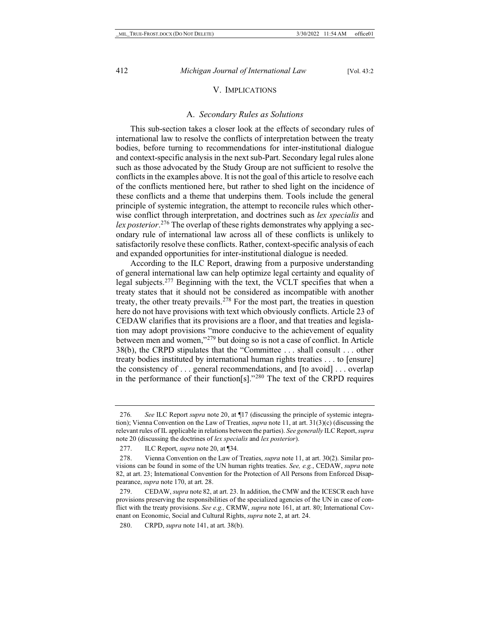#### V. IMPLICATIONS

#### A. *Secondary Rules as Solutions*

This sub-section takes a closer look at the effects of secondary rules of international law to resolve the conflicts of interpretation between the treaty bodies, before turning to recommendations for inter-institutional dialogue and context-specific analysis in the next sub-Part. Secondary legal rules alone such as those advocated by the Study Group are not sufficient to resolve the conflicts in the examples above. It is not the goal of this article to resolve each of the conflicts mentioned here, but rather to shed light on the incidence of these conflicts and a theme that underpins them. Tools include the general principle of systemic integration, the attempt to reconcile rules which otherwise conflict through interpretation, and doctrines such as *lex specialis* and *lex posterior*. [276](#page-52-0) The overlap of these rights demonstrates why applying a secondary rule of international law across all of these conflicts is unlikely to satisfactorily resolve these conflicts. Rather, context-specific analysis of each and expanded opportunities for inter-institutional dialogue is needed.

According to the ILC Report, drawing from a purposive understanding of general international law can help optimize legal certainty and equality of legal subjects.[277](#page-52-1) Beginning with the text, the VCLT specifies that when a treaty states that it should not be considered as incompatible with another treaty, the other treaty prevails[.278](#page-52-2) For the most part, the treaties in question here do not have provisions with text which obviously conflicts. Article 23 of CEDAW clarifies that its provisions are a floor, and that treaties and legislation may adopt provisions "more conducive to the achievement of equality between men and women,"[279](#page-52-3) but doing so is not a case of conflict. In Article 38(b), the CRPD stipulates that the "Committee . . . shall consult . . . other treaty bodies instituted by international human rights treaties . . . to [ensure] the consistency of . . . general recommendations, and [to avoid] . . . overlap in the performance of their function[s]."[280](#page-52-4) The text of the CRPD requires

<span id="page-52-0"></span><sup>276</sup>*. See* ILC Report *supra* note [20,](#page-4-4) at ¶17 (discussing the principle of systemic integration); Vienna Convention on the Law of Treaties, *supra* not[e 11,](#page-2-8) at art. 31(3)(c) (discussing the relevant rules of IL applicable in relations between the parties). *See generally* ILC Report, *supra*  note [20](#page-4-4) (discussing the doctrines of *lex specialis* and *lex posterior*).

<sup>277.</sup> ILC Report, *supra* not[e 20,](#page-4-4) at ¶34.

<span id="page-52-2"></span><span id="page-52-1"></span><sup>278.</sup> Vienna Convention on the Law of Treaties, *supra* not[e 11,](#page-2-8) at art. 30(2). Similar provisions can be found in some of the UN human rights treaties. *See, e.g.*, CEDAW, *supra* note [82,](#page-15-4) at art. 23; International Convention for the Protection of All Persons from Enforced Disappearance, *supra* not[e 170,](#page-33-2) at art. 28.

<span id="page-52-3"></span><sup>279.</sup> CEDAW, *supra* not[e 82,](#page-15-4) at art. 23. In addition, the CMW and the ICESCR each have provisions preserving the responsibilities of the specialized agencies of the UN in case of conflict with the treaty provisions. *See e.g.,* CRMW, *supra* not[e 161,](#page-30-3) at art. 80; International Covenant on Economic, Social and Cultural Rights, *supra* not[e 2,](#page-1-6) at art. 24.

<span id="page-52-4"></span><sup>280.</sup> CRPD, *supra* not[e 141,](#page-25-4) at art. 38(b).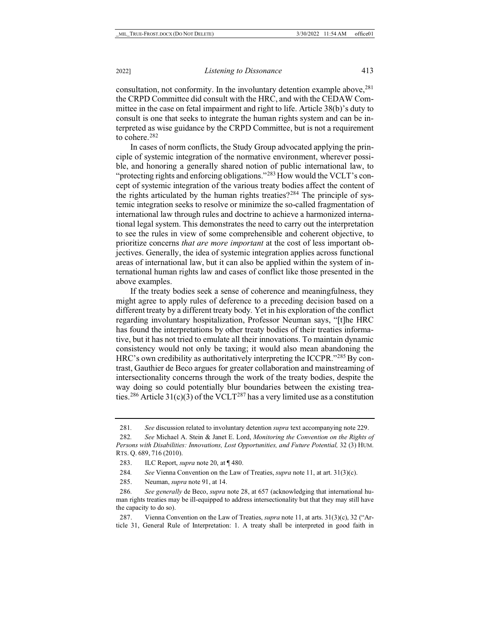consultation, not conformity. In the involuntary detention example above,  $281$ the CRPD Committee did consult with the HRC, and with the CEDAW Committee in the case on fetal impairment and right to life. Article 38(b)'s duty to consult is one that seeks to integrate the human rights system and can be interpreted as wise guidance by the CRPD Committee, but is not a requirement to cohere.<sup>[282](#page-53-1)</sup>

In cases of norm conflicts, the Study Group advocated applying the principle of systemic integration of the normative environment, wherever possible, and honoring a generally shared notion of public international law, to "protecting rights and enforcing obligations."<sup>[283](#page-53-2)</sup> How would the VCLT's concept of systemic integration of the various treaty bodies affect the content of the rights articulated by the human rights treaties?<sup>[284](#page-53-3)</sup> The principle of systemic integration seeks to resolve or minimize the so-called fragmentation of international law through rules and doctrine to achieve a harmonized international legal system. This demonstrates the need to carry out the interpretation to see the rules in view of some comprehensible and coherent objective, to prioritize concerns *that are more important* at the cost of less important objectives. Generally, the idea of systemic integration applies across functional areas of international law, but it can also be applied within the system of international human rights law and cases of conflict like those presented in the above examples.

If the treaty bodies seek a sense of coherence and meaningfulness, they might agree to apply rules of deference to a preceding decision based on a different treaty by a different treaty body*.* Yet in his exploration of the conflict regarding involuntary hospitalization, Professor Neuman says, "[t]he HRC has found the interpretations by other treaty bodies of their treaties informative, but it has not tried to emulate all their innovations. To maintain dynamic consistency would not only be taxing; it would also mean abandoning the HRC's own credibility as authoritatively interpreting the ICCPR."[285](#page-53-4) By contrast, Gauthier de Beco argues for greater collaboration and mainstreaming of intersectionality concerns through the work of the treaty bodies, despite the way doing so could potentially blur boundaries between the existing trea-ties.<sup>[286](#page-53-5)</sup> Article 31(c)(3) of the VCLT<sup>[287](#page-53-6)</sup> has a very limited use as a constitution

<span id="page-53-2"></span>284*. See* Vienna Convention on the Law of Treaties, *supra* note [11,](#page-2-8) at art. 31(3)(c).

285. Neuman, *supra* note [91,](#page-17-5) at 14.

<sup>281</sup>*. See* discussion related to involuntary detention *supra* text accompanying note 229.

<span id="page-53-1"></span><span id="page-53-0"></span><sup>282</sup>*. See* Michael A. Stein & Janet E. Lord, *Monitoring the Convention on the Rights of Persons with Disabilities: Innovations, Lost Opportunities, and Future Potential,* 32 (3) HUM. RTS. Q. 689, 716 (2010).

<sup>283.</sup> ILC Report, *supra* not[e 20,](#page-4-4) at ¶ 480.

<span id="page-53-5"></span><span id="page-53-4"></span><span id="page-53-3"></span><sup>286</sup>*. See generally* de Beco, *supra* note [28,](#page-5-7) at 657 (acknowledging that international human rights treaties may be ill-equipped to address intersectionality but that they may still have the capacity to do so).

<span id="page-53-6"></span><sup>287.</sup> Vienna Convention on the Law of Treaties, *supra* not[e 11,](#page-2-8) at arts. 31(3)(c), 32 ("Article 31, General Rule of Interpretation: 1. A treaty shall be interpreted in good faith in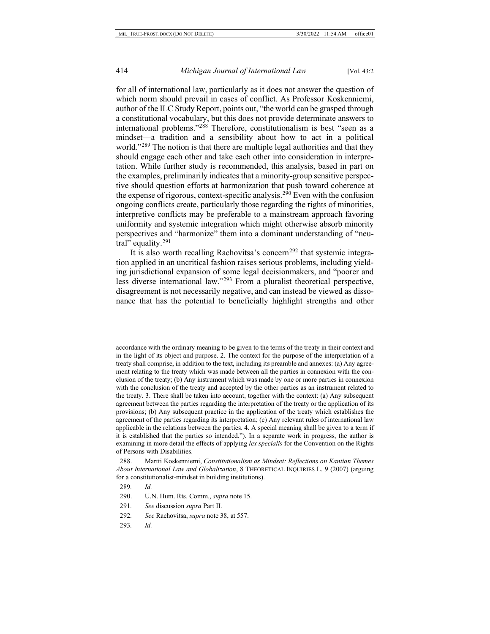for all of international law, particularly as it does not answer the question of which norm should prevail in cases of conflict. As Professor Koskenniemi, author of the ILC Study Report, points out, "the world can be grasped through a constitutional vocabulary, but this does not provide determinate answers to international problems."[288](#page-54-0) Therefore, constitutionalism is best "seen as a mindset—a tradition and a sensibility about how to act in a political world."<sup>[289](#page-54-1)</sup> The notion is that there are multiple legal authorities and that they should engage each other and take each other into consideration in interpretation. While further study is recommended, this analysis, based in part on the examples, preliminarily indicates that a minority-group sensitive perspective should question efforts at harmonization that push toward coherence at the expense of rigorous, context-specific analysis.[290](#page-54-2) Even with the confusion ongoing conflicts create, particularly those regarding the rights of minorities, interpretive conflicts may be preferable to a mainstream approach favoring uniformity and systemic integration which might otherwise absorb minority perspectives and "harmonize" them into a dominant understanding of "neu-tral" equality.<sup>[291](#page-54-3)</sup>

It is also worth recalling Rachovitsa's concern<sup>[292](#page-54-4)</sup> that systemic integration applied in an uncritical fashion raises serious problems, including yielding jurisdictional expansion of some legal decisionmakers, and "poorer and less diverse international law."[293](#page-54-5) From a pluralist theoretical perspective, disagreement is not necessarily negative, and can instead be viewed as dissonance that has the potential to beneficially highlight strengths and other

293*. Id.*

accordance with the ordinary meaning to be given to the terms of the treaty in their context and in the light of its object and purpose. 2. The context for the purpose of the interpretation of a treaty shall comprise, in addition to the text, including its preamble and annexes: (a) Any agreement relating to the treaty which was made between all the parties in connexion with the conclusion of the treaty; (b) Any instrument which was made by one or more parties in connexion with the conclusion of the treaty and accepted by the other parties as an instrument related to the treaty. 3. There shall be taken into account, together with the context: (a) Any subsequent agreement between the parties regarding the interpretation of the treaty or the application of its provisions; (b) Any subsequent practice in the application of the treaty which establishes the agreement of the parties regarding its interpretation; (c) Any relevant rules of international law applicable in the relations between the parties. 4. A special meaning shall be given to a term if it is established that the parties so intended."). In a separate work in progress, the author is examining in more detail the effects of applying *lex specialis* for the Convention on the Rights of Persons with Disabilities.

<span id="page-54-1"></span><span id="page-54-0"></span><sup>288.</sup> Martti Koskenniemi, *Constitutionalism as Mindset: Reflections on Kantian Themes About International Law and Globalization*, 8 THEORETICAL INQUIRIES L. 9 (2007) (arguing for a constitutionalist-mindset in building institutions).

<span id="page-54-2"></span><sup>289</sup>*. Id.*

<span id="page-54-3"></span><sup>290.</sup> U.N. Hum. Rts. Comm., *supra* not[e 15.](#page-3-6)

<sup>291</sup>*. See* discussion *supra* Part II.

<span id="page-54-5"></span><span id="page-54-4"></span><sup>292</sup>*. See* Rachovitsa, *supra* not[e 38,](#page-7-7) at 557.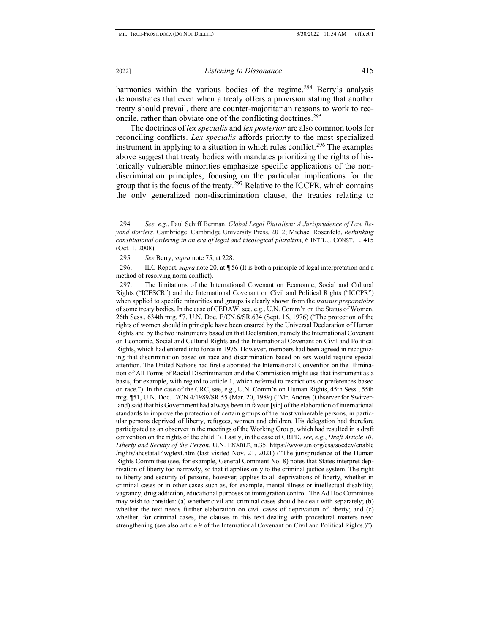harmonies within the various bodies of the regime.<sup>[294](#page-55-0)</sup> Berry's analysis demonstrates that even when a treaty offers a provision stating that another treaty should prevail, there are counter-majoritarian reasons to work to reconcile, rather than obviate one of the conflicting doctrines.[295](#page-55-1)

The doctrines of *lex specialis* and *lex posterior* are also common tools for reconciling conflicts. *Lex specialis* affords priority to the most specialized instrument in applying to a situation in which rules conflict.<sup>[296](#page-55-2)</sup> The examples above suggest that treaty bodies with mandates prioritizing the rights of historically vulnerable minorities emphasize specific applications of the nondiscrimination principles, focusing on the particular implications for the group that is the focus of the treaty.<sup>[297](#page-55-3)</sup> Relative to the ICCPR, which contains the only generalized non-discrimination clause, the treaties relating to

<span id="page-55-2"></span><span id="page-55-1"></span>296. ILC Report, *supra* not[e 20,](#page-4-4) at ¶ 56 (It is both a principle of legal interpretation and a method of resolving norm conflict).

<span id="page-55-3"></span>297. The limitations of the International Covenant on Economic, Social and Cultural Rights ("ICESCR") and the International Covenant on Civil and Political Rights ("ICCPR") when applied to specific minorities and groups is clearly shown from the *travaux preparatoire* of some treaty bodies. In the case of CEDAW, see, e.g., U.N. Comm'n on the Status of Women, 26th Sess., 634th mtg. ¶7, U.N. Doc. E/CN.6/SR.634 (Sept. 16, 1976) ("The protection of the rights of women should in principle have been ensured by the Universal Declaration of Human Rights and by the two instruments based on that Declaration, namely the International Covenant on Economic, Social and Cultural Rights and the International Covenant on Civil and Political Rights, which had entered into force in 1976. However, members had been agreed in recognizing that discrimination based on race and discrimination based on sex would require special attention. The United Nations had first elaborated the International Convention on the Elimination of All Forms of Racial Discrimination and the Commission might use that instrument as a basis, for example, with regard to article 1, which referred to restrictions or preferences based on race."). In the case of the CRC, see, e.g., U.N. Comm'n on Human Rights, 45th Sess., 55th mtg. ¶51, U.N. Doc. E/CN.4/1989/SR.55 (Mar. 20, 1989) ("Mr. Andres (Observer for Switzerland) said that his Government had always been in favour [sic] of the elaboration of international standards to improve the protection of certain groups of the most vulnerable persons, in particular persons deprived of liberty, refugees, women and children. His delegation had therefore participated as an observer in the meetings of the Working Group, which had resulted in a draft convention on the rights of the child."). Lastly, in the case of CRPD, *see, e.g.*, *Draft Article 10: Liberty and Secuity of the Person*, U.N. ENABLE, n.35, https://www.un.org/esa/socdev/enable /rights/ahcstata14wgtext.htm (last visited Nov. 21, 2021) ("The jurisprudence of the Human Rights Committee (see, for example, General Comment No. 8) notes that States interpret deprivation of liberty too narrowly, so that it applies only to the criminal justice system. The right to liberty and security of persons, however, applies to all deprivations of liberty, whether in criminal cases or in other cases such as, for example, mental illness or intellectual disability, vagrancy, drug addiction, educational purposes or immigration control. The Ad Hoc Committee may wish to consider: (a) whether civil and criminal cases should be dealt with separately; (b) whether the text needs further elaboration on civil cases of deprivation of liberty; and (c) whether, for criminal cases, the clauses in this text dealing with procedural matters need strengthening (see also article 9 of the International Covenant on Civil and Political Rights.)").

<span id="page-55-0"></span><sup>294</sup>*. See, e.g.*, Paul Schiff Berman. *Global Legal Pluralism: A Jurisprudence of Law Beyond Borders*. Cambridge: Cambridge University Press, 2012; Michael Rosenfeld, *Rethinking constitutional ordering in an era of legal and ideological pluralism*, 6 INT'L J. CONST. L. 415 (Oct. 1, 2008).

<sup>295</sup>*. See* Berry, *supra* note [75,](#page-14-8) at 228.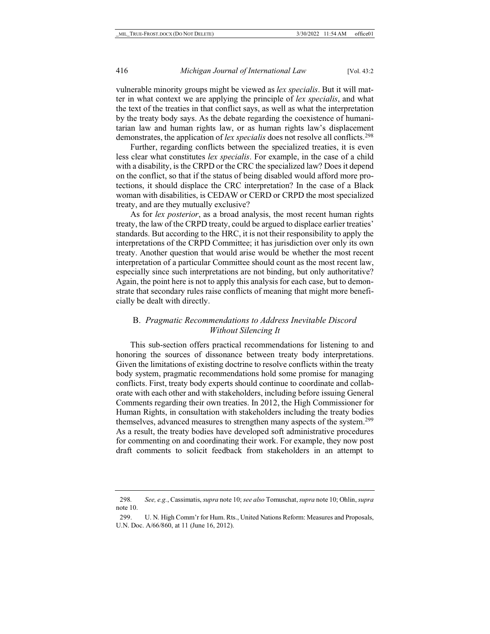vulnerable minority groups might be viewed as *lex specialis*. But it will matter in what context we are applying the principle of *lex specialis*, and what the text of the treaties in that conflict says, as well as what the interpretation by the treaty body says. As the debate regarding the coexistence of humanitarian law and human rights law, or as human rights law's displacement demonstrates, the application of *lex specialis* does not resolve all conflicts.<sup>298</sup>

Further, regarding conflicts between the specialized treaties, it is even less clear what constitutes *lex specialis*. For example, in the case of a child with a disability, is the CRPD or the CRC the specialized law? Does it depend on the conflict, so that if the status of being disabled would afford more protections, it should displace the CRC interpretation? In the case of a Black woman with disabilities, is CEDAW or CERD or CRPD the most specialized treaty, and are they mutually exclusive?

As for *lex posterior*, as a broad analysis, the most recent human rights treaty, the law of the CRPD treaty, could be argued to displace earlier treaties' standards. But according to the HRC, it is not their responsibility to apply the interpretations of the CRPD Committee; it has jurisdiction over only its own treaty. Another question that would arise would be whether the most recent interpretation of a particular Committee should count as the most recent law, especially since such interpretations are not binding, but only authoritative? Again, the point here is not to apply this analysis for each case, but to demonstrate that secondary rules raise conflicts of meaning that might more beneficially be dealt with directly.

## B. *Pragmatic Recommendations to Address Inevitable Discord Without Silencing It*

This sub-section offers practical recommendations for listening to and honoring the sources of dissonance between treaty body interpretations. Given the limitations of existing doctrine to resolve conflicts within the treaty body system, pragmatic recommendations hold some promise for managing conflicts. First, treaty body experts should continue to coordinate and collaborate with each other and with stakeholders, including before issuing General Comments regarding their own treaties. In 2012, the High Commissioner for Human Rights, in consultation with stakeholders including the treaty bodies themselves, advanced measures to strengthen many aspects of the system.<sup>299</sup> As a result, the treaty bodies have developed soft administrative procedures for commenting on and coordinating their work. For example, they now post draft comments to solicit feedback from stakeholders in an attempt to

<span id="page-56-0"></span><sup>298</sup>*. See, e.g.*, Cassimatis, *supra* not[e 10;](#page-2-7) *see also* Tomuschat, *supra* not[e 10;](#page-2-7) Ohlin, *supra*  note [10.](#page-2-7) 

<span id="page-56-1"></span><sup>299.</sup> U. N. High Comm'r for Hum. Rts., United Nations Reform: Measures and Proposals, U.N. Doc. A/66/860, at 11 (June 16, 2012).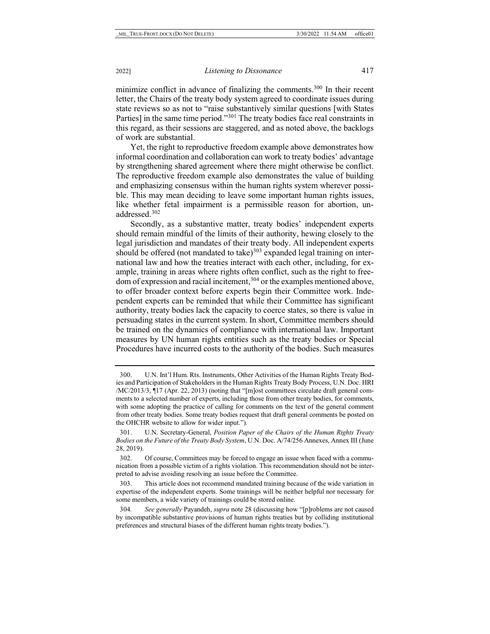<span id="page-57-5"></span>minimize conflict in advance of finalizing the comments.<sup>300</sup> In their recent letter, the Chairs of the treaty body system agreed to coordinate issues during state reviews so as not to "raise substantively similar questions [with States Parties] in the same time period."[301](#page-57-1) The treaty bodies face real constraints in this regard, as their sessions are staggered, and as noted above, the backlogs of work are substantial.

Yet, the right to reproductive freedom example above demonstrates how informal coordination and collaboration can work to treaty bodies' advantage by strengthening shared agreement where there might otherwise be conflict. The reproductive freedom example also demonstrates the value of building and emphasizing consensus within the human rights system wherever possible. This may mean deciding to leave some important human rights issues, like whether fetal impairment is a permissible reason for abortion, unaddressed.[302](#page-57-2)

Secondly, as a substantive matter, treaty bodies' independent experts should remain mindful of the limits of their authority, hewing closely to the legal jurisdiction and mandates of their treaty body. All independent experts should be offered (not mandated to take) $303$  expanded legal training on international law and how the treaties interact with each other, including, for example, training in areas where rights often conflict, such as the right to freedom of expression and racial incitement,<sup>304</sup> or the examples mentioned above, to offer broader context before experts begin their Committee work. Independent experts can be reminded that while their Committee has significant authority, treaty bodies lack the capacity to coerce states, so there is value in persuading states in the current system. In short, Committee members should be trained on the dynamics of compliance with international law. Important measures by UN human rights entities such as the treaty bodies or Special Procedures have incurred costs to the authority of the bodies. Such measures

<span id="page-57-0"></span><sup>300.</sup> U.N. Int'l Hum. Rts. Instruments, Other Activities of the Human Rights Treaty Bodies and Participation of Stakeholders in the Human Rights Treaty Body Process, U.N. Doc. HRI /MC/2013/3, ¶17 (Apr. 22, 2013) (noting that "[m]ost committees circulate draft general comments to a selected number of experts, including those from other treaty bodies, for comments, with some adopting the practice of calling for comments on the text of the general comment from other treaty bodies. Some treaty bodies request that draft general comments be posted on the OHCHR website to allow for wider input.").

<span id="page-57-1"></span><sup>301.</sup> U.N. Secretary-General, *Position Paper of the Chairs of the Human Rights Treaty Bodies on the Future of the Treaty Body System*, U.N. Doc. A/74/256 Annexes, Annex III (June 28, 2019).

<span id="page-57-2"></span><sup>302.</sup> Of course, Committees may be forced to engage an issue when faced with a communication from a possible victim of a rights violation. This recommendation should not be interpreted to advise avoiding resolving an issue before the Committee.

<span id="page-57-3"></span><sup>303.</sup> This article does not recommend mandated training because of the wide variation in expertise of the independent experts. Some trainings will be neither helpful nor necessary for some members, a wide variety of trainings could be stored online.

<span id="page-57-4"></span><sup>304</sup>*. See generally* Payandeh, *supra* note [28](#page-5-7) (discussing how "[p]roblems are not caused by incompatible substantive provisions of human rights treaties but by colliding institutional preferences and structural biases of the different human rights treaty bodies.").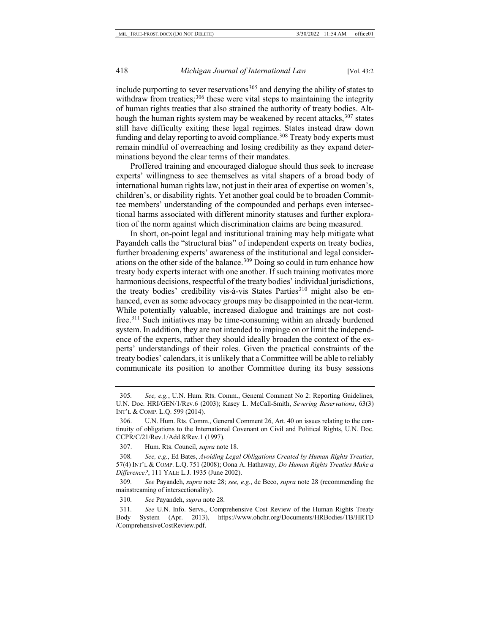include purporting to sever reservations<sup>[305](#page-58-0)</sup> and denying the ability of states to withdraw from treaties;<sup>[306](#page-58-1)</sup> these were vital steps to maintaining the integrity of human rights treaties that also strained the authority of treaty bodies. Although the human rights system may be weakened by recent attacks,  $307$  states still have difficulty exiting these legal regimes. States instead draw down funding and delay reporting to avoid compliance.<sup>308</sup> Treaty body experts must remain mindful of overreaching and losing credibility as they expand determinations beyond the clear terms of their mandates.

Proffered training and encouraged dialogue should thus seek to increase experts' willingness to see themselves as vital shapers of a broad body of international human rights law, not just in their area of expertise on women's, children's, or disability rights. Yet another goal could be to broaden Committee members' understanding of the compounded and perhaps even intersectional harms associated with different minority statuses and further exploration of the norm against which discrimination claims are being measured.

In short, on-point legal and institutional training may help mitigate what Payandeh calls the "structural bias" of independent experts on treaty bodies, further broadening experts' awareness of the institutional and legal considerations on the other side of the balance[.309](#page-58-4) Doing so could in turn enhance how treaty body experts interact with one another. If such training motivates more harmonious decisions, respectful of the treaty bodies' individual jurisdictions, the treaty bodies' credibility vis-à-vis States Parties<sup>310</sup> might also be enhanced, even as some advocacy groups may be disappointed in the near-term. While potentially valuable, increased dialogue and trainings are not costfree[.311](#page-58-6) Such initiatives may be time-consuming within an already burdened system. In addition, they are not intended to impinge on or limit the independence of the experts, rather they should ideally broaden the context of the experts' understandings of their roles. Given the practical constraints of the treaty bodies' calendars, it is unlikely that a Committee will be able to reliably communicate its position to another Committee during its busy sessions

<span id="page-58-4"></span>309*. See* Payandeh, *supra* note [28;](#page-5-7) *see, e.g.*, de Beco, *supra* note [28](#page-5-7) (recommending the mainstreaming of intersectionality).

310*. See* Payandeh, *supra* not[e 28.](#page-5-7)

<span id="page-58-0"></span><sup>305</sup>*. See, e.g.*, U.N. Hum. Rts. Comm., General Comment No 2: Reporting Guidelines, U.N. Doc. HRI/GEN/1/Rev.6 (2003); Kasey L. McCall-Smith, *Severing Reservations*, 63(3) INT'L & COMP. L.Q. 599 (2014).

<span id="page-58-1"></span><sup>306.</sup> U.N. Hum. Rts. Comm., General Comment 26, Art. 40 on issues relating to the continuity of obligations to the International Covenant on Civil and Political Rights, U.N. Doc. CCPR/C/21/Rev.1/Add.8/Rev.1 (1997).

<sup>307.</sup> Hum. Rts. Council, *supra* not[e 18.](#page-4-5)

<span id="page-58-3"></span><span id="page-58-2"></span><sup>308</sup>*. See, e.g.*, Ed Bates, *Avoiding Legal Obligations Created by Human Rights Treaties*, 57(4) INT'L & COMP. L.Q. 751 (2008); Oona A. Hathaway, *Do Human Rights Treaties Make a Difference?*, 111 YALE L.J. 1935 (June 2002).

<span id="page-58-6"></span><span id="page-58-5"></span><sup>311</sup>*. See* U.N. Info. Servs., Comprehensive Cost Review of the Human Rights Treaty Body System (Apr. 2013), https://www.ohchr.org/Documents/HRBodies/TB/HRTD /ComprehensiveCostReview.pdf.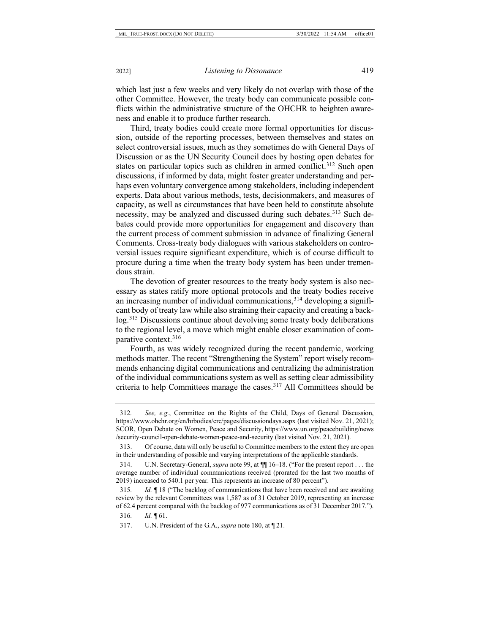which last just a few weeks and very likely do not overlap with those of the other Committee. However, the treaty body can communicate possible conflicts within the administrative structure of the OHCHR to heighten awareness and enable it to produce further research.

Third, treaty bodies could create more formal opportunities for discussion, outside of the reporting processes, between themselves and states on select controversial issues, much as they sometimes do with General Days of Discussion or as the UN Security Council does by hosting open debates for states on particular topics such as children in armed conflict.<sup>[312](#page-59-0)</sup> Such open discussions, if informed by data, might foster greater understanding and perhaps even voluntary convergence among stakeholders, including independent experts. Data about various methods, tests, decisionmakers, and measures of capacity, as well as circumstances that have been held to constitute absolute necessity, may be analyzed and discussed during such debates.<sup>313</sup> Such debates could provide more opportunities for engagement and discovery than the current process of comment submission in advance of finalizing General Comments. Cross-treaty body dialogues with various stakeholders on controversial issues require significant expenditure, which is of course difficult to procure during a time when the treaty body system has been under tremendous strain.

The devotion of greater resources to the treaty body system is also necessary as states ratify more optional protocols and the treaty bodies receive an increasing number of individual communications,  $314$  developing a significant body of treaty law while also straining their capacity and creating a backlog.[315](#page-59-3) Discussions continue about devolving some treaty body deliberations to the regional level, a move which might enable closer examination of comparative context[.316](#page-59-4)

Fourth, as was widely recognized during the recent pandemic, working methods matter. The recent "Strengthening the System" report wisely recommends enhancing digital communications and centralizing the administration of the individual communications system as well as setting clear admissibility criteria to help Committees manage the cases.[317](#page-59-5) All Committees should be

<span id="page-59-0"></span><sup>312</sup>*. See, e.g.*, Committee on the Rights of the Child, Days of General Discussion, https://www.ohchr.org/en/hrbodies/crc/pages/discussiondays.aspx (last visited Nov. 21, 2021); SCOR, Open Debate on Women, Peace and Security, https://www.un.org/peacebuilding/news /security-council-open-debate-women-peace-and-security (last visited Nov. 21, 2021).

<span id="page-59-1"></span><sup>313.</sup> Of course, data will only be useful to Committee members to the extent they are open in their understanding of possible and varying interpretations of the applicable standards.

<span id="page-59-2"></span><sup>314.</sup> U.N. Secretary-General, *supra* not[e 99,](#page-19-2) at ¶¶ 16–18. ("For the present report . . . the average number of individual communications received (prorated for the last two months of 2019) increased to 540.1 per year. This represents an increase of 80 percent").

<span id="page-59-4"></span><span id="page-59-3"></span><sup>315</sup>*. Id.* ¶ 18 ("The backlog of communications that have been received and are awaiting review by the relevant Committees was 1,587 as of 31 October 2019, representing an increase of 62.4 percent compared with the backlog of 977 communications as of 31 December 2017.").

<span id="page-59-5"></span><sup>316</sup>*. Id.* ¶ 61.

<sup>317.</sup> U.N. President of the G.A., *supra* not[e 180,](#page-35-6) at ¶ 21.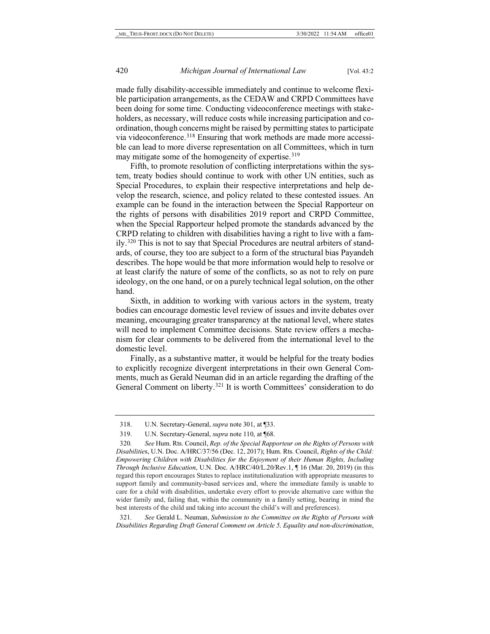made fully disability-accessible immediately and continue to welcome flexible participation arrangements, as the CEDAW and CRPD Committees have been doing for some time. Conducting videoconference meetings with stakeholders, as necessary, will reduce costs while increasing participation and coordination, though concerns might be raised by permitting states to participate via videoconference.[318](#page-60-0) Ensuring that work methods are made more accessible can lead to more diverse representation on all Committees, which in turn may mitigate some of the homogeneity of expertise.<sup>[319](#page-60-1)</sup>

Fifth, to promote resolution of conflicting interpretations within the system, treaty bodies should continue to work with other UN entities, such as Special Procedures, to explain their respective interpretations and help develop the research, science, and policy related to these contested issues. An example can be found in the interaction between the Special Rapporteur on the rights of persons with disabilities 2019 report and CRPD Committee, when the Special Rapporteur helped promote the standards advanced by the CRPD relating to children with disabilities having a right to live with a family.[320](#page-60-2) This is not to say that Special Procedures are neutral arbiters of standards, of course, they too are subject to a form of the structural bias Payandeh describes. The hope would be that more information would help to resolve or at least clarify the nature of some of the conflicts, so as not to rely on pure ideology, on the one hand, or on a purely technical legal solution, on the other hand.

Sixth, in addition to working with various actors in the system, treaty bodies can encourage domestic level review of issues and invite debates over meaning, encouraging greater transparency at the national level, where states will need to implement Committee decisions. State review offers a mechanism for clear comments to be delivered from the international level to the domestic level.

Finally, as a substantive matter, it would be helpful for the treaty bodies to explicitly recognize divergent interpretations in their own General Comments, much as Gerald Neuman did in an article regarding the drafting of the General Comment on liberty.<sup>[321](#page-60-3)</sup> It is worth Committees' consideration to do

<span id="page-60-3"></span>321*. See* Gerald L. Neuman, *Submission to the Committee on the Rights of Persons with Disabilities Regarding Draft General Comment on Article 5, Equality and non-discrimination*,

<sup>318.</sup> U.N. Secretary-General, *supra* not[e 301,](#page-57-5) at ¶33.

<sup>319.</sup> U.N. Secretary-General, *supra* not[e 110,](#page-21-9) at ¶68.

<span id="page-60-2"></span><span id="page-60-1"></span><span id="page-60-0"></span><sup>320</sup>*. See* Hum. Rts. Council, *Rep. of the Special Rapporteur on the Rights of Persons with Disabilitie*s, U.N. Doc. A/HRC/37/56 (Dec. 12, 2017); Hum. Rts. Council, *Rights of the Child: Empowering Children with Disabilities for the Enjoyment of their Human Rights, Including Through Inclusive Education*, U.N. Doc. A/HRC/40/L.20/Rev.1, ¶ 16 (Mar. 20, 2019) (in this regard this report encourages States to replace institutionalization with appropriate measures to support family and community-based services and, where the immediate family is unable to care for a child with disabilities, undertake every effort to provide alternative care within the wider family and, failing that, within the community in a family setting, bearing in mind the best interests of the child and taking into account the child's will and preferences).